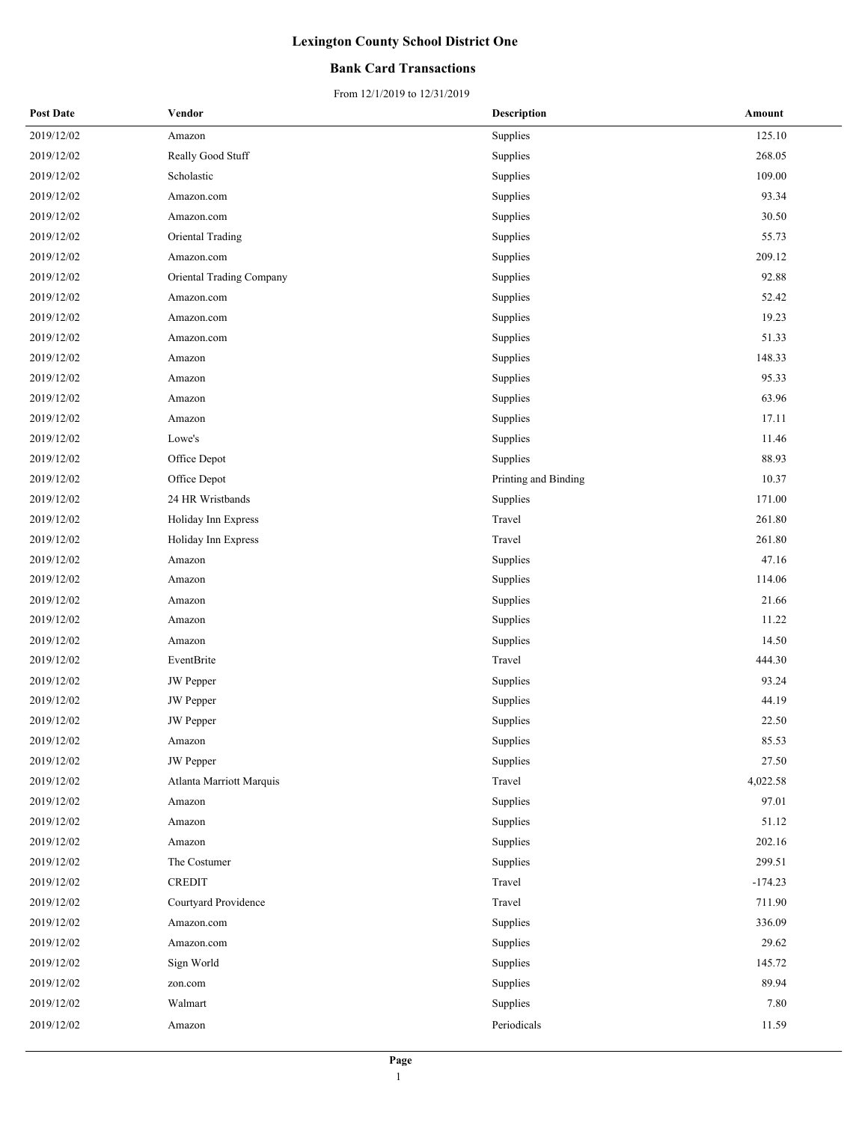### **Bank Card Transactions**

| <b>Post Date</b> | Vendor                   | <b>Description</b>   | Amount    |
|------------------|--------------------------|----------------------|-----------|
| 2019/12/02       | Amazon                   | Supplies             | 125.10    |
| 2019/12/02       | Really Good Stuff        | Supplies             | 268.05    |
| 2019/12/02       | Scholastic               | Supplies             | 109.00    |
| 2019/12/02       | Amazon.com               | Supplies             | 93.34     |
| 2019/12/02       | Amazon.com               | Supplies             | 30.50     |
| 2019/12/02       | Oriental Trading         | Supplies             | 55.73     |
| 2019/12/02       | Amazon.com               | Supplies             | 209.12    |
| 2019/12/02       | Oriental Trading Company | Supplies             | 92.88     |
| 2019/12/02       | Amazon.com               | Supplies             | 52.42     |
| 2019/12/02       | Amazon.com               | Supplies             | 19.23     |
| 2019/12/02       | Amazon.com               | Supplies             | 51.33     |
| 2019/12/02       | Amazon                   | Supplies             | 148.33    |
| 2019/12/02       | Amazon                   | Supplies             | 95.33     |
| 2019/12/02       | Amazon                   | Supplies             | 63.96     |
| 2019/12/02       | Amazon                   | Supplies             | 17.11     |
| 2019/12/02       | Lowe's                   | Supplies             | 11.46     |
| 2019/12/02       | Office Depot             | Supplies             | 88.93     |
| 2019/12/02       | Office Depot             | Printing and Binding | 10.37     |
| 2019/12/02       | 24 HR Wristbands         | Supplies             | 171.00    |
| 2019/12/02       | Holiday Inn Express      | Travel               | 261.80    |
| 2019/12/02       | Holiday Inn Express      | Travel               | 261.80    |
| 2019/12/02       | Amazon                   | Supplies             | 47.16     |
| 2019/12/02       | Amazon                   | Supplies             | 114.06    |
| 2019/12/02       | Amazon                   | Supplies             | 21.66     |
| 2019/12/02       | Amazon                   | Supplies             | 11.22     |
| 2019/12/02       | Amazon                   | Supplies             | 14.50     |
| 2019/12/02       | EventBrite               | Travel               | 444.30    |
| 2019/12/02       | <b>JW</b> Pepper         | Supplies             | 93.24     |
| 2019/12/02       | <b>JW</b> Pepper         | Supplies             | 44.19     |
| 2019/12/02       | <b>JW</b> Pepper         | Supplies             | 22.50     |
| 2019/12/02       | Amazon                   | Supplies             | 85.53     |
| 2019/12/02       | <b>JW</b> Pepper         | Supplies             | 27.50     |
| 2019/12/02       | Atlanta Marriott Marquis | Travel               | 4,022.58  |
| 2019/12/02       | Amazon                   | Supplies             | 97.01     |
| 2019/12/02       | Amazon                   | Supplies             | 51.12     |
| 2019/12/02       | Amazon                   | Supplies             | 202.16    |
| 2019/12/02       | The Costumer             | Supplies             | 299.51    |
| 2019/12/02       | <b>CREDIT</b>            | Travel               | $-174.23$ |
| 2019/12/02       | Courtyard Providence     | Travel               | 711.90    |
| 2019/12/02       | Amazon.com               | Supplies             | 336.09    |
| 2019/12/02       | Amazon.com               | Supplies             | 29.62     |
| 2019/12/02       | Sign World               | Supplies             | 145.72    |
| 2019/12/02       | zon.com                  | Supplies             | 89.94     |
| 2019/12/02       | Walmart                  | Supplies             | 7.80      |
| 2019/12/02       | Amazon                   | Periodicals          | 11.59     |
|                  |                          |                      |           |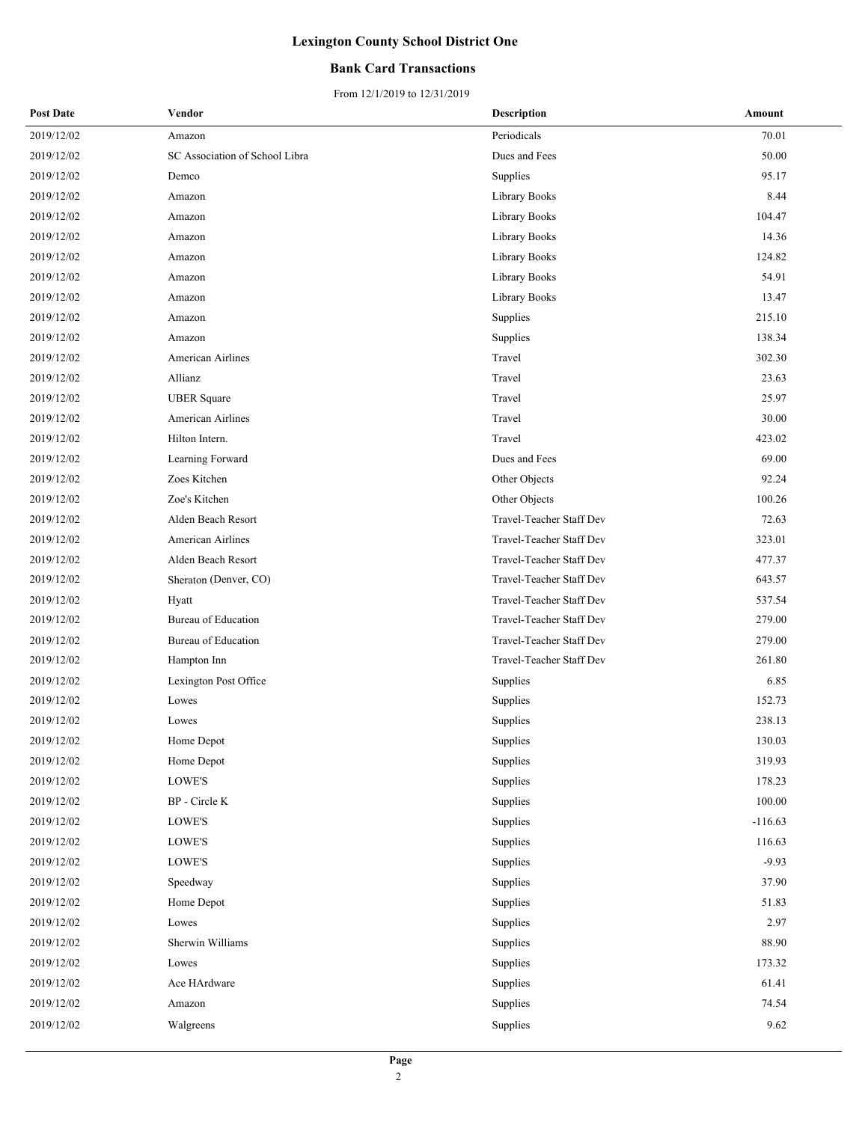### **Bank Card Transactions**

| <b>Post Date</b> | Vendor                         | <b>Description</b>       | Amount    |
|------------------|--------------------------------|--------------------------|-----------|
| 2019/12/02       | Amazon                         | Periodicals              | 70.01     |
| 2019/12/02       | SC Association of School Libra | Dues and Fees            | 50.00     |
| 2019/12/02       | Demco                          | Supplies                 | 95.17     |
| 2019/12/02       | Amazon                         | Library Books            | 8.44      |
| 2019/12/02       | Amazon                         | Library Books            | 104.47    |
| 2019/12/02       | Amazon                         | Library Books            | 14.36     |
| 2019/12/02       | Amazon                         | Library Books            | 124.82    |
| 2019/12/02       | Amazon                         | Library Books            | 54.91     |
| 2019/12/02       | Amazon                         | Library Books            | 13.47     |
| 2019/12/02       | Amazon                         | Supplies                 | 215.10    |
| 2019/12/02       | Amazon                         | Supplies                 | 138.34    |
| 2019/12/02       | <b>American Airlines</b>       | Travel                   | 302.30    |
| 2019/12/02       | Allianz                        | Travel                   | 23.63     |
| 2019/12/02       | <b>UBER</b> Square             | Travel                   | 25.97     |
| 2019/12/02       | American Airlines              | Travel                   | 30.00     |
| 2019/12/02       | Hilton Intern.                 | Travel                   | 423.02    |
| 2019/12/02       | Learning Forward               | Dues and Fees            | 69.00     |
| 2019/12/02       | Zoes Kitchen                   | Other Objects            | 92.24     |
| 2019/12/02       | Zoe's Kitchen                  | Other Objects            | 100.26    |
| 2019/12/02       | Alden Beach Resort             | Travel-Teacher Staff Dev | 72.63     |
| 2019/12/02       | American Airlines              | Travel-Teacher Staff Dev | 323.01    |
| 2019/12/02       | Alden Beach Resort             | Travel-Teacher Staff Dev | 477.37    |
| 2019/12/02       | Sheraton (Denver, CO)          | Travel-Teacher Staff Dev | 643.57    |
| 2019/12/02       | Hyatt                          | Travel-Teacher Staff Dev | 537.54    |
| 2019/12/02       | Bureau of Education            | Travel-Teacher Staff Dev | 279.00    |
| 2019/12/02       | Bureau of Education            | Travel-Teacher Staff Dev | 279.00    |
| 2019/12/02       | Hampton Inn                    | Travel-Teacher Staff Dev | 261.80    |
| 2019/12/02       | Lexington Post Office          | Supplies                 | 6.85      |
| 2019/12/02       | Lowes                          | Supplies                 | 152.73    |
| 2019/12/02       | Lowes                          | Supplies                 | 238.13    |
| 2019/12/02       | Home Depot                     | Supplies                 | 130.03    |
| 2019/12/02       | Home Depot                     | Supplies                 | 319.93    |
| 2019/12/02       | LOWE'S                         | Supplies                 | 178.23    |
| 2019/12/02       | $\operatorname{BP}$ - Circle K | Supplies                 | 100.00    |
| 2019/12/02       | LOWE'S                         | Supplies                 | $-116.63$ |
| 2019/12/02       | LOWE'S                         | Supplies                 | 116.63    |
| 2019/12/02       | LOWE'S                         | Supplies                 | $-9.93$   |
| 2019/12/02       | Speedway                       | Supplies                 | 37.90     |
| 2019/12/02       | Home Depot                     | Supplies                 | 51.83     |
| 2019/12/02       | Lowes                          | Supplies                 | 2.97      |
| 2019/12/02       | Sherwin Williams               | Supplies                 | 88.90     |
| 2019/12/02       | Lowes                          | Supplies                 | 173.32    |
| 2019/12/02       | Ace HArdware                   | Supplies                 | 61.41     |
| 2019/12/02       | Amazon                         | Supplies                 | 74.54     |
| 2019/12/02       | Walgreens                      | Supplies                 | 9.62      |
|                  |                                |                          |           |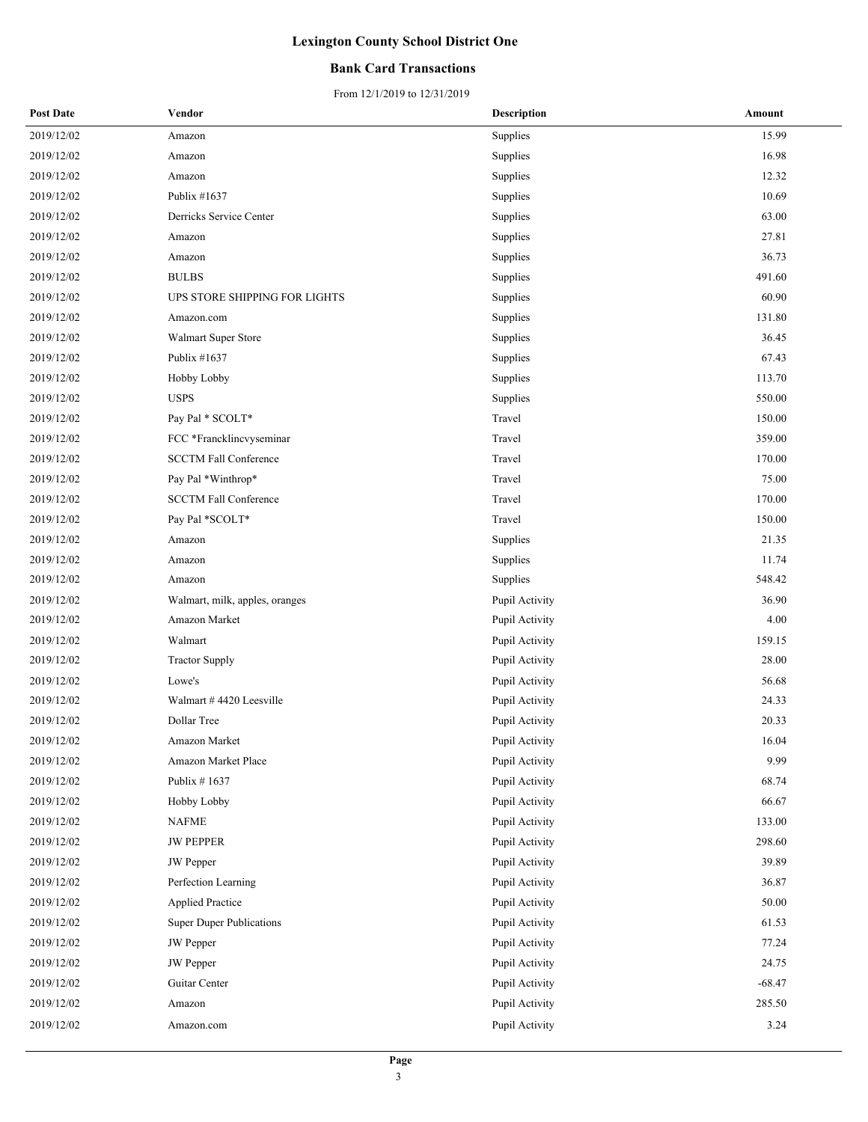### **Bank Card Transactions**

| <b>Post Date</b> | Vendor                          | <b>Description</b> | Amount   |
|------------------|---------------------------------|--------------------|----------|
| 2019/12/02       | Amazon                          | Supplies           | 15.99    |
| 2019/12/02       | Amazon                          | Supplies           | 16.98    |
| 2019/12/02       | Amazon                          | Supplies           | 12.32    |
| 2019/12/02       | Publix #1637                    | Supplies           | 10.69    |
| 2019/12/02       | Derricks Service Center         | Supplies           | 63.00    |
| 2019/12/02       | Amazon                          | Supplies           | 27.81    |
| 2019/12/02       | Amazon                          | Supplies           | 36.73    |
| 2019/12/02       | <b>BULBS</b>                    | Supplies           | 491.60   |
| 2019/12/02       | UPS STORE SHIPPING FOR LIGHTS   | Supplies           | 60.90    |
| 2019/12/02       | Amazon.com                      | Supplies           | 131.80   |
| 2019/12/02       | Walmart Super Store             | Supplies           | 36.45    |
| 2019/12/02       | Publix #1637                    | Supplies           | 67.43    |
| 2019/12/02       | Hobby Lobby                     | Supplies           | 113.70   |
| 2019/12/02       | <b>USPS</b>                     | Supplies           | 550.00   |
| 2019/12/02       | Pay Pal * SCOLT*                | Travel             | 150.00   |
| 2019/12/02       | FCC *Francklincvyseminar        | Travel             | 359.00   |
| 2019/12/02       | <b>SCCTM Fall Conference</b>    | Travel             | 170.00   |
| 2019/12/02       | Pay Pal *Winthrop*              | Travel             | 75.00    |
| 2019/12/02       | <b>SCCTM Fall Conference</b>    | Travel             | 170.00   |
| 2019/12/02       | Pay Pal *SCOLT*                 | Travel             | 150.00   |
| 2019/12/02       | Amazon                          | Supplies           | 21.35    |
| 2019/12/02       | Amazon                          | Supplies           | 11.74    |
| 2019/12/02       | Amazon                          | Supplies           | 548.42   |
| 2019/12/02       | Walmart, milk, apples, oranges  | Pupil Activity     | 36.90    |
| 2019/12/02       | Amazon Market                   | Pupil Activity     | 4.00     |
| 2019/12/02       | Walmart                         | Pupil Activity     | 159.15   |
| 2019/12/02       | <b>Tractor Supply</b>           | Pupil Activity     | 28.00    |
| 2019/12/02       | Lowe's                          | Pupil Activity     | 56.68    |
| 2019/12/02       | Walmart #4420 Leesville         | Pupil Activity     | 24.33    |
| 2019/12/02       | Dollar Tree                     | Pupil Activity     | 20.33    |
| 2019/12/02       | Amazon Market                   | Pupil Activity     | 16.04    |
| 2019/12/02       | Amazon Market Place             | Pupil Activity     | 9.99     |
| 2019/12/02       | Publix $# 1637$                 | Pupil Activity     | 68.74    |
| 2019/12/02       | Hobby Lobby                     | Pupil Activity     | 66.67    |
| 2019/12/02       | <b>NAFME</b>                    | Pupil Activity     | 133.00   |
| 2019/12/02       | <b>JW PEPPER</b>                | Pupil Activity     | 298.60   |
| 2019/12/02       | JW Pepper                       | Pupil Activity     | 39.89    |
| 2019/12/02       | Perfection Learning             | Pupil Activity     | 36.87    |
| 2019/12/02       | <b>Applied Practice</b>         | Pupil Activity     | 50.00    |
| 2019/12/02       | <b>Super Duper Publications</b> | Pupil Activity     | 61.53    |
| 2019/12/02       | JW Pepper                       | Pupil Activity     | 77.24    |
| 2019/12/02       | <b>JW</b> Pepper                | Pupil Activity     | 24.75    |
| 2019/12/02       | Guitar Center                   | Pupil Activity     | $-68.47$ |
| 2019/12/02       | Amazon                          | Pupil Activity     | 285.50   |
| 2019/12/02       | Amazon.com                      | Pupil Activity     | 3.24     |
|                  |                                 |                    |          |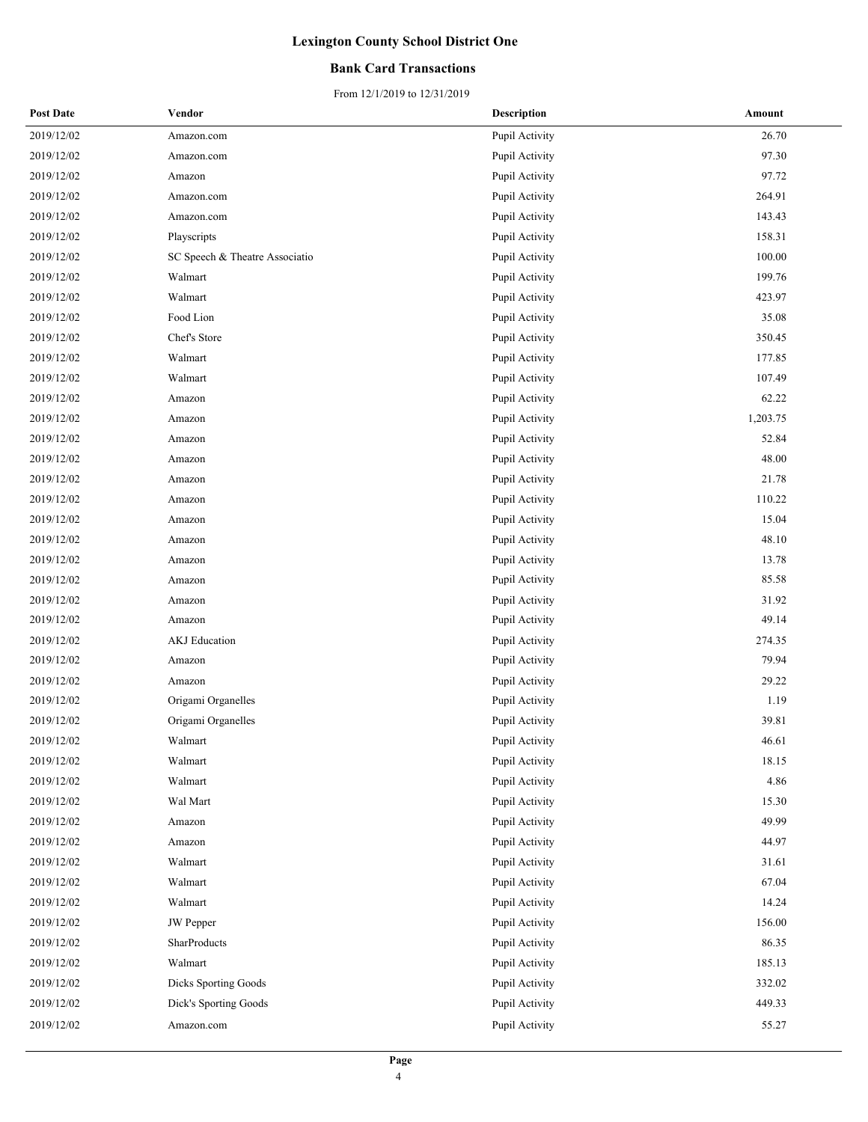### **Bank Card Transactions**

| <b>Post Date</b> | Vendor                         | <b>Description</b> | Amount   |
|------------------|--------------------------------|--------------------|----------|
| 2019/12/02       | Amazon.com                     | Pupil Activity     | 26.70    |
| 2019/12/02       | Amazon.com                     | Pupil Activity     | 97.30    |
| 2019/12/02       | Amazon                         | Pupil Activity     | 97.72    |
| 2019/12/02       | Amazon.com                     | Pupil Activity     | 264.91   |
| 2019/12/02       | Amazon.com                     | Pupil Activity     | 143.43   |
| 2019/12/02       | Playscripts                    | Pupil Activity     | 158.31   |
| 2019/12/02       | SC Speech & Theatre Associatio | Pupil Activity     | 100.00   |
| 2019/12/02       | Walmart                        | Pupil Activity     | 199.76   |
| 2019/12/02       | Walmart                        | Pupil Activity     | 423.97   |
| 2019/12/02       | Food Lion                      | Pupil Activity     | 35.08    |
| 2019/12/02       | Chef's Store                   | Pupil Activity     | 350.45   |
| 2019/12/02       | Walmart                        | Pupil Activity     | 177.85   |
| 2019/12/02       | Walmart                        | Pupil Activity     | 107.49   |
| 2019/12/02       | Amazon                         | Pupil Activity     | 62.22    |
| 2019/12/02       | Amazon                         | Pupil Activity     | 1,203.75 |
| 2019/12/02       | Amazon                         | Pupil Activity     | 52.84    |
| 2019/12/02       | Amazon                         | Pupil Activity     | 48.00    |
| 2019/12/02       | Amazon                         | Pupil Activity     | 21.78    |
| 2019/12/02       | Amazon                         | Pupil Activity     | 110.22   |
| 2019/12/02       | Amazon                         | Pupil Activity     | 15.04    |
| 2019/12/02       | Amazon                         | Pupil Activity     | 48.10    |
| 2019/12/02       | Amazon                         | Pupil Activity     | 13.78    |
| 2019/12/02       | Amazon                         | Pupil Activity     | 85.58    |
| 2019/12/02       | Amazon                         | Pupil Activity     | 31.92    |
| 2019/12/02       | Amazon                         | Pupil Activity     | 49.14    |
| 2019/12/02       | AKJ Education                  | Pupil Activity     | 274.35   |
| 2019/12/02       | Amazon                         | Pupil Activity     | 79.94    |
| 2019/12/02       | Amazon                         | Pupil Activity     | 29.22    |
| 2019/12/02       | Origami Organelles             | Pupil Activity     | 1.19     |
| 2019/12/02       | Origami Organelles             | Pupil Activity     | 39.81    |
| 2019/12/02       | Walmart                        | Pupil Activity     | 46.61    |
| 2019/12/02       | Walmart                        | Pupil Activity     | 18.15    |
| 2019/12/02       | Walmart                        | Pupil Activity     | 4.86     |
| 2019/12/02       | Wal Mart                       | Pupil Activity     | 15.30    |
| 2019/12/02       | Amazon                         | Pupil Activity     | 49.99    |
| 2019/12/02       | Amazon                         | Pupil Activity     | 44.97    |
| 2019/12/02       | Walmart                        | Pupil Activity     | 31.61    |
| 2019/12/02       | Walmart                        | Pupil Activity     | 67.04    |
| 2019/12/02       | Walmart                        | Pupil Activity     | 14.24    |
| 2019/12/02       | <b>JW</b> Pepper               | Pupil Activity     | 156.00   |
| 2019/12/02       | SharProducts                   | Pupil Activity     | 86.35    |
| 2019/12/02       | Walmart                        | Pupil Activity     | 185.13   |
| 2019/12/02       | Dicks Sporting Goods           | Pupil Activity     | 332.02   |
| 2019/12/02       | Dick's Sporting Goods          | Pupil Activity     | 449.33   |
| 2019/12/02       | Amazon.com                     | Pupil Activity     | 55.27    |
|                  |                                |                    |          |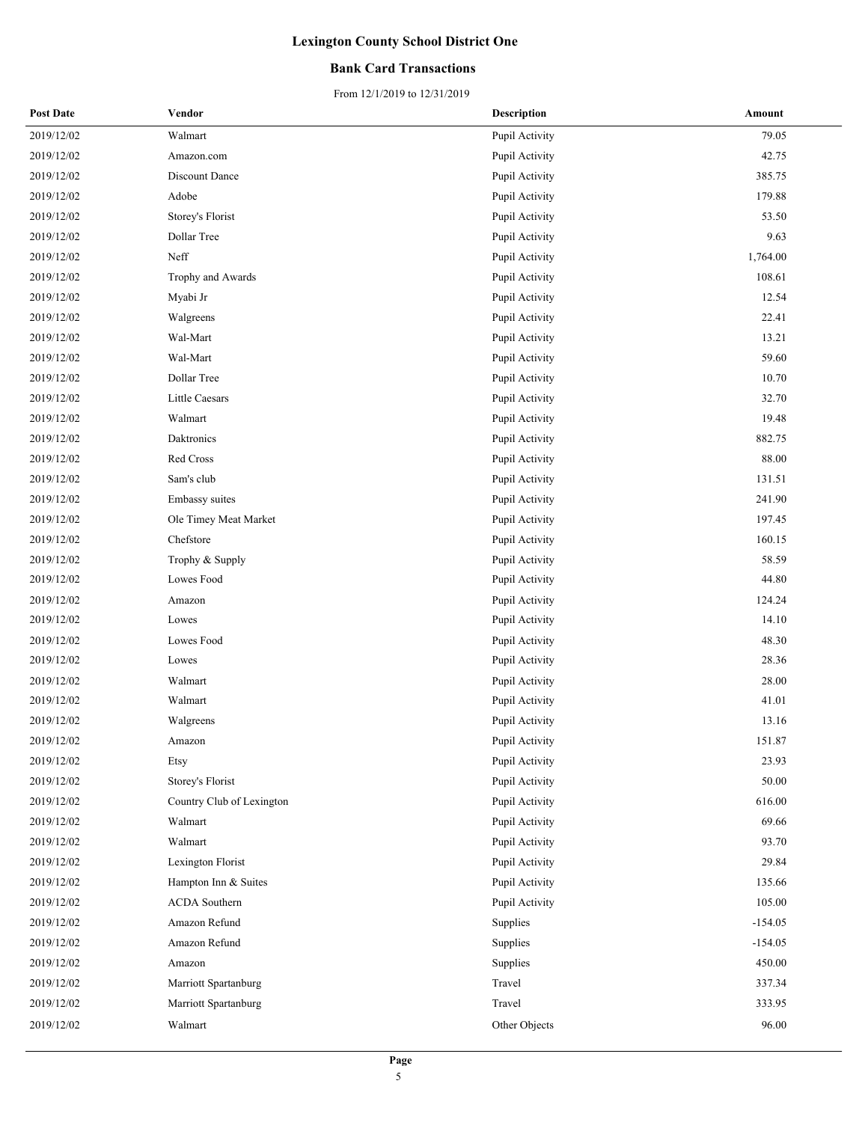### **Bank Card Transactions**

| <b>Post Date</b> | Vendor                    | <b>Description</b> | Amount    |
|------------------|---------------------------|--------------------|-----------|
| 2019/12/02       | Walmart                   | Pupil Activity     | 79.05     |
| 2019/12/02       | Amazon.com                | Pupil Activity     | 42.75     |
| 2019/12/02       | Discount Dance            | Pupil Activity     | 385.75    |
| 2019/12/02       | Adobe                     | Pupil Activity     | 179.88    |
| 2019/12/02       | Storey's Florist          | Pupil Activity     | 53.50     |
| 2019/12/02       | Dollar Tree               | Pupil Activity     | 9.63      |
| 2019/12/02       | Neff                      | Pupil Activity     | 1,764.00  |
| 2019/12/02       | Trophy and Awards         | Pupil Activity     | 108.61    |
| 2019/12/02       | Myabi Jr                  | Pupil Activity     | 12.54     |
| 2019/12/02       | Walgreens                 | Pupil Activity     | 22.41     |
| 2019/12/02       | Wal-Mart                  | Pupil Activity     | 13.21     |
| 2019/12/02       | Wal-Mart                  | Pupil Activity     | 59.60     |
| 2019/12/02       | Dollar Tree               | Pupil Activity     | 10.70     |
| 2019/12/02       | Little Caesars            | Pupil Activity     | 32.70     |
| 2019/12/02       | Walmart                   | Pupil Activity     | 19.48     |
| 2019/12/02       | <b>Daktronics</b>         | Pupil Activity     | 882.75    |
| 2019/12/02       | Red Cross                 | Pupil Activity     | 88.00     |
| 2019/12/02       | Sam's club                | Pupil Activity     | 131.51    |
| 2019/12/02       | Embassy suites            | Pupil Activity     | 241.90    |
| 2019/12/02       | Ole Timey Meat Market     | Pupil Activity     | 197.45    |
| 2019/12/02       | Chefstore                 | Pupil Activity     | 160.15    |
| 2019/12/02       | Trophy & Supply           | Pupil Activity     | 58.59     |
| 2019/12/02       | Lowes Food                | Pupil Activity     | 44.80     |
| 2019/12/02       | Amazon                    | Pupil Activity     | 124.24    |
| 2019/12/02       | Lowes                     | Pupil Activity     | 14.10     |
| 2019/12/02       | Lowes Food                | Pupil Activity     | 48.30     |
| 2019/12/02       | Lowes                     | Pupil Activity     | 28.36     |
| 2019/12/02       | Walmart                   | Pupil Activity     | 28.00     |
| 2019/12/02       | Walmart                   | Pupil Activity     | 41.01     |
| 2019/12/02       | Walgreens                 | Pupil Activity     | 13.16     |
| 2019/12/02       | Amazon                    | Pupil Activity     | 151.87    |
| 2019/12/02       | Etsy                      | Pupil Activity     | 23.93     |
| 2019/12/02       | Storey's Florist          | Pupil Activity     | 50.00     |
| 2019/12/02       | Country Club of Lexington | Pupil Activity     | 616.00    |
| 2019/12/02       | Walmart                   | Pupil Activity     | 69.66     |
| 2019/12/02       | Walmart                   | Pupil Activity     | 93.70     |
| 2019/12/02       | Lexington Florist         | Pupil Activity     | 29.84     |
| 2019/12/02       | Hampton Inn & Suites      | Pupil Activity     | 135.66    |
| 2019/12/02       | ACDA Southern             | Pupil Activity     | 105.00    |
| 2019/12/02       | Amazon Refund             | Supplies           | $-154.05$ |
| 2019/12/02       | Amazon Refund             | Supplies           | $-154.05$ |
| 2019/12/02       | Amazon                    | Supplies           | 450.00    |
| 2019/12/02       | Marriott Spartanburg      | Travel             | 337.34    |
| 2019/12/02       | Marriott Spartanburg      | Travel             | 333.95    |
| 2019/12/02       | Walmart                   | Other Objects      | 96.00     |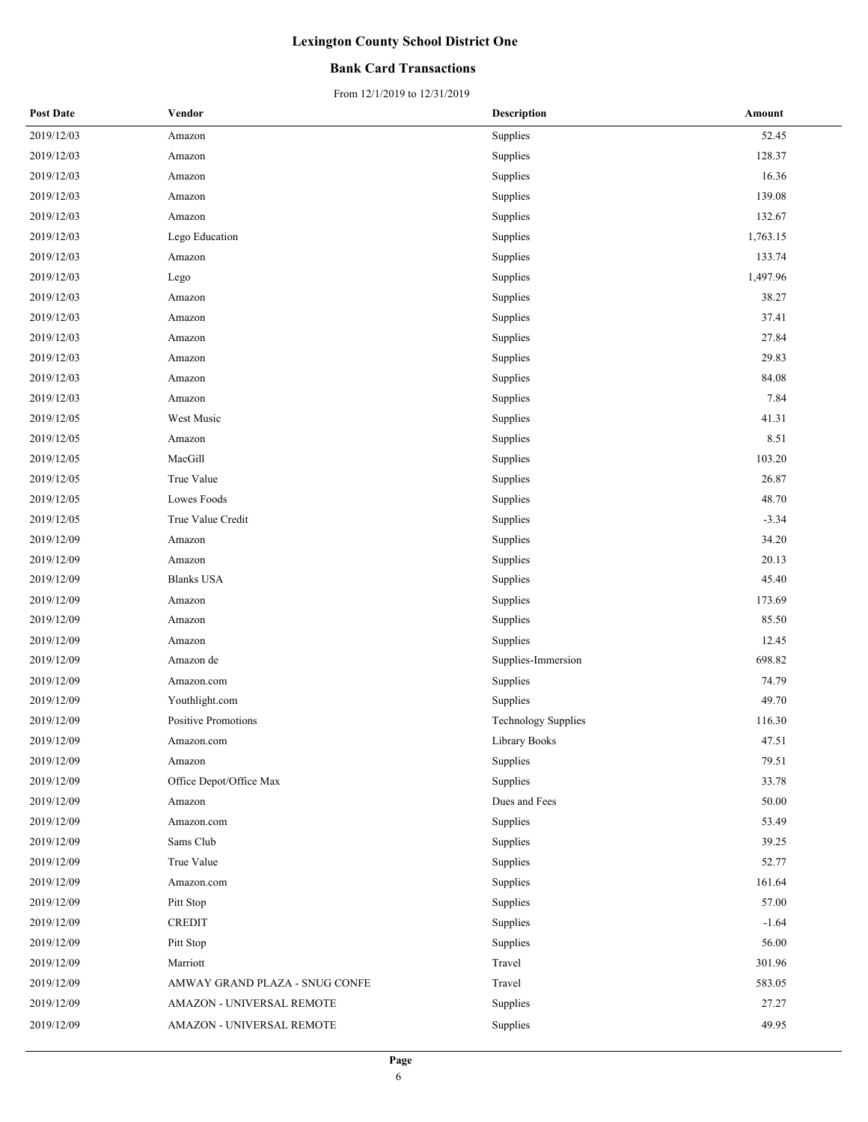### **Bank Card Transactions**

| <b>Post Date</b> | Vendor                         | <b>Description</b>         | Amount   |
|------------------|--------------------------------|----------------------------|----------|
| 2019/12/03       | Amazon                         | Supplies                   | 52.45    |
| 2019/12/03       | Amazon                         | Supplies                   | 128.37   |
| 2019/12/03       | Amazon                         | Supplies                   | 16.36    |
| 2019/12/03       | Amazon                         | Supplies                   | 139.08   |
| 2019/12/03       | Amazon                         | Supplies                   | 132.67   |
| 2019/12/03       | Lego Education                 | Supplies                   | 1,763.15 |
| 2019/12/03       | Amazon                         | Supplies                   | 133.74   |
| 2019/12/03       | Lego                           | Supplies                   | 1,497.96 |
| 2019/12/03       | Amazon                         | Supplies                   | 38.27    |
| 2019/12/03       | Amazon                         | Supplies                   | 37.41    |
| 2019/12/03       | Amazon                         | Supplies                   | 27.84    |
| 2019/12/03       | Amazon                         | Supplies                   | 29.83    |
| 2019/12/03       | Amazon                         | Supplies                   | 84.08    |
| 2019/12/03       | Amazon                         | Supplies                   | 7.84     |
| 2019/12/05       | West Music                     | Supplies                   | 41.31    |
| 2019/12/05       | Amazon                         | Supplies                   | 8.51     |
| 2019/12/05       | MacGill                        | Supplies                   | 103.20   |
| 2019/12/05       | True Value                     | Supplies                   | 26.87    |
| 2019/12/05       | Lowes Foods                    | Supplies                   | 48.70    |
| 2019/12/05       | True Value Credit              | Supplies                   | $-3.34$  |
| 2019/12/09       | Amazon                         | Supplies                   | 34.20    |
| 2019/12/09       | Amazon                         | Supplies                   | 20.13    |
| 2019/12/09       | <b>Blanks USA</b>              | Supplies                   | 45.40    |
| 2019/12/09       | Amazon                         | Supplies                   | 173.69   |
| 2019/12/09       | Amazon                         | Supplies                   | 85.50    |
| 2019/12/09       | Amazon                         | Supplies                   | 12.45    |
| 2019/12/09       | Amazon de                      | Supplies-Immersion         | 698.82   |
| 2019/12/09       | Amazon.com                     | Supplies                   | 74.79    |
| 2019/12/09       | Youthlight.com                 | Supplies                   | 49.70    |
| 2019/12/09       | <b>Positive Promotions</b>     | <b>Technology Supplies</b> | 116.30   |
| 2019/12/09       | Amazon.com                     | Library Books              | 47.51    |
| 2019/12/09       | Amazon                         | Supplies                   | 79.51    |
| 2019/12/09       | Office Depot/Office Max        | Supplies                   | 33.78    |
| 2019/12/09       | Amazon                         | Dues and Fees              | 50.00    |
| 2019/12/09       | Amazon.com                     | Supplies                   | 53.49    |
| 2019/12/09       | Sams Club                      | Supplies                   | 39.25    |
| 2019/12/09       | True Value                     | Supplies                   | 52.77    |
| 2019/12/09       | Amazon.com                     | Supplies                   | 161.64   |
| 2019/12/09       | Pitt Stop                      | Supplies                   | 57.00    |
| 2019/12/09       | <b>CREDIT</b>                  | Supplies                   | $-1.64$  |
| 2019/12/09       | Pitt Stop                      | Supplies                   | 56.00    |
| 2019/12/09       | Marriott                       | Travel                     | 301.96   |
| 2019/12/09       | AMWAY GRAND PLAZA - SNUG CONFE | Travel                     | 583.05   |
| 2019/12/09       | AMAZON - UNIVERSAL REMOTE      | Supplies                   | 27.27    |
| 2019/12/09       | AMAZON - UNIVERSAL REMOTE      | Supplies                   | 49.95    |
|                  |                                |                            |          |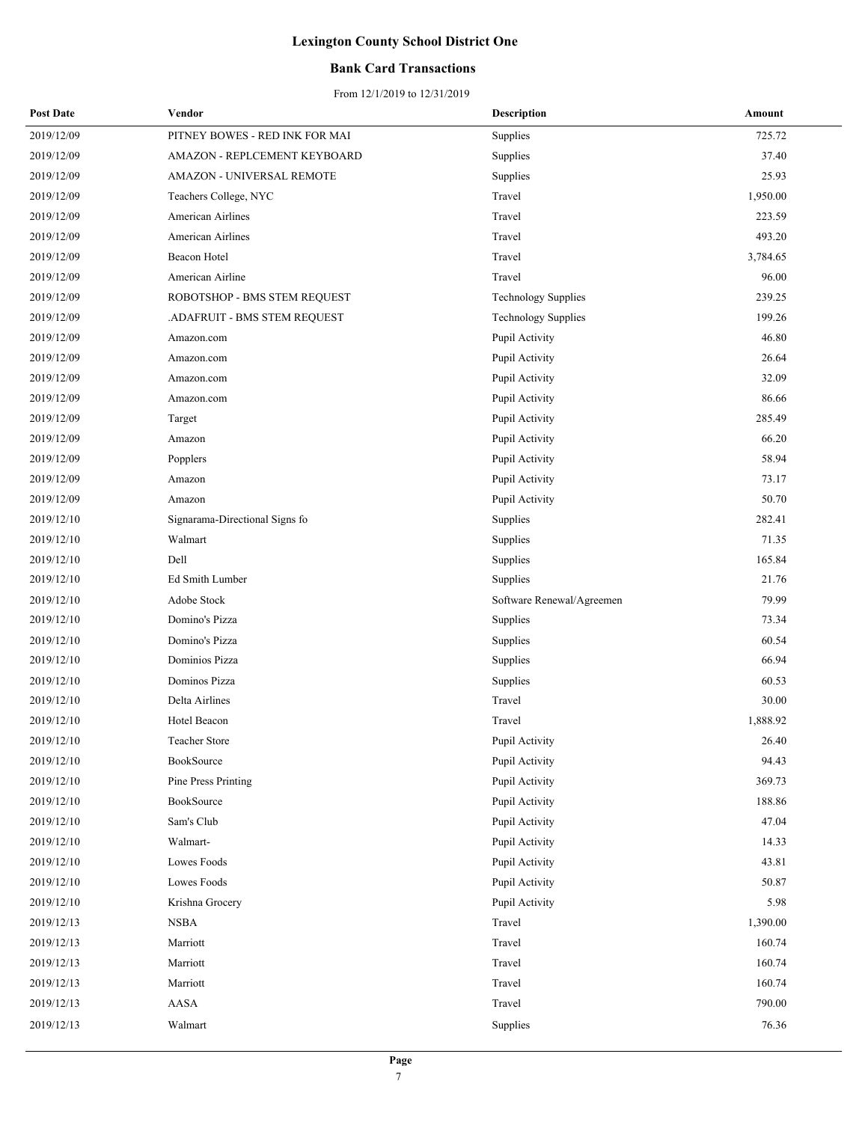### **Bank Card Transactions**

| <b>Post Date</b> | Vendor                         | Description                | Amount   |
|------------------|--------------------------------|----------------------------|----------|
| 2019/12/09       | PITNEY BOWES - RED INK FOR MAI | Supplies                   | 725.72   |
| 2019/12/09       | AMAZON - REPLCEMENT KEYBOARD   | Supplies                   | 37.40    |
| 2019/12/09       | AMAZON - UNIVERSAL REMOTE      | Supplies                   | 25.93    |
| 2019/12/09       | Teachers College, NYC          | Travel                     | 1,950.00 |
| 2019/12/09       | American Airlines              | Travel                     | 223.59   |
| 2019/12/09       | American Airlines              | Travel                     | 493.20   |
| 2019/12/09       | Beacon Hotel                   | Travel                     | 3,784.65 |
| 2019/12/09       | American Airline               | Travel                     | 96.00    |
| 2019/12/09       | ROBOTSHOP - BMS STEM REQUEST   | Technology Supplies        | 239.25   |
| 2019/12/09       | .ADAFRUIT - BMS STEM REQUEST   | <b>Technology Supplies</b> | 199.26   |
| 2019/12/09       | Amazon.com                     | Pupil Activity             | 46.80    |
| 2019/12/09       | Amazon.com                     | Pupil Activity             | 26.64    |
| 2019/12/09       | Amazon.com                     | Pupil Activity             | 32.09    |
| 2019/12/09       | Amazon.com                     | Pupil Activity             | 86.66    |
| 2019/12/09       | Target                         | Pupil Activity             | 285.49   |
| 2019/12/09       | Amazon                         | Pupil Activity             | 66.20    |
| 2019/12/09       | Popplers                       | Pupil Activity             | 58.94    |
| 2019/12/09       | Amazon                         | Pupil Activity             | 73.17    |
| 2019/12/09       | Amazon                         | Pupil Activity             | 50.70    |
| 2019/12/10       | Signarama-Directional Signs fo | Supplies                   | 282.41   |
| 2019/12/10       | Walmart                        | Supplies                   | 71.35    |
| 2019/12/10       | Dell                           | Supplies                   | 165.84   |
| 2019/12/10       | Ed Smith Lumber                | Supplies                   | 21.76    |
| 2019/12/10       | Adobe Stock                    | Software Renewal/Agreemen  | 79.99    |
| 2019/12/10       | Domino's Pizza                 | Supplies                   | 73.34    |
| 2019/12/10       | Domino's Pizza                 | Supplies                   | 60.54    |
| 2019/12/10       | Dominios Pizza                 | Supplies                   | 66.94    |
| 2019/12/10       | Dominos Pizza                  | Supplies                   | 60.53    |
| 2019/12/10       | Delta Airlines                 | Travel                     | 30.00    |
| 2019/12/10       | Hotel Beacon                   | Travel                     | 1,888.92 |
| 2019/12/10       | Teacher Store                  | Pupil Activity             | 26.40    |
| 2019/12/10       | BookSource                     | Pupil Activity             | 94.43    |
| 2019/12/10       | Pine Press Printing            | Pupil Activity             | 369.73   |
| 2019/12/10       | BookSource                     | Pupil Activity             | 188.86   |
| 2019/12/10       | Sam's Club                     | Pupil Activity             | 47.04    |
| 2019/12/10       | Walmart-                       | Pupil Activity             | 14.33    |
| 2019/12/10       | Lowes Foods                    | Pupil Activity             | 43.81    |
| 2019/12/10       | Lowes Foods                    | Pupil Activity             | 50.87    |
| 2019/12/10       | Krishna Grocery                | Pupil Activity             | 5.98     |
| 2019/12/13       | <b>NSBA</b>                    | Travel                     | 1,390.00 |
| 2019/12/13       | Marriott                       | Travel                     | 160.74   |
| 2019/12/13       | Marriott                       | Travel                     | 160.74   |
| 2019/12/13       | Marriott                       | Travel                     | 160.74   |
| 2019/12/13       | AASA                           | Travel                     | 790.00   |
| 2019/12/13       | Walmart                        | Supplies                   | 76.36    |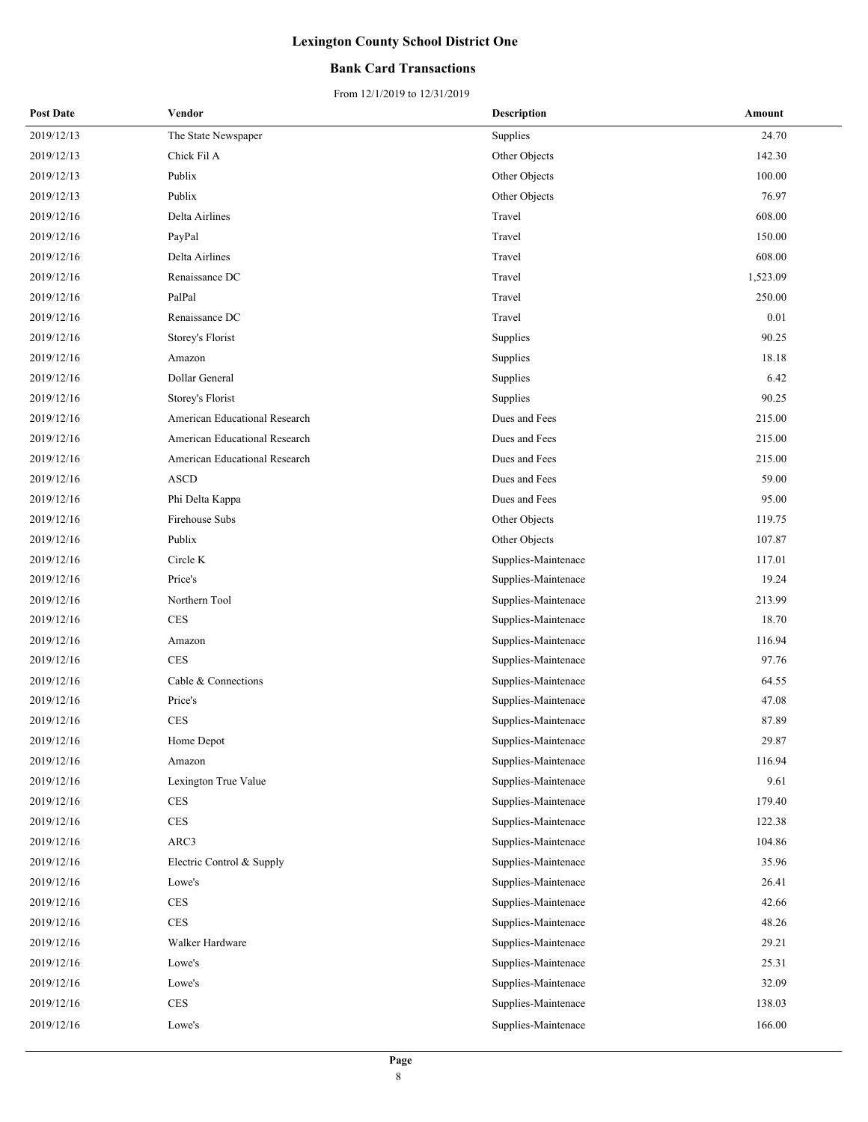### **Bank Card Transactions**

| <b>Post Date</b> | Vendor                               | <b>Description</b>  | Amount   |
|------------------|--------------------------------------|---------------------|----------|
| 2019/12/13       | The State Newspaper                  | Supplies            | 24.70    |
| 2019/12/13       | Chick Fil A                          | Other Objects       | 142.30   |
| 2019/12/13       | Publix                               | Other Objects       | 100.00   |
| 2019/12/13       | Publix                               | Other Objects       | 76.97    |
| 2019/12/16       | Delta Airlines                       | Travel              | 608.00   |
| 2019/12/16       | PayPal                               | Travel              | 150.00   |
| 2019/12/16       | Delta Airlines                       | Travel              | 608.00   |
| 2019/12/16       | Renaissance DC                       | Travel              | 1,523.09 |
| 2019/12/16       | PalPal                               | Travel              | 250.00   |
| 2019/12/16       | Renaissance DC                       | Travel              | 0.01     |
| 2019/12/16       | Storey's Florist                     | Supplies            | 90.25    |
| 2019/12/16       | Amazon                               | Supplies            | 18.18    |
| 2019/12/16       | Dollar General                       | Supplies            | 6.42     |
| 2019/12/16       | Storey's Florist                     | Supplies            | 90.25    |
| 2019/12/16       | <b>American Educational Research</b> | Dues and Fees       | 215.00   |
| 2019/12/16       | American Educational Research        | Dues and Fees       | 215.00   |
| 2019/12/16       | American Educational Research        | Dues and Fees       | 215.00   |
| 2019/12/16       | <b>ASCD</b>                          | Dues and Fees       | 59.00    |
| 2019/12/16       | Phi Delta Kappa                      | Dues and Fees       | 95.00    |
| 2019/12/16       | Firehouse Subs                       | Other Objects       | 119.75   |
| 2019/12/16       | Publix                               | Other Objects       | 107.87   |
| 2019/12/16       | Circle K                             | Supplies-Maintenace | 117.01   |
| 2019/12/16       | Price's                              | Supplies-Maintenace | 19.24    |
| 2019/12/16       | Northern Tool                        | Supplies-Maintenace | 213.99   |
| 2019/12/16       | <b>CES</b>                           | Supplies-Maintenace | 18.70    |
| 2019/12/16       | Amazon                               | Supplies-Maintenace | 116.94   |
| 2019/12/16       | <b>CES</b>                           | Supplies-Maintenace | 97.76    |
| 2019/12/16       | Cable & Connections                  | Supplies-Maintenace | 64.55    |
| 2019/12/16       | Price's                              | Supplies-Maintenace | 47.08    |
| 2019/12/16       | <b>CES</b>                           | Supplies-Maintenace | 87.89    |
| 2019/12/16       | Home Depot                           | Supplies-Maintenace | 29.87    |
| 2019/12/16       | Amazon                               | Supplies-Maintenace | 116.94   |
| 2019/12/16       | Lexington True Value                 | Supplies-Maintenace | 9.61     |
| 2019/12/16       | <b>CES</b>                           | Supplies-Maintenace | 179.40   |
| 2019/12/16       | <b>CES</b>                           | Supplies-Maintenace | 122.38   |
| 2019/12/16       | ARC3                                 | Supplies-Maintenace | 104.86   |
| 2019/12/16       | Electric Control & Supply            | Supplies-Maintenace | 35.96    |
| 2019/12/16       | Lowe's                               | Supplies-Maintenace | 26.41    |
| 2019/12/16       | $\mbox{CES}$                         | Supplies-Maintenace | 42.66    |
| 2019/12/16       | $\rm{CES}$                           | Supplies-Maintenace | 48.26    |
| 2019/12/16       | Walker Hardware                      | Supplies-Maintenace | 29.21    |
| 2019/12/16       | Lowe's                               | Supplies-Maintenace | 25.31    |
| 2019/12/16       | Lowe's                               | Supplies-Maintenace | 32.09    |
| 2019/12/16       | CES                                  | Supplies-Maintenace | 138.03   |
| 2019/12/16       | Lowe's                               | Supplies-Maintenace | 166.00   |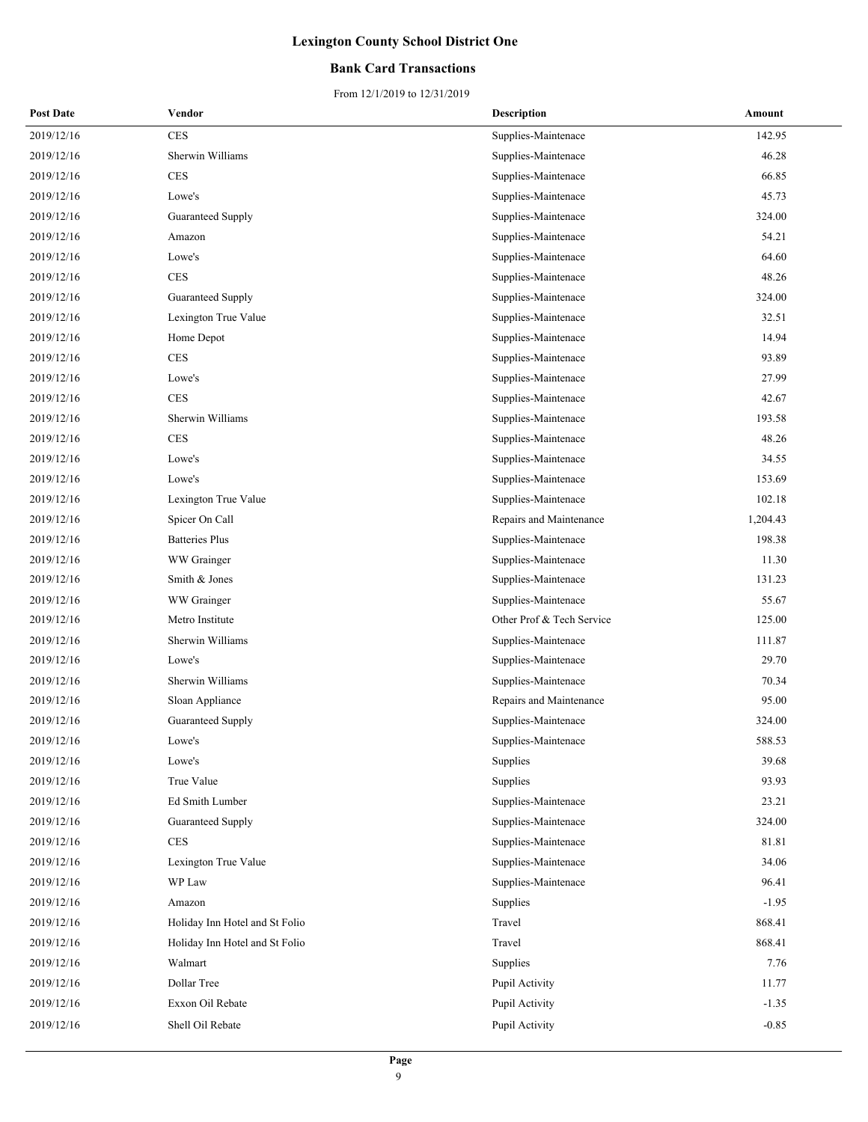### **Bank Card Transactions**

| <b>Post Date</b> | Vendor                         | <b>Description</b>        | Amount   |
|------------------|--------------------------------|---------------------------|----------|
| 2019/12/16       | <b>CES</b>                     | Supplies-Maintenace       | 142.95   |
| 2019/12/16       | Sherwin Williams               | Supplies-Maintenace       | 46.28    |
| 2019/12/16       | <b>CES</b>                     | Supplies-Maintenace       | 66.85    |
| 2019/12/16       | Lowe's                         | Supplies-Maintenace       | 45.73    |
| 2019/12/16       | Guaranteed Supply              | Supplies-Maintenace       | 324.00   |
| 2019/12/16       | Amazon                         | Supplies-Maintenace       | 54.21    |
| 2019/12/16       | Lowe's                         | Supplies-Maintenace       | 64.60    |
| 2019/12/16       | <b>CES</b>                     | Supplies-Maintenace       | 48.26    |
| 2019/12/16       | Guaranteed Supply              | Supplies-Maintenace       | 324.00   |
| 2019/12/16       | Lexington True Value           | Supplies-Maintenace       | 32.51    |
| 2019/12/16       | Home Depot                     | Supplies-Maintenace       | 14.94    |
| 2019/12/16       | <b>CES</b>                     | Supplies-Maintenace       | 93.89    |
| 2019/12/16       | Lowe's                         | Supplies-Maintenace       | 27.99    |
| 2019/12/16       | <b>CES</b>                     | Supplies-Maintenace       | 42.67    |
| 2019/12/16       | Sherwin Williams               | Supplies-Maintenace       | 193.58   |
| 2019/12/16       | <b>CES</b>                     | Supplies-Maintenace       | 48.26    |
| 2019/12/16       | Lowe's                         | Supplies-Maintenace       | 34.55    |
| 2019/12/16       | Lowe's                         | Supplies-Maintenace       | 153.69   |
| 2019/12/16       | Lexington True Value           | Supplies-Maintenace       | 102.18   |
| 2019/12/16       | Spicer On Call                 | Repairs and Maintenance   | 1,204.43 |
| 2019/12/16       | <b>Batteries Plus</b>          | Supplies-Maintenace       | 198.38   |
| 2019/12/16       | WW Grainger                    | Supplies-Maintenace       | 11.30    |
| 2019/12/16       | Smith & Jones                  | Supplies-Maintenace       | 131.23   |
| 2019/12/16       | WW Grainger                    | Supplies-Maintenace       | 55.67    |
| 2019/12/16       | Metro Institute                | Other Prof & Tech Service | 125.00   |
| 2019/12/16       | Sherwin Williams               | Supplies-Maintenace       | 111.87   |
| 2019/12/16       | Lowe's                         | Supplies-Maintenace       | 29.70    |
| 2019/12/16       | Sherwin Williams               | Supplies-Maintenace       | 70.34    |
| 2019/12/16       | Sloan Appliance                | Repairs and Maintenance   | 95.00    |
| 2019/12/16       | Guaranteed Supply              | Supplies-Maintenace       | 324.00   |
| 2019/12/16       | Lowe's                         | Supplies-Maintenace       | 588.53   |
| 2019/12/16       | Lowe's                         | Supplies                  | 39.68    |
| 2019/12/16       | True Value                     | Supplies                  | 93.93    |
| 2019/12/16       | Ed Smith Lumber                | Supplies-Maintenace       | 23.21    |
| 2019/12/16       | Guaranteed Supply              | Supplies-Maintenace       | 324.00   |
| 2019/12/16       | CES                            | Supplies-Maintenace       | 81.81    |
| 2019/12/16       | Lexington True Value           | Supplies-Maintenace       | 34.06    |
| 2019/12/16       | WP Law                         | Supplies-Maintenace       | 96.41    |
| 2019/12/16       | Amazon                         | Supplies                  | $-1.95$  |
| 2019/12/16       | Holiday Inn Hotel and St Folio | Travel                    | 868.41   |
| 2019/12/16       | Holiday Inn Hotel and St Folio | Travel                    | 868.41   |
| 2019/12/16       | Walmart                        | Supplies                  | 7.76     |
| 2019/12/16       | Dollar Tree                    | Pupil Activity            | 11.77    |
| 2019/12/16       | Exxon Oil Rebate               | Pupil Activity            | $-1.35$  |
| 2019/12/16       | Shell Oil Rebate               | Pupil Activity            | $-0.85$  |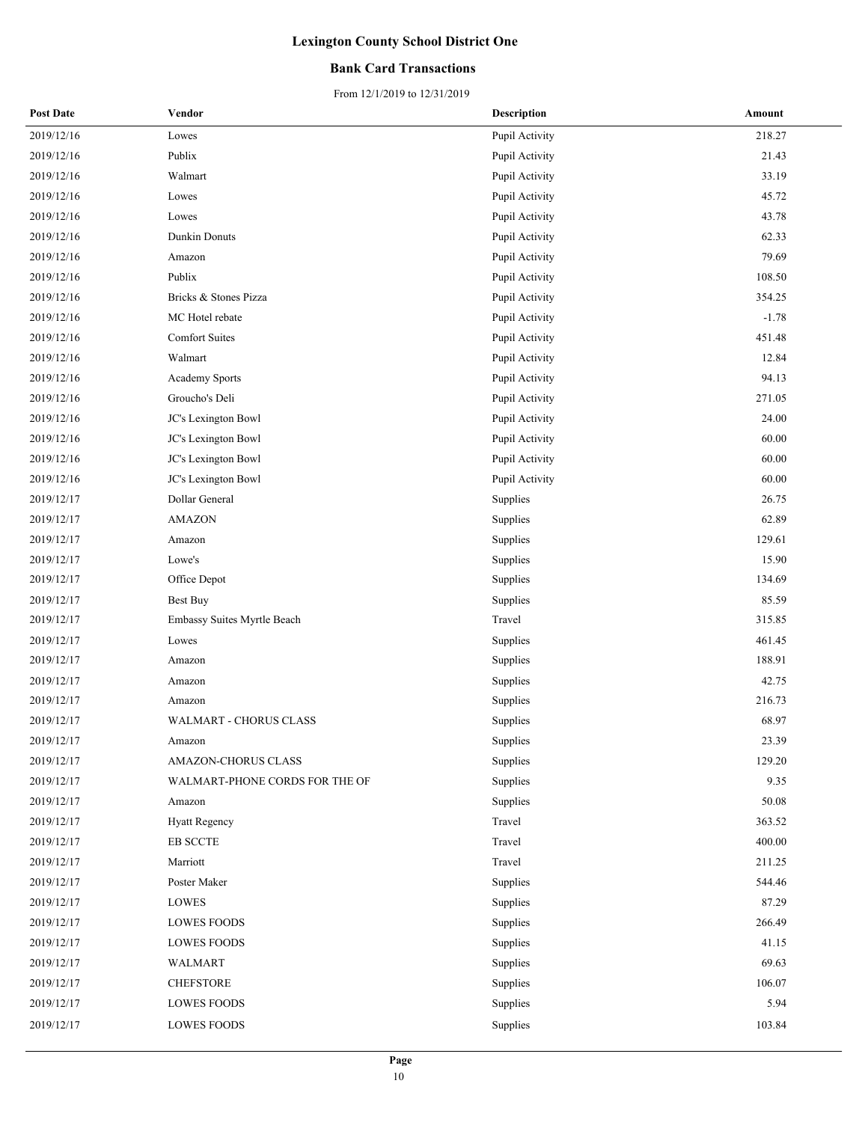### **Bank Card Transactions**

| <b>Post Date</b> | Vendor                         | <b>Description</b> | Amount  |
|------------------|--------------------------------|--------------------|---------|
| 2019/12/16       | Lowes                          | Pupil Activity     | 218.27  |
| 2019/12/16       | Publix                         | Pupil Activity     | 21.43   |
| 2019/12/16       | Walmart                        | Pupil Activity     | 33.19   |
| 2019/12/16       | Lowes                          | Pupil Activity     | 45.72   |
| 2019/12/16       | Lowes                          | Pupil Activity     | 43.78   |
| 2019/12/16       | Dunkin Donuts                  | Pupil Activity     | 62.33   |
| 2019/12/16       | Amazon                         | Pupil Activity     | 79.69   |
| 2019/12/16       | Publix                         | Pupil Activity     | 108.50  |
| 2019/12/16       | Bricks & Stones Pizza          | Pupil Activity     | 354.25  |
| 2019/12/16       | MC Hotel rebate                | Pupil Activity     | $-1.78$ |
| 2019/12/16       | <b>Comfort Suites</b>          | Pupil Activity     | 451.48  |
| 2019/12/16       | Walmart                        | Pupil Activity     | 12.84   |
| 2019/12/16       | Academy Sports                 | Pupil Activity     | 94.13   |
| 2019/12/16       | Groucho's Deli                 | Pupil Activity     | 271.05  |
| 2019/12/16       | JC's Lexington Bowl            | Pupil Activity     | 24.00   |
| 2019/12/16       | JC's Lexington Bowl            | Pupil Activity     | 60.00   |
| 2019/12/16       | JC's Lexington Bowl            | Pupil Activity     | 60.00   |
| 2019/12/16       | JC's Lexington Bowl            | Pupil Activity     | 60.00   |
| 2019/12/17       | Dollar General                 | Supplies           | 26.75   |
| 2019/12/17       | <b>AMAZON</b>                  | Supplies           | 62.89   |
| 2019/12/17       | Amazon                         | Supplies           | 129.61  |
| 2019/12/17       | Lowe's                         | Supplies           | 15.90   |
| 2019/12/17       | Office Depot                   | Supplies           | 134.69  |
| 2019/12/17       | <b>Best Buy</b>                | Supplies           | 85.59   |
| 2019/12/17       | Embassy Suites Myrtle Beach    | Travel             | 315.85  |
| 2019/12/17       | Lowes                          | Supplies           | 461.45  |
| 2019/12/17       | Amazon                         | Supplies           | 188.91  |
| 2019/12/17       | Amazon                         | Supplies           | 42.75   |
| 2019/12/17       | Amazon                         | Supplies           | 216.73  |
| 2019/12/17       | <b>WALMART - CHORUS CLASS</b>  | Supplies           | 68.97   |
| 2019/12/17       | Amazon                         | Supplies           | 23.39   |
| 2019/12/17       | AMAZON-CHORUS CLASS            | Supplies           | 129.20  |
| 2019/12/17       | WALMART-PHONE CORDS FOR THE OF | Supplies           | 9.35    |
| 2019/12/17       | Amazon                         | Supplies           | 50.08   |
| 2019/12/17       | <b>Hyatt Regency</b>           | Travel             | 363.52  |
| 2019/12/17       | EB SCCTE                       | Travel             | 400.00  |
| 2019/12/17       | Marriott                       | Travel             | 211.25  |
| 2019/12/17       | Poster Maker                   | Supplies           | 544.46  |
| 2019/12/17       | LOWES                          | Supplies           | 87.29   |
| 2019/12/17       | <b>LOWES FOODS</b>             | Supplies           | 266.49  |
| 2019/12/17       | <b>LOWES FOODS</b>             | Supplies           | 41.15   |
| 2019/12/17       | WALMART                        | Supplies           | 69.63   |
| 2019/12/17       | <b>CHEFSTORE</b>               | Supplies           | 106.07  |
| 2019/12/17       | <b>LOWES FOODS</b>             | Supplies           | 5.94    |
| 2019/12/17       | <b>LOWES FOODS</b>             | Supplies           | 103.84  |
|                  |                                |                    |         |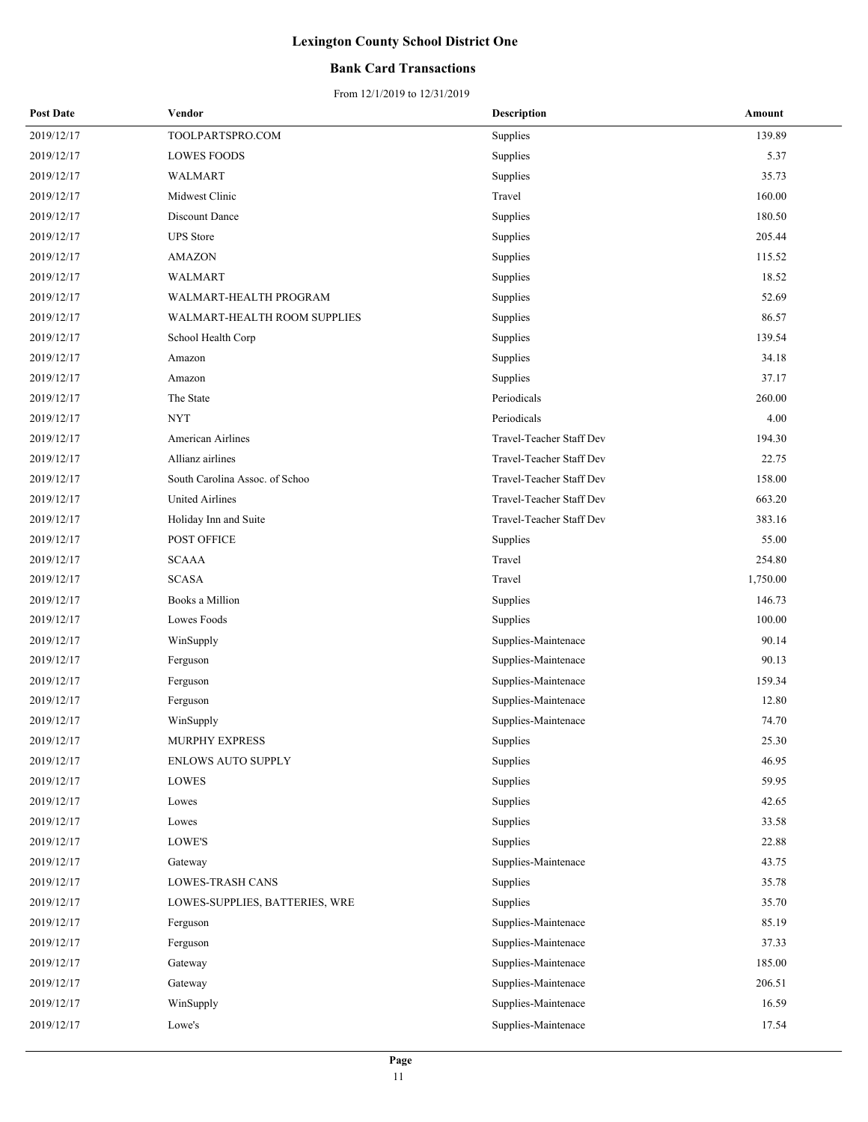### **Bank Card Transactions**

| 2019/12/17<br>TOOLPARTSPRO.COM<br>Supplies<br>139.89<br>2019/12/17<br><b>LOWES FOODS</b><br>Supplies<br>5.37<br>Supplies<br>2019/12/17<br>WALMART<br>35.73<br>160.00<br>2019/12/17<br>Midwest Clinic<br>Travel<br>2019/12/17<br>Discount Dance<br>180.50<br>Supplies<br><b>UPS</b> Store<br>205.44<br>2019/12/17<br>Supplies<br>115.52<br>2019/12/17<br><b>AMAZON</b><br>Supplies<br>18.52<br>2019/12/17<br>WALMART<br>Supplies<br>52.69<br>2019/12/17<br>WALMART-HEALTH PROGRAM<br>Supplies<br>86.57<br>2019/12/17<br>WALMART-HEALTH ROOM SUPPLIES<br>Supplies<br>139.54<br>2019/12/17<br>School Health Corp<br>Supplies<br>34.18<br>2019/12/17<br>Supplies<br>Amazon<br>Supplies<br>37.17<br>2019/12/17<br>Amazon<br>The State<br>Periodicals<br>260.00<br>2019/12/17<br><b>NYT</b><br>Periodicals<br>4.00<br>2019/12/17<br>194.30<br>2019/12/17<br>American Airlines<br>Travel-Teacher Staff Dev<br>Allianz airlines<br>Travel-Teacher Staff Dev<br>22.75<br>2019/12/17<br>Travel-Teacher Staff Dev<br>158.00<br>2019/12/17<br>South Carolina Assoc. of Schoo<br>United Airlines<br>Travel-Teacher Staff Dev<br>663.20<br>2019/12/17<br>383.16<br>2019/12/17<br>Holiday Inn and Suite<br>Travel-Teacher Staff Dev<br>2019/12/17<br>POST OFFICE<br>55.00<br>Supplies<br>2019/12/17<br><b>SCAAA</b><br>Travel<br>254.80<br><b>SCASA</b><br>Travel<br>1,750.00<br>2019/12/17<br>Books a Million<br>146.73<br>2019/12/17<br>Supplies<br>Lowes Foods<br>100.00<br>2019/12/17<br>Supplies<br>90.14<br>2019/12/17<br>WinSupply<br>Supplies-Maintenace<br>90.13<br>2019/12/17<br>Supplies-Maintenace<br>Ferguson<br>159.34<br>2019/12/17<br>Supplies-Maintenace<br>Ferguson<br>12.80<br>2019/12/17<br>Ferguson<br>Supplies-Maintenace<br>2019/12/17<br>WinSupply<br>Supplies-Maintenace<br>74.70<br>2019/12/17<br>MURPHY EXPRESS<br>25.30<br>Supplies<br>46.95<br>2019/12/17<br><b>ENLOWS AUTO SUPPLY</b><br>Supplies<br>Supplies<br>59.95<br>2019/12/17<br>LOWES<br>42.65<br>2019/12/17<br>Lowes<br>Supplies<br>2019/12/17<br>Supplies<br>33.58<br>Lowes<br>2019/12/17<br>LOWE'S<br>22.88<br>Supplies<br>2019/12/17<br>Supplies-Maintenace<br>43.75<br>Gateway<br>2019/12/17<br>LOWES-TRASH CANS<br>Supplies<br>35.78<br>2019/12/17<br>35.70<br>LOWES-SUPPLIES, BATTERIES, WRE<br>Supplies<br>2019/12/17<br>85.19<br>Supplies-Maintenace<br>Ferguson<br>37.33<br>2019/12/17<br>Supplies-Maintenace<br>Ferguson<br>Supplies-Maintenace<br>185.00<br>2019/12/17<br>Gateway<br>2019/12/17<br>206.51<br>Gateway<br>Supplies-Maintenace<br>2019/12/17<br>16.59<br>WinSupply<br>Supplies-Maintenace<br>2019/12/17<br>Supplies-Maintenace<br>Lowe's<br>17.54 | <b>Post Date</b> | Vendor | <b>Description</b> | Amount |
|---------------------------------------------------------------------------------------------------------------------------------------------------------------------------------------------------------------------------------------------------------------------------------------------------------------------------------------------------------------------------------------------------------------------------------------------------------------------------------------------------------------------------------------------------------------------------------------------------------------------------------------------------------------------------------------------------------------------------------------------------------------------------------------------------------------------------------------------------------------------------------------------------------------------------------------------------------------------------------------------------------------------------------------------------------------------------------------------------------------------------------------------------------------------------------------------------------------------------------------------------------------------------------------------------------------------------------------------------------------------------------------------------------------------------------------------------------------------------------------------------------------------------------------------------------------------------------------------------------------------------------------------------------------------------------------------------------------------------------------------------------------------------------------------------------------------------------------------------------------------------------------------------------------------------------------------------------------------------------------------------------------------------------------------------------------------------------------------------------------------------------------------------------------------------------------------------------------------------------------------------------------------------------------------------------------------------------------------------------------------------------------------------------------------------------------------------------------------------------------------------------------------------------------------------------------------------------------------------------------------------------------------------|------------------|--------|--------------------|--------|
|                                                                                                                                                                                                                                                                                                                                                                                                                                                                                                                                                                                                                                                                                                                                                                                                                                                                                                                                                                                                                                                                                                                                                                                                                                                                                                                                                                                                                                                                                                                                                                                                                                                                                                                                                                                                                                                                                                                                                                                                                                                                                                                                                                                                                                                                                                                                                                                                                                                                                                                                                                                                                                                   |                  |        |                    |        |
|                                                                                                                                                                                                                                                                                                                                                                                                                                                                                                                                                                                                                                                                                                                                                                                                                                                                                                                                                                                                                                                                                                                                                                                                                                                                                                                                                                                                                                                                                                                                                                                                                                                                                                                                                                                                                                                                                                                                                                                                                                                                                                                                                                                                                                                                                                                                                                                                                                                                                                                                                                                                                                                   |                  |        |                    |        |
|                                                                                                                                                                                                                                                                                                                                                                                                                                                                                                                                                                                                                                                                                                                                                                                                                                                                                                                                                                                                                                                                                                                                                                                                                                                                                                                                                                                                                                                                                                                                                                                                                                                                                                                                                                                                                                                                                                                                                                                                                                                                                                                                                                                                                                                                                                                                                                                                                                                                                                                                                                                                                                                   |                  |        |                    |        |
|                                                                                                                                                                                                                                                                                                                                                                                                                                                                                                                                                                                                                                                                                                                                                                                                                                                                                                                                                                                                                                                                                                                                                                                                                                                                                                                                                                                                                                                                                                                                                                                                                                                                                                                                                                                                                                                                                                                                                                                                                                                                                                                                                                                                                                                                                                                                                                                                                                                                                                                                                                                                                                                   |                  |        |                    |        |
|                                                                                                                                                                                                                                                                                                                                                                                                                                                                                                                                                                                                                                                                                                                                                                                                                                                                                                                                                                                                                                                                                                                                                                                                                                                                                                                                                                                                                                                                                                                                                                                                                                                                                                                                                                                                                                                                                                                                                                                                                                                                                                                                                                                                                                                                                                                                                                                                                                                                                                                                                                                                                                                   |                  |        |                    |        |
|                                                                                                                                                                                                                                                                                                                                                                                                                                                                                                                                                                                                                                                                                                                                                                                                                                                                                                                                                                                                                                                                                                                                                                                                                                                                                                                                                                                                                                                                                                                                                                                                                                                                                                                                                                                                                                                                                                                                                                                                                                                                                                                                                                                                                                                                                                                                                                                                                                                                                                                                                                                                                                                   |                  |        |                    |        |
|                                                                                                                                                                                                                                                                                                                                                                                                                                                                                                                                                                                                                                                                                                                                                                                                                                                                                                                                                                                                                                                                                                                                                                                                                                                                                                                                                                                                                                                                                                                                                                                                                                                                                                                                                                                                                                                                                                                                                                                                                                                                                                                                                                                                                                                                                                                                                                                                                                                                                                                                                                                                                                                   |                  |        |                    |        |
|                                                                                                                                                                                                                                                                                                                                                                                                                                                                                                                                                                                                                                                                                                                                                                                                                                                                                                                                                                                                                                                                                                                                                                                                                                                                                                                                                                                                                                                                                                                                                                                                                                                                                                                                                                                                                                                                                                                                                                                                                                                                                                                                                                                                                                                                                                                                                                                                                                                                                                                                                                                                                                                   |                  |        |                    |        |
|                                                                                                                                                                                                                                                                                                                                                                                                                                                                                                                                                                                                                                                                                                                                                                                                                                                                                                                                                                                                                                                                                                                                                                                                                                                                                                                                                                                                                                                                                                                                                                                                                                                                                                                                                                                                                                                                                                                                                                                                                                                                                                                                                                                                                                                                                                                                                                                                                                                                                                                                                                                                                                                   |                  |        |                    |        |
|                                                                                                                                                                                                                                                                                                                                                                                                                                                                                                                                                                                                                                                                                                                                                                                                                                                                                                                                                                                                                                                                                                                                                                                                                                                                                                                                                                                                                                                                                                                                                                                                                                                                                                                                                                                                                                                                                                                                                                                                                                                                                                                                                                                                                                                                                                                                                                                                                                                                                                                                                                                                                                                   |                  |        |                    |        |
|                                                                                                                                                                                                                                                                                                                                                                                                                                                                                                                                                                                                                                                                                                                                                                                                                                                                                                                                                                                                                                                                                                                                                                                                                                                                                                                                                                                                                                                                                                                                                                                                                                                                                                                                                                                                                                                                                                                                                                                                                                                                                                                                                                                                                                                                                                                                                                                                                                                                                                                                                                                                                                                   |                  |        |                    |        |
|                                                                                                                                                                                                                                                                                                                                                                                                                                                                                                                                                                                                                                                                                                                                                                                                                                                                                                                                                                                                                                                                                                                                                                                                                                                                                                                                                                                                                                                                                                                                                                                                                                                                                                                                                                                                                                                                                                                                                                                                                                                                                                                                                                                                                                                                                                                                                                                                                                                                                                                                                                                                                                                   |                  |        |                    |        |
|                                                                                                                                                                                                                                                                                                                                                                                                                                                                                                                                                                                                                                                                                                                                                                                                                                                                                                                                                                                                                                                                                                                                                                                                                                                                                                                                                                                                                                                                                                                                                                                                                                                                                                                                                                                                                                                                                                                                                                                                                                                                                                                                                                                                                                                                                                                                                                                                                                                                                                                                                                                                                                                   |                  |        |                    |        |
|                                                                                                                                                                                                                                                                                                                                                                                                                                                                                                                                                                                                                                                                                                                                                                                                                                                                                                                                                                                                                                                                                                                                                                                                                                                                                                                                                                                                                                                                                                                                                                                                                                                                                                                                                                                                                                                                                                                                                                                                                                                                                                                                                                                                                                                                                                                                                                                                                                                                                                                                                                                                                                                   |                  |        |                    |        |
|                                                                                                                                                                                                                                                                                                                                                                                                                                                                                                                                                                                                                                                                                                                                                                                                                                                                                                                                                                                                                                                                                                                                                                                                                                                                                                                                                                                                                                                                                                                                                                                                                                                                                                                                                                                                                                                                                                                                                                                                                                                                                                                                                                                                                                                                                                                                                                                                                                                                                                                                                                                                                                                   |                  |        |                    |        |
|                                                                                                                                                                                                                                                                                                                                                                                                                                                                                                                                                                                                                                                                                                                                                                                                                                                                                                                                                                                                                                                                                                                                                                                                                                                                                                                                                                                                                                                                                                                                                                                                                                                                                                                                                                                                                                                                                                                                                                                                                                                                                                                                                                                                                                                                                                                                                                                                                                                                                                                                                                                                                                                   |                  |        |                    |        |
|                                                                                                                                                                                                                                                                                                                                                                                                                                                                                                                                                                                                                                                                                                                                                                                                                                                                                                                                                                                                                                                                                                                                                                                                                                                                                                                                                                                                                                                                                                                                                                                                                                                                                                                                                                                                                                                                                                                                                                                                                                                                                                                                                                                                                                                                                                                                                                                                                                                                                                                                                                                                                                                   |                  |        |                    |        |
|                                                                                                                                                                                                                                                                                                                                                                                                                                                                                                                                                                                                                                                                                                                                                                                                                                                                                                                                                                                                                                                                                                                                                                                                                                                                                                                                                                                                                                                                                                                                                                                                                                                                                                                                                                                                                                                                                                                                                                                                                                                                                                                                                                                                                                                                                                                                                                                                                                                                                                                                                                                                                                                   |                  |        |                    |        |
|                                                                                                                                                                                                                                                                                                                                                                                                                                                                                                                                                                                                                                                                                                                                                                                                                                                                                                                                                                                                                                                                                                                                                                                                                                                                                                                                                                                                                                                                                                                                                                                                                                                                                                                                                                                                                                                                                                                                                                                                                                                                                                                                                                                                                                                                                                                                                                                                                                                                                                                                                                                                                                                   |                  |        |                    |        |
|                                                                                                                                                                                                                                                                                                                                                                                                                                                                                                                                                                                                                                                                                                                                                                                                                                                                                                                                                                                                                                                                                                                                                                                                                                                                                                                                                                                                                                                                                                                                                                                                                                                                                                                                                                                                                                                                                                                                                                                                                                                                                                                                                                                                                                                                                                                                                                                                                                                                                                                                                                                                                                                   |                  |        |                    |        |
|                                                                                                                                                                                                                                                                                                                                                                                                                                                                                                                                                                                                                                                                                                                                                                                                                                                                                                                                                                                                                                                                                                                                                                                                                                                                                                                                                                                                                                                                                                                                                                                                                                                                                                                                                                                                                                                                                                                                                                                                                                                                                                                                                                                                                                                                                                                                                                                                                                                                                                                                                                                                                                                   |                  |        |                    |        |
|                                                                                                                                                                                                                                                                                                                                                                                                                                                                                                                                                                                                                                                                                                                                                                                                                                                                                                                                                                                                                                                                                                                                                                                                                                                                                                                                                                                                                                                                                                                                                                                                                                                                                                                                                                                                                                                                                                                                                                                                                                                                                                                                                                                                                                                                                                                                                                                                                                                                                                                                                                                                                                                   |                  |        |                    |        |
|                                                                                                                                                                                                                                                                                                                                                                                                                                                                                                                                                                                                                                                                                                                                                                                                                                                                                                                                                                                                                                                                                                                                                                                                                                                                                                                                                                                                                                                                                                                                                                                                                                                                                                                                                                                                                                                                                                                                                                                                                                                                                                                                                                                                                                                                                                                                                                                                                                                                                                                                                                                                                                                   |                  |        |                    |        |
|                                                                                                                                                                                                                                                                                                                                                                                                                                                                                                                                                                                                                                                                                                                                                                                                                                                                                                                                                                                                                                                                                                                                                                                                                                                                                                                                                                                                                                                                                                                                                                                                                                                                                                                                                                                                                                                                                                                                                                                                                                                                                                                                                                                                                                                                                                                                                                                                                                                                                                                                                                                                                                                   |                  |        |                    |        |
|                                                                                                                                                                                                                                                                                                                                                                                                                                                                                                                                                                                                                                                                                                                                                                                                                                                                                                                                                                                                                                                                                                                                                                                                                                                                                                                                                                                                                                                                                                                                                                                                                                                                                                                                                                                                                                                                                                                                                                                                                                                                                                                                                                                                                                                                                                                                                                                                                                                                                                                                                                                                                                                   |                  |        |                    |        |
|                                                                                                                                                                                                                                                                                                                                                                                                                                                                                                                                                                                                                                                                                                                                                                                                                                                                                                                                                                                                                                                                                                                                                                                                                                                                                                                                                                                                                                                                                                                                                                                                                                                                                                                                                                                                                                                                                                                                                                                                                                                                                                                                                                                                                                                                                                                                                                                                                                                                                                                                                                                                                                                   |                  |        |                    |        |
|                                                                                                                                                                                                                                                                                                                                                                                                                                                                                                                                                                                                                                                                                                                                                                                                                                                                                                                                                                                                                                                                                                                                                                                                                                                                                                                                                                                                                                                                                                                                                                                                                                                                                                                                                                                                                                                                                                                                                                                                                                                                                                                                                                                                                                                                                                                                                                                                                                                                                                                                                                                                                                                   |                  |        |                    |        |
|                                                                                                                                                                                                                                                                                                                                                                                                                                                                                                                                                                                                                                                                                                                                                                                                                                                                                                                                                                                                                                                                                                                                                                                                                                                                                                                                                                                                                                                                                                                                                                                                                                                                                                                                                                                                                                                                                                                                                                                                                                                                                                                                                                                                                                                                                                                                                                                                                                                                                                                                                                                                                                                   |                  |        |                    |        |
|                                                                                                                                                                                                                                                                                                                                                                                                                                                                                                                                                                                                                                                                                                                                                                                                                                                                                                                                                                                                                                                                                                                                                                                                                                                                                                                                                                                                                                                                                                                                                                                                                                                                                                                                                                                                                                                                                                                                                                                                                                                                                                                                                                                                                                                                                                                                                                                                                                                                                                                                                                                                                                                   |                  |        |                    |        |
|                                                                                                                                                                                                                                                                                                                                                                                                                                                                                                                                                                                                                                                                                                                                                                                                                                                                                                                                                                                                                                                                                                                                                                                                                                                                                                                                                                                                                                                                                                                                                                                                                                                                                                                                                                                                                                                                                                                                                                                                                                                                                                                                                                                                                                                                                                                                                                                                                                                                                                                                                                                                                                                   |                  |        |                    |        |
|                                                                                                                                                                                                                                                                                                                                                                                                                                                                                                                                                                                                                                                                                                                                                                                                                                                                                                                                                                                                                                                                                                                                                                                                                                                                                                                                                                                                                                                                                                                                                                                                                                                                                                                                                                                                                                                                                                                                                                                                                                                                                                                                                                                                                                                                                                                                                                                                                                                                                                                                                                                                                                                   |                  |        |                    |        |
|                                                                                                                                                                                                                                                                                                                                                                                                                                                                                                                                                                                                                                                                                                                                                                                                                                                                                                                                                                                                                                                                                                                                                                                                                                                                                                                                                                                                                                                                                                                                                                                                                                                                                                                                                                                                                                                                                                                                                                                                                                                                                                                                                                                                                                                                                                                                                                                                                                                                                                                                                                                                                                                   |                  |        |                    |        |
|                                                                                                                                                                                                                                                                                                                                                                                                                                                                                                                                                                                                                                                                                                                                                                                                                                                                                                                                                                                                                                                                                                                                                                                                                                                                                                                                                                                                                                                                                                                                                                                                                                                                                                                                                                                                                                                                                                                                                                                                                                                                                                                                                                                                                                                                                                                                                                                                                                                                                                                                                                                                                                                   |                  |        |                    |        |
|                                                                                                                                                                                                                                                                                                                                                                                                                                                                                                                                                                                                                                                                                                                                                                                                                                                                                                                                                                                                                                                                                                                                                                                                                                                                                                                                                                                                                                                                                                                                                                                                                                                                                                                                                                                                                                                                                                                                                                                                                                                                                                                                                                                                                                                                                                                                                                                                                                                                                                                                                                                                                                                   |                  |        |                    |        |
|                                                                                                                                                                                                                                                                                                                                                                                                                                                                                                                                                                                                                                                                                                                                                                                                                                                                                                                                                                                                                                                                                                                                                                                                                                                                                                                                                                                                                                                                                                                                                                                                                                                                                                                                                                                                                                                                                                                                                                                                                                                                                                                                                                                                                                                                                                                                                                                                                                                                                                                                                                                                                                                   |                  |        |                    |        |
|                                                                                                                                                                                                                                                                                                                                                                                                                                                                                                                                                                                                                                                                                                                                                                                                                                                                                                                                                                                                                                                                                                                                                                                                                                                                                                                                                                                                                                                                                                                                                                                                                                                                                                                                                                                                                                                                                                                                                                                                                                                                                                                                                                                                                                                                                                                                                                                                                                                                                                                                                                                                                                                   |                  |        |                    |        |
|                                                                                                                                                                                                                                                                                                                                                                                                                                                                                                                                                                                                                                                                                                                                                                                                                                                                                                                                                                                                                                                                                                                                                                                                                                                                                                                                                                                                                                                                                                                                                                                                                                                                                                                                                                                                                                                                                                                                                                                                                                                                                                                                                                                                                                                                                                                                                                                                                                                                                                                                                                                                                                                   |                  |        |                    |        |
|                                                                                                                                                                                                                                                                                                                                                                                                                                                                                                                                                                                                                                                                                                                                                                                                                                                                                                                                                                                                                                                                                                                                                                                                                                                                                                                                                                                                                                                                                                                                                                                                                                                                                                                                                                                                                                                                                                                                                                                                                                                                                                                                                                                                                                                                                                                                                                                                                                                                                                                                                                                                                                                   |                  |        |                    |        |
|                                                                                                                                                                                                                                                                                                                                                                                                                                                                                                                                                                                                                                                                                                                                                                                                                                                                                                                                                                                                                                                                                                                                                                                                                                                                                                                                                                                                                                                                                                                                                                                                                                                                                                                                                                                                                                                                                                                                                                                                                                                                                                                                                                                                                                                                                                                                                                                                                                                                                                                                                                                                                                                   |                  |        |                    |        |
|                                                                                                                                                                                                                                                                                                                                                                                                                                                                                                                                                                                                                                                                                                                                                                                                                                                                                                                                                                                                                                                                                                                                                                                                                                                                                                                                                                                                                                                                                                                                                                                                                                                                                                                                                                                                                                                                                                                                                                                                                                                                                                                                                                                                                                                                                                                                                                                                                                                                                                                                                                                                                                                   |                  |        |                    |        |
|                                                                                                                                                                                                                                                                                                                                                                                                                                                                                                                                                                                                                                                                                                                                                                                                                                                                                                                                                                                                                                                                                                                                                                                                                                                                                                                                                                                                                                                                                                                                                                                                                                                                                                                                                                                                                                                                                                                                                                                                                                                                                                                                                                                                                                                                                                                                                                                                                                                                                                                                                                                                                                                   |                  |        |                    |        |
|                                                                                                                                                                                                                                                                                                                                                                                                                                                                                                                                                                                                                                                                                                                                                                                                                                                                                                                                                                                                                                                                                                                                                                                                                                                                                                                                                                                                                                                                                                                                                                                                                                                                                                                                                                                                                                                                                                                                                                                                                                                                                                                                                                                                                                                                                                                                                                                                                                                                                                                                                                                                                                                   |                  |        |                    |        |
|                                                                                                                                                                                                                                                                                                                                                                                                                                                                                                                                                                                                                                                                                                                                                                                                                                                                                                                                                                                                                                                                                                                                                                                                                                                                                                                                                                                                                                                                                                                                                                                                                                                                                                                                                                                                                                                                                                                                                                                                                                                                                                                                                                                                                                                                                                                                                                                                                                                                                                                                                                                                                                                   |                  |        |                    |        |
|                                                                                                                                                                                                                                                                                                                                                                                                                                                                                                                                                                                                                                                                                                                                                                                                                                                                                                                                                                                                                                                                                                                                                                                                                                                                                                                                                                                                                                                                                                                                                                                                                                                                                                                                                                                                                                                                                                                                                                                                                                                                                                                                                                                                                                                                                                                                                                                                                                                                                                                                                                                                                                                   |                  |        |                    |        |
|                                                                                                                                                                                                                                                                                                                                                                                                                                                                                                                                                                                                                                                                                                                                                                                                                                                                                                                                                                                                                                                                                                                                                                                                                                                                                                                                                                                                                                                                                                                                                                                                                                                                                                                                                                                                                                                                                                                                                                                                                                                                                                                                                                                                                                                                                                                                                                                                                                                                                                                                                                                                                                                   |                  |        |                    |        |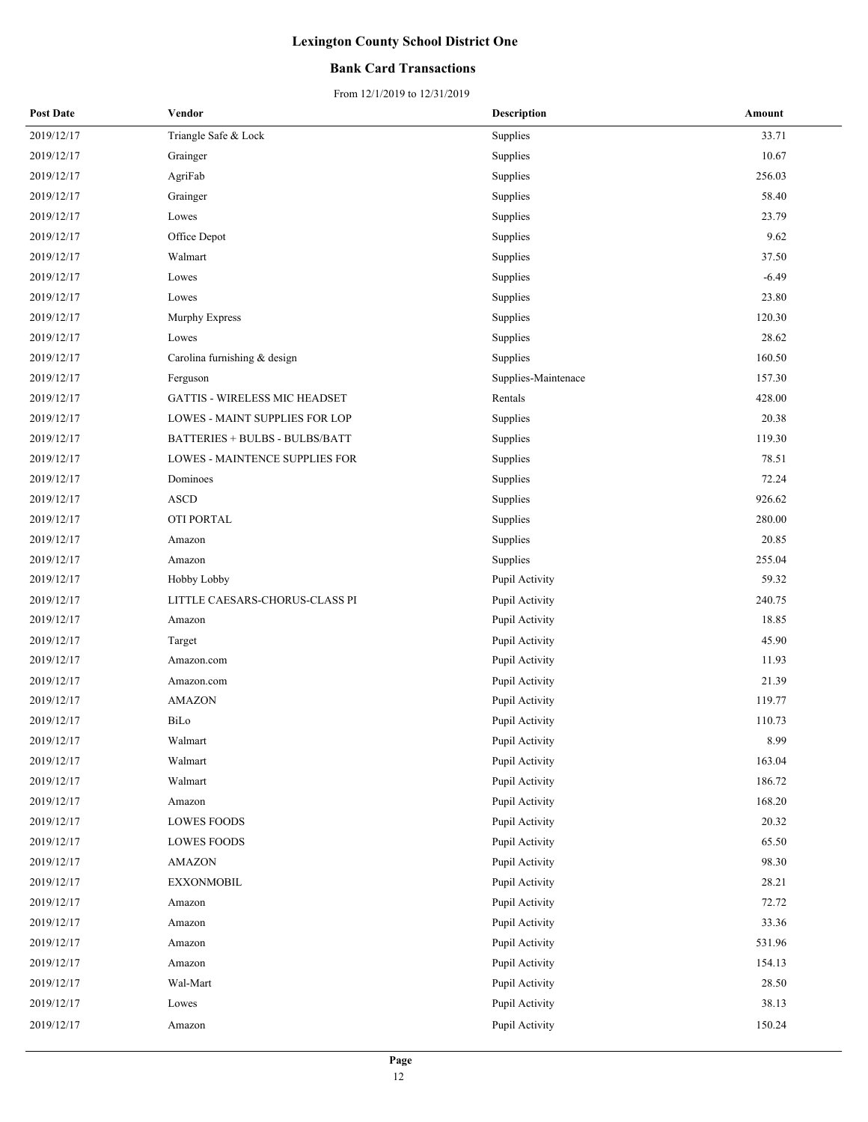### **Bank Card Transactions**

| <b>Post Date</b> | Vendor                               | <b>Description</b>  | Amount  |
|------------------|--------------------------------------|---------------------|---------|
| 2019/12/17       | Triangle Safe & Lock                 | Supplies            | 33.71   |
| 2019/12/17       | Grainger                             | Supplies            | 10.67   |
| 2019/12/17       | AgriFab                              | Supplies            | 256.03  |
| 2019/12/17       | Grainger                             | Supplies            | 58.40   |
| 2019/12/17       | Lowes                                | Supplies            | 23.79   |
| 2019/12/17       | Office Depot                         | Supplies            | 9.62    |
| 2019/12/17       | Walmart                              | Supplies            | 37.50   |
| 2019/12/17       | Lowes                                | Supplies            | $-6.49$ |
| 2019/12/17       | Lowes                                | Supplies            | 23.80   |
| 2019/12/17       | Murphy Express                       | Supplies            | 120.30  |
| 2019/12/17       | Lowes                                | Supplies            | 28.62   |
| 2019/12/17       | Carolina furnishing & design         | Supplies            | 160.50  |
| 2019/12/17       | Ferguson                             | Supplies-Maintenace | 157.30  |
| 2019/12/17       | <b>GATTIS - WIRELESS MIC HEADSET</b> | Rentals             | 428.00  |
| 2019/12/17       | LOWES - MAINT SUPPLIES FOR LOP       | Supplies            | 20.38   |
| 2019/12/17       | BATTERIES + BULBS - BULBS/BATT       | Supplies            | 119.30  |
| 2019/12/17       | LOWES - MAINTENCE SUPPLIES FOR       | Supplies            | 78.51   |
| 2019/12/17       | Dominoes                             | Supplies            | 72.24   |
| 2019/12/17       | <b>ASCD</b>                          | Supplies            | 926.62  |
| 2019/12/17       | OTI PORTAL                           | Supplies            | 280.00  |
| 2019/12/17       | Amazon                               | Supplies            | 20.85   |
| 2019/12/17       | Amazon                               | Supplies            | 255.04  |
| 2019/12/17       | Hobby Lobby                          | Pupil Activity      | 59.32   |
| 2019/12/17       | LITTLE CAESARS-CHORUS-CLASS PI       | Pupil Activity      | 240.75  |
| 2019/12/17       | Amazon                               | Pupil Activity      | 18.85   |
| 2019/12/17       | Target                               | Pupil Activity      | 45.90   |
| 2019/12/17       | Amazon.com                           | Pupil Activity      | 11.93   |
| 2019/12/17       | Amazon.com                           | Pupil Activity      | 21.39   |
| 2019/12/17       | <b>AMAZON</b>                        | Pupil Activity      | 119.77  |
| 2019/12/17       | BiLo                                 | Pupil Activity      | 110.73  |
| 2019/12/17       | Walmart                              | Pupil Activity      | 8.99    |
| 2019/12/17       | Walmart                              | Pupil Activity      | 163.04  |
| 2019/12/17       | Walmart                              | Pupil Activity      | 186.72  |
| 2019/12/17       | Amazon                               | Pupil Activity      | 168.20  |
| 2019/12/17       | <b>LOWES FOODS</b>                   | Pupil Activity      | 20.32   |
| 2019/12/17       | <b>LOWES FOODS</b>                   | Pupil Activity      | 65.50   |
| 2019/12/17       | AMAZON                               | Pupil Activity      | 98.30   |
| 2019/12/17       | <b>EXXONMOBIL</b>                    | Pupil Activity      | 28.21   |
| 2019/12/17       | Amazon                               | Pupil Activity      | 72.72   |
| 2019/12/17       | Amazon                               | Pupil Activity      | 33.36   |
| 2019/12/17       | Amazon                               | Pupil Activity      | 531.96  |
| 2019/12/17       | Amazon                               | Pupil Activity      | 154.13  |
| 2019/12/17       | Wal-Mart                             | Pupil Activity      | 28.50   |
| 2019/12/17       | Lowes                                | Pupil Activity      | 38.13   |
| 2019/12/17       | Amazon                               | Pupil Activity      | 150.24  |
|                  |                                      |                     |         |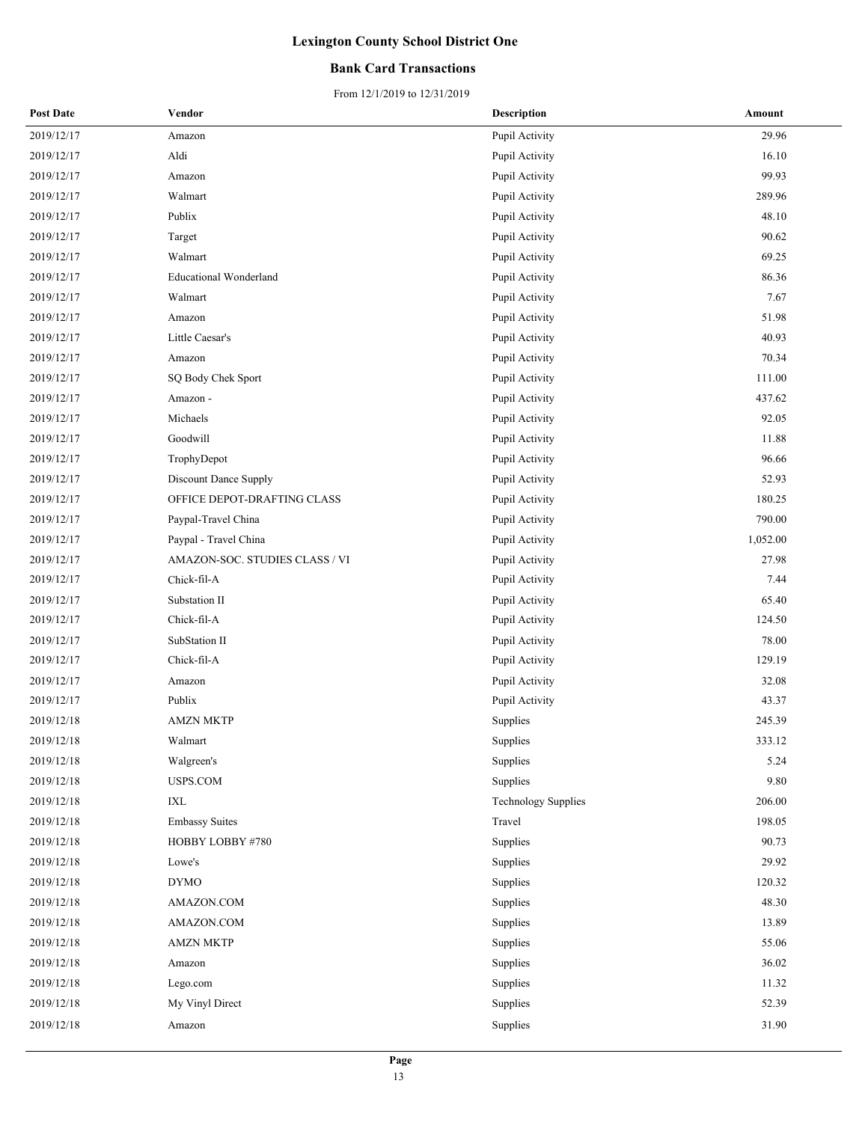### **Bank Card Transactions**

| <b>Post Date</b> | Vendor                         | <b>Description</b>         | Amount   |
|------------------|--------------------------------|----------------------------|----------|
| 2019/12/17       | Amazon                         | Pupil Activity             | 29.96    |
| 2019/12/17       | Aldi                           | Pupil Activity             | 16.10    |
| 2019/12/17       | Amazon                         | Pupil Activity             | 99.93    |
| 2019/12/17       | Walmart                        | Pupil Activity             | 289.96   |
| 2019/12/17       | Publix                         | Pupil Activity             | 48.10    |
| 2019/12/17       | Target                         | Pupil Activity             | 90.62    |
| 2019/12/17       | Walmart                        | Pupil Activity             | 69.25    |
| 2019/12/17       | <b>Educational Wonderland</b>  | Pupil Activity             | 86.36    |
| 2019/12/17       | Walmart                        | Pupil Activity             | 7.67     |
| 2019/12/17       | Amazon                         | Pupil Activity             | 51.98    |
| 2019/12/17       | Little Caesar's                | Pupil Activity             | 40.93    |
| 2019/12/17       | Amazon                         | Pupil Activity             | 70.34    |
| 2019/12/17       | SQ Body Chek Sport             | Pupil Activity             | 111.00   |
| 2019/12/17       | Amazon -                       | Pupil Activity             | 437.62   |
| 2019/12/17       | Michaels                       | Pupil Activity             | 92.05    |
| 2019/12/17       | Goodwill                       | Pupil Activity             | 11.88    |
| 2019/12/17       | TrophyDepot                    | Pupil Activity             | 96.66    |
| 2019/12/17       | Discount Dance Supply          | Pupil Activity             | 52.93    |
| 2019/12/17       | OFFICE DEPOT-DRAFTING CLASS    | Pupil Activity             | 180.25   |
| 2019/12/17       | Paypal-Travel China            | Pupil Activity             | 790.00   |
| 2019/12/17       | Paypal - Travel China          | Pupil Activity             | 1,052.00 |
| 2019/12/17       | AMAZON-SOC. STUDIES CLASS / VI | Pupil Activity             | 27.98    |
| 2019/12/17       | Chick-fil-A                    | Pupil Activity             | 7.44     |
| 2019/12/17       | Substation II                  | Pupil Activity             | 65.40    |
| 2019/12/17       | Chick-fil-A                    | Pupil Activity             | 124.50   |
| 2019/12/17       | SubStation II                  | Pupil Activity             | 78.00    |
| 2019/12/17       | Chick-fil-A                    | Pupil Activity             | 129.19   |
| 2019/12/17       | Amazon                         | Pupil Activity             | 32.08    |
| 2019/12/17       | Publix                         | Pupil Activity             | 43.37    |
| 2019/12/18       | <b>AMZN MKTP</b>               | Supplies                   | 245.39   |
| 2019/12/18       | Walmart                        | Supplies                   | 333.12   |
| 2019/12/18       | Walgreen's                     | Supplies                   | 5.24     |
| 2019/12/18       | USPS.COM                       | Supplies                   | 9.80     |
| 2019/12/18       | IXL                            | <b>Technology Supplies</b> | 206.00   |
| 2019/12/18       | <b>Embassy Suites</b>          | Travel                     | 198.05   |
| 2019/12/18       | HOBBY LOBBY #780               | Supplies                   | 90.73    |
| 2019/12/18       | Lowe's                         | Supplies                   | 29.92    |
| 2019/12/18       | <b>DYMO</b>                    | Supplies                   | 120.32   |
| 2019/12/18       | AMAZON.COM                     | Supplies                   | 48.30    |
| 2019/12/18       | AMAZON.COM                     | Supplies                   | 13.89    |
| 2019/12/18       | <b>AMZN MKTP</b>               | Supplies                   | 55.06    |
| 2019/12/18       | Amazon                         | Supplies                   | 36.02    |
| 2019/12/18       | Lego.com                       | Supplies                   | 11.32    |
| 2019/12/18       | My Vinyl Direct                | Supplies                   | 52.39    |
| 2019/12/18       | Amazon                         | Supplies                   | 31.90    |
|                  |                                |                            |          |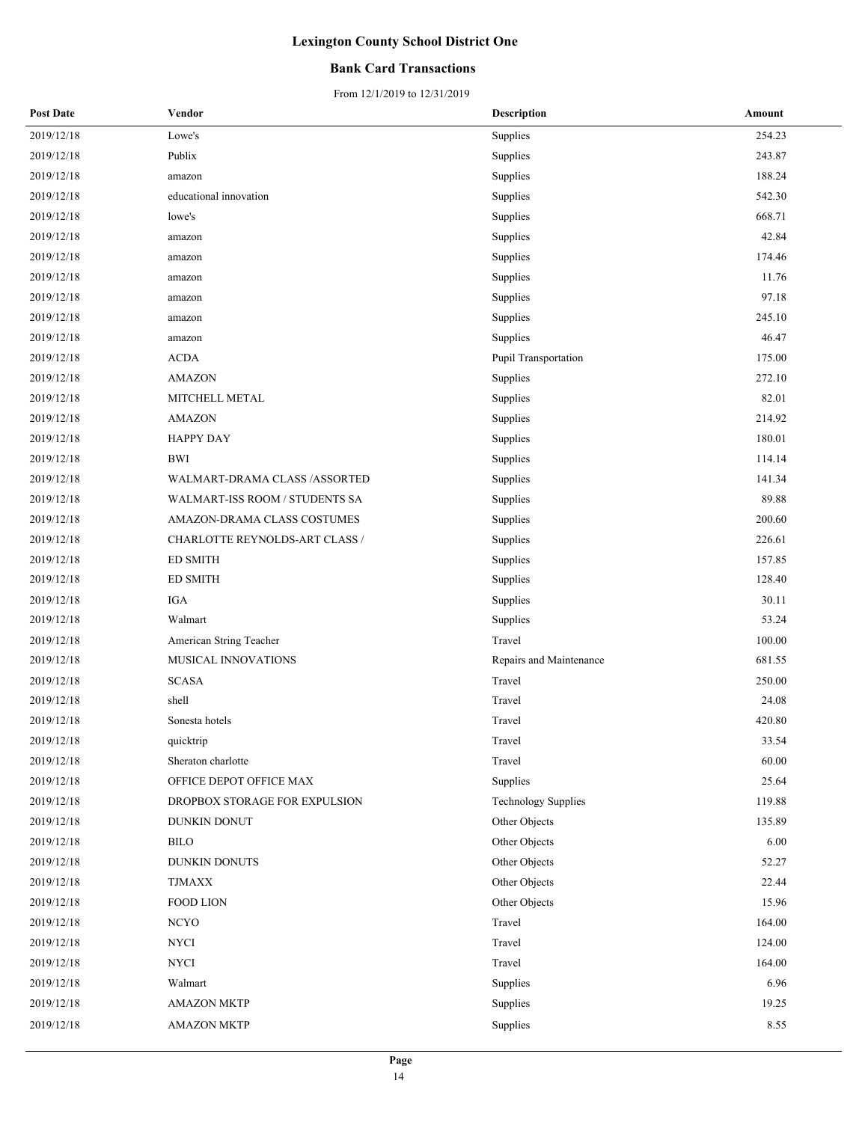### **Bank Card Transactions**

| <b>Post Date</b> | Vendor                         | <b>Description</b>         | Amount |
|------------------|--------------------------------|----------------------------|--------|
| 2019/12/18       | Lowe's                         | Supplies                   | 254.23 |
| 2019/12/18       | Publix                         | Supplies                   | 243.87 |
| 2019/12/18       | amazon                         | Supplies                   | 188.24 |
| 2019/12/18       | educational innovation         | Supplies                   | 542.30 |
| 2019/12/18       | lowe's                         | Supplies                   | 668.71 |
| 2019/12/18       | amazon                         | Supplies                   | 42.84  |
| 2019/12/18       | amazon                         | Supplies                   | 174.46 |
| 2019/12/18       | amazon                         | Supplies                   | 11.76  |
| 2019/12/18       | amazon                         | Supplies                   | 97.18  |
| 2019/12/18       | amazon                         | Supplies                   | 245.10 |
| 2019/12/18       | amazon                         | Supplies                   | 46.47  |
| 2019/12/18       | <b>ACDA</b>                    | Pupil Transportation       | 175.00 |
| 2019/12/18       | <b>AMAZON</b>                  | Supplies                   | 272.10 |
| 2019/12/18       | MITCHELL METAL                 | Supplies                   | 82.01  |
| 2019/12/18       | <b>AMAZON</b>                  | Supplies                   | 214.92 |
| 2019/12/18       | HAPPY DAY                      | Supplies                   | 180.01 |
| 2019/12/18       | <b>BWI</b>                     | Supplies                   | 114.14 |
| 2019/12/18       | WALMART-DRAMA CLASS /ASSORTED  | Supplies                   | 141.34 |
| 2019/12/18       | WALMART-ISS ROOM / STUDENTS SA | Supplies                   | 89.88  |
| 2019/12/18       | AMAZON-DRAMA CLASS COSTUMES    | Supplies                   | 200.60 |
| 2019/12/18       | CHARLOTTE REYNOLDS-ART CLASS / | Supplies                   | 226.61 |
| 2019/12/18       | <b>ED SMITH</b>                | Supplies                   | 157.85 |
| 2019/12/18       | <b>ED SMITH</b>                | Supplies                   | 128.40 |
| 2019/12/18       | IGA                            | Supplies                   | 30.11  |
| 2019/12/18       | Walmart                        | Supplies                   | 53.24  |
| 2019/12/18       | American String Teacher        | Travel                     | 100.00 |
| 2019/12/18       | MUSICAL INNOVATIONS            | Repairs and Maintenance    | 681.55 |
| 2019/12/18       | <b>SCASA</b>                   | Travel                     | 250.00 |
| 2019/12/18       | shell                          | Travel                     | 24.08  |
| 2019/12/18       | Sonesta hotels                 | Travel                     | 420.80 |
| 2019/12/18       | quicktrip                      | Travel                     | 33.54  |
| 2019/12/18       | Sheraton charlotte             | Travel                     | 60.00  |
| 2019/12/18       | OFFICE DEPOT OFFICE MAX        | Supplies                   | 25.64  |
| 2019/12/18       | DROPBOX STORAGE FOR EXPULSION  | <b>Technology Supplies</b> | 119.88 |
| 2019/12/18       | DUNKIN DONUT                   | Other Objects              | 135.89 |
| 2019/12/18       | <b>BILO</b>                    | Other Objects              | 6.00   |
| 2019/12/18       | DUNKIN DONUTS                  | Other Objects              | 52.27  |
| 2019/12/18       | <b>TJMAXX</b>                  | Other Objects              | 22.44  |
| 2019/12/18       | <b>FOOD LION</b>               | Other Objects              | 15.96  |
| 2019/12/18       | <b>NCYO</b>                    | Travel                     | 164.00 |
| 2019/12/18       | NYCI                           | Travel                     | 124.00 |
| 2019/12/18       | <b>NYCI</b>                    | Travel                     | 164.00 |
| 2019/12/18       | Walmart                        | Supplies                   | 6.96   |
| 2019/12/18       | <b>AMAZON MKTP</b>             | Supplies                   | 19.25  |
| 2019/12/18       | <b>AMAZON MKTP</b>             | Supplies                   | 8.55   |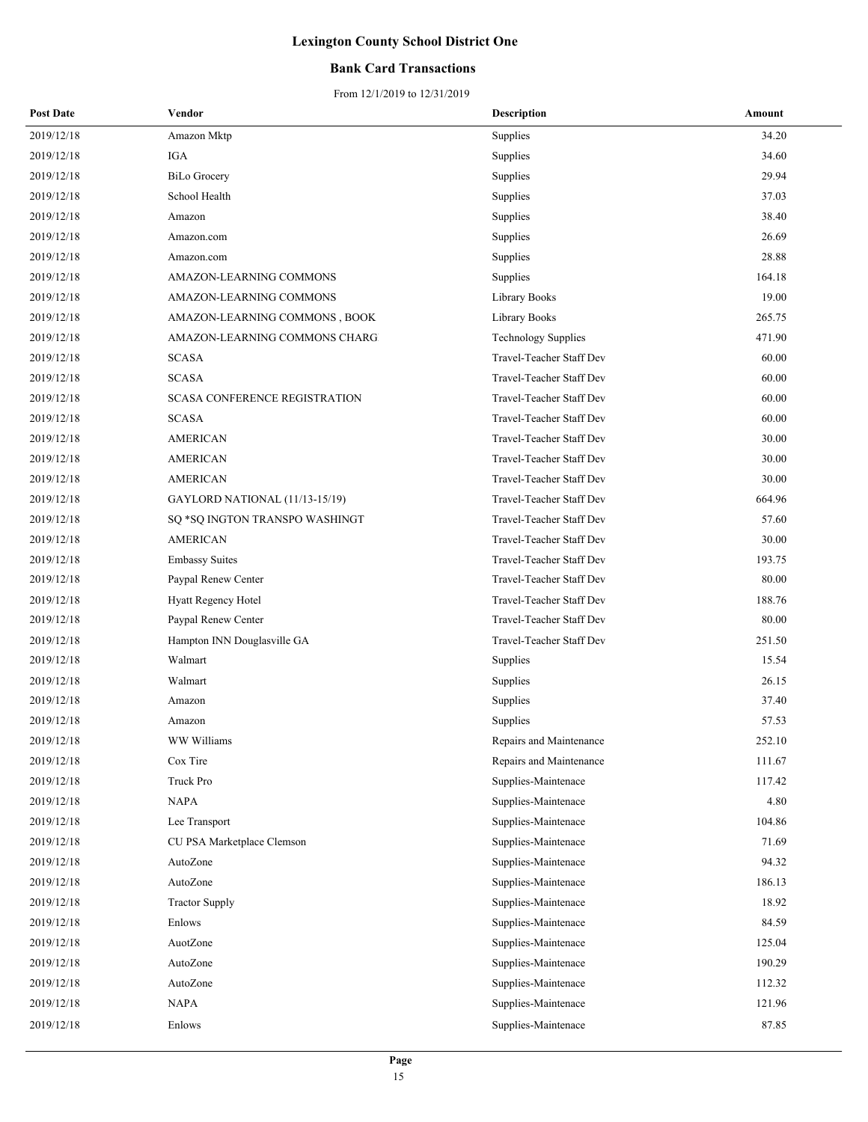### **Bank Card Transactions**

| <b>Post Date</b> | Vendor                               | <b>Description</b>         | Amount |
|------------------|--------------------------------------|----------------------------|--------|
| 2019/12/18       | Amazon Mktp                          | Supplies                   | 34.20  |
| 2019/12/18       | IGA                                  | Supplies                   | 34.60  |
| 2019/12/18       | <b>BiLo Grocery</b>                  | Supplies                   | 29.94  |
| 2019/12/18       | School Health                        | Supplies                   | 37.03  |
| 2019/12/18       | Amazon                               | Supplies                   | 38.40  |
| 2019/12/18       | Amazon.com                           | Supplies                   | 26.69  |
| 2019/12/18       | Amazon.com                           | Supplies                   | 28.88  |
| 2019/12/18       | AMAZON-LEARNING COMMONS              | Supplies                   | 164.18 |
| 2019/12/18       | AMAZON-LEARNING COMMONS              | Library Books              | 19.00  |
| 2019/12/18       | AMAZON-LEARNING COMMONS, BOOK        | Library Books              | 265.75 |
| 2019/12/18       | AMAZON-LEARNING COMMONS CHARG        | <b>Technology Supplies</b> | 471.90 |
| 2019/12/18       | <b>SCASA</b>                         | Travel-Teacher Staff Dev   | 60.00  |
| 2019/12/18       | <b>SCASA</b>                         | Travel-Teacher Staff Dev   | 60.00  |
| 2019/12/18       | <b>SCASA CONFERENCE REGISTRATION</b> | Travel-Teacher Staff Dev   | 60.00  |
| 2019/12/18       | <b>SCASA</b>                         | Travel-Teacher Staff Dev   | 60.00  |
| 2019/12/18       | <b>AMERICAN</b>                      | Travel-Teacher Staff Dev   | 30.00  |
| 2019/12/18       | <b>AMERICAN</b>                      | Travel-Teacher Staff Dev   | 30.00  |
| 2019/12/18       | AMERICAN                             | Travel-Teacher Staff Dev   | 30.00  |
| 2019/12/18       | GAYLORD NATIONAL (11/13-15/19)       | Travel-Teacher Staff Dev   | 664.96 |
| 2019/12/18       | SQ *SQ INGTON TRANSPO WASHINGT       | Travel-Teacher Staff Dev   | 57.60  |
| 2019/12/18       | <b>AMERICAN</b>                      | Travel-Teacher Staff Dev   | 30.00  |
| 2019/12/18       | <b>Embassy Suites</b>                | Travel-Teacher Staff Dev   | 193.75 |
| 2019/12/18       | Paypal Renew Center                  | Travel-Teacher Staff Dev   | 80.00  |
| 2019/12/18       | Hyatt Regency Hotel                  | Travel-Teacher Staff Dev   | 188.76 |
| 2019/12/18       | Paypal Renew Center                  | Travel-Teacher Staff Dev   | 80.00  |
| 2019/12/18       | Hampton INN Douglasville GA          | Travel-Teacher Staff Dev   | 251.50 |
| 2019/12/18       | Walmart                              | Supplies                   | 15.54  |
| 2019/12/18       | Walmart                              | Supplies                   | 26.15  |
| 2019/12/18       | Amazon                               | Supplies                   | 37.40  |
| 2019/12/18       | Amazon                               | Supplies                   | 57.53  |
| 2019/12/18       | WW Williams                          | Repairs and Maintenance    | 252.10 |
| 2019/12/18       | Cox Tire                             | Repairs and Maintenance    | 111.67 |
| 2019/12/18       | Truck Pro                            | Supplies-Maintenace        | 117.42 |
| 2019/12/18       | <b>NAPA</b>                          | Supplies-Maintenace        | 4.80   |
| 2019/12/18       | Lee Transport                        | Supplies-Maintenace        | 104.86 |
| 2019/12/18       | CU PSA Marketplace Clemson           | Supplies-Maintenace        | 71.69  |
| 2019/12/18       | AutoZone                             | Supplies-Maintenace        | 94.32  |
| 2019/12/18       | AutoZone                             | Supplies-Maintenace        | 186.13 |
| 2019/12/18       | <b>Tractor Supply</b>                | Supplies-Maintenace        | 18.92  |
| 2019/12/18       | Enlows                               | Supplies-Maintenace        | 84.59  |
| 2019/12/18       | AuotZone                             | Supplies-Maintenace        | 125.04 |
| 2019/12/18       | AutoZone                             | Supplies-Maintenace        | 190.29 |
| 2019/12/18       | AutoZone                             | Supplies-Maintenace        | 112.32 |
| 2019/12/18       | NAPA                                 | Supplies-Maintenace        | 121.96 |
| 2019/12/18       | Enlows                               | Supplies-Maintenace        | 87.85  |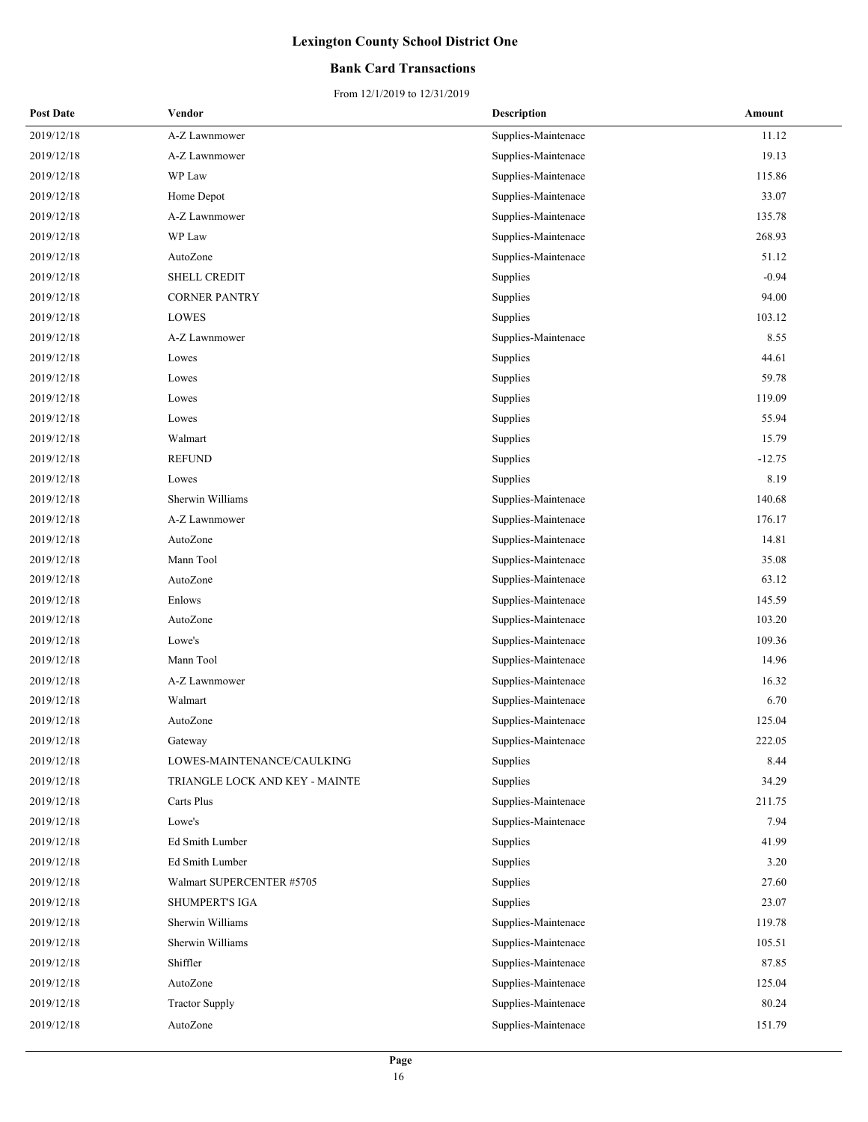### **Bank Card Transactions**

| <b>Post Date</b> | Vendor                         | <b>Description</b>  | Amount   |
|------------------|--------------------------------|---------------------|----------|
| 2019/12/18       | A-Z Lawnmower                  | Supplies-Maintenace | 11.12    |
| 2019/12/18       | A-Z Lawnmower                  | Supplies-Maintenace | 19.13    |
| 2019/12/18       | WP Law                         | Supplies-Maintenace | 115.86   |
| 2019/12/18       | Home Depot                     | Supplies-Maintenace | 33.07    |
| 2019/12/18       | A-Z Lawnmower                  | Supplies-Maintenace | 135.78   |
| 2019/12/18       | WP Law                         | Supplies-Maintenace | 268.93   |
| 2019/12/18       | AutoZone                       | Supplies-Maintenace | 51.12    |
| 2019/12/18       | SHELL CREDIT                   | Supplies            | $-0.94$  |
| 2019/12/18       | <b>CORNER PANTRY</b>           | Supplies            | 94.00    |
| 2019/12/18       | LOWES                          | Supplies            | 103.12   |
| 2019/12/18       | A-Z Lawnmower                  | Supplies-Maintenace | 8.55     |
| 2019/12/18       | Lowes                          | Supplies            | 44.61    |
| 2019/12/18       | Lowes                          | Supplies            | 59.78    |
| 2019/12/18       | Lowes                          | Supplies            | 119.09   |
| 2019/12/18       | Lowes                          | Supplies            | 55.94    |
| 2019/12/18       | Walmart                        | Supplies            | 15.79    |
| 2019/12/18       | <b>REFUND</b>                  | Supplies            | $-12.75$ |
| 2019/12/18       | Lowes                          | Supplies            | 8.19     |
| 2019/12/18       | Sherwin Williams               | Supplies-Maintenace | 140.68   |
| 2019/12/18       | A-Z Lawnmower                  | Supplies-Maintenace | 176.17   |
| 2019/12/18       | AutoZone                       | Supplies-Maintenace | 14.81    |
| 2019/12/18       | Mann Tool                      | Supplies-Maintenace | 35.08    |
| 2019/12/18       | AutoZone                       | Supplies-Maintenace | 63.12    |
| 2019/12/18       | Enlows                         | Supplies-Maintenace | 145.59   |
| 2019/12/18       | AutoZone                       | Supplies-Maintenace | 103.20   |
| 2019/12/18       | Lowe's                         | Supplies-Maintenace | 109.36   |
| 2019/12/18       | Mann Tool                      | Supplies-Maintenace | 14.96    |
| 2019/12/18       | A-Z Lawnmower                  | Supplies-Maintenace | 16.32    |
| 2019/12/18       | Walmart                        | Supplies-Maintenace | 6.70     |
| 2019/12/18       | AutoZone                       | Supplies-Maintenace | 125.04   |
| 2019/12/18       | Gateway                        | Supplies-Maintenace | 222.05   |
| 2019/12/18       | LOWES-MAINTENANCE/CAULKING     | Supplies            | 8.44     |
| 2019/12/18       | TRIANGLE LOCK AND KEY - MAINTE | Supplies            | 34.29    |
| 2019/12/18       | Carts Plus                     | Supplies-Maintenace | 211.75   |
| 2019/12/18       | Lowe's                         | Supplies-Maintenace | 7.94     |
| 2019/12/18       | Ed Smith Lumber                | Supplies            | 41.99    |
| 2019/12/18       | <b>Ed Smith Lumber</b>         | Supplies            | 3.20     |
| 2019/12/18       | Walmart SUPERCENTER #5705      | Supplies            | 27.60    |
| 2019/12/18       | <b>SHUMPERT'S IGA</b>          | Supplies            | 23.07    |
| 2019/12/18       | Sherwin Williams               | Supplies-Maintenace | 119.78   |
| 2019/12/18       | Sherwin Williams               | Supplies-Maintenace | 105.51   |
| 2019/12/18       | Shiffler                       | Supplies-Maintenace | 87.85    |
| 2019/12/18       | AutoZone                       | Supplies-Maintenace | 125.04   |
| 2019/12/18       | <b>Tractor Supply</b>          | Supplies-Maintenace | 80.24    |
| 2019/12/18       | AutoZone                       | Supplies-Maintenace | 151.79   |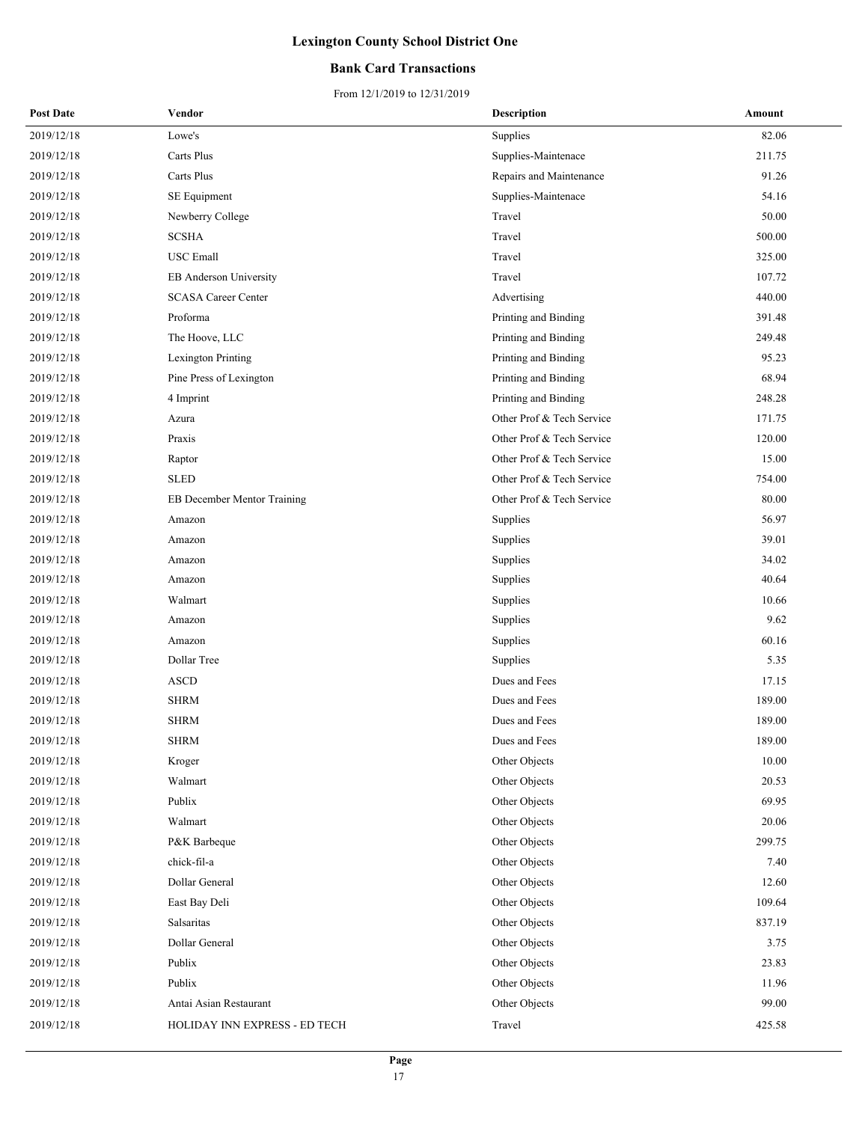### **Bank Card Transactions**

| <b>Post Date</b> | Vendor                        | <b>Description</b>        | Amount |
|------------------|-------------------------------|---------------------------|--------|
| 2019/12/18       | Lowe's                        | Supplies                  | 82.06  |
| 2019/12/18       | Carts Plus                    | Supplies-Maintenace       | 211.75 |
| 2019/12/18       | Carts Plus                    | Repairs and Maintenance   | 91.26  |
| 2019/12/18       | SE Equipment                  | Supplies-Maintenace       | 54.16  |
| 2019/12/18       | Newberry College              | Travel                    | 50.00  |
| 2019/12/18       | <b>SCSHA</b>                  | Travel                    | 500.00 |
| 2019/12/18       | <b>USC</b> Emall              | Travel                    | 325.00 |
| 2019/12/18       | EB Anderson University        | Travel                    | 107.72 |
| 2019/12/18       | <b>SCASA Career Center</b>    | Advertising               | 440.00 |
| 2019/12/18       | Proforma                      | Printing and Binding      | 391.48 |
| 2019/12/18       | The Hoove, LLC                | Printing and Binding      | 249.48 |
| 2019/12/18       | Lexington Printing            | Printing and Binding      | 95.23  |
| 2019/12/18       | Pine Press of Lexington       | Printing and Binding      | 68.94  |
| 2019/12/18       | 4 Imprint                     | Printing and Binding      | 248.28 |
| 2019/12/18       | Azura                         | Other Prof & Tech Service | 171.75 |
| 2019/12/18       | Praxis                        | Other Prof & Tech Service | 120.00 |
| 2019/12/18       | Raptor                        | Other Prof & Tech Service | 15.00  |
| 2019/12/18       | <b>SLED</b>                   | Other Prof & Tech Service | 754.00 |
| 2019/12/18       | EB December Mentor Training   | Other Prof & Tech Service | 80.00  |
| 2019/12/18       | Amazon                        | Supplies                  | 56.97  |
| 2019/12/18       | Amazon                        | Supplies                  | 39.01  |
| 2019/12/18       | Amazon                        | Supplies                  | 34.02  |
| 2019/12/18       | Amazon                        | Supplies                  | 40.64  |
| 2019/12/18       | Walmart                       | Supplies                  | 10.66  |
| 2019/12/18       | Amazon                        | Supplies                  | 9.62   |
| 2019/12/18       | Amazon                        | Supplies                  | 60.16  |
| 2019/12/18       | Dollar Tree                   | Supplies                  | 5.35   |
| 2019/12/18       | <b>ASCD</b>                   | Dues and Fees             | 17.15  |
| 2019/12/18       | <b>SHRM</b>                   | Dues and Fees             | 189.00 |
| 2019/12/18       | <b>SHRM</b>                   | Dues and Fees             | 189.00 |
| 2019/12/18       | <b>SHRM</b>                   | Dues and Fees             | 189.00 |
| 2019/12/18       | Kroger                        | Other Objects             | 10.00  |
| 2019/12/18       | Walmart                       | Other Objects             | 20.53  |
| 2019/12/18       | Publix                        | Other Objects             | 69.95  |
| 2019/12/18       | Walmart                       | Other Objects             | 20.06  |
| 2019/12/18       | P&K Barbeque                  | Other Objects             | 299.75 |
| 2019/12/18       | chick-fil-a                   | Other Objects             | 7.40   |
| 2019/12/18       | Dollar General                | Other Objects             | 12.60  |
| 2019/12/18       | East Bay Deli                 | Other Objects             | 109.64 |
| 2019/12/18       | Salsaritas                    | Other Objects             | 837.19 |
| 2019/12/18       | Dollar General                | Other Objects             | 3.75   |
| 2019/12/18       | Publix                        | Other Objects             | 23.83  |
| 2019/12/18       | Publix                        | Other Objects             | 11.96  |
| 2019/12/18       | Antai Asian Restaurant        | Other Objects             | 99.00  |
| 2019/12/18       | HOLIDAY INN EXPRESS - ED TECH | Travel                    | 425.58 |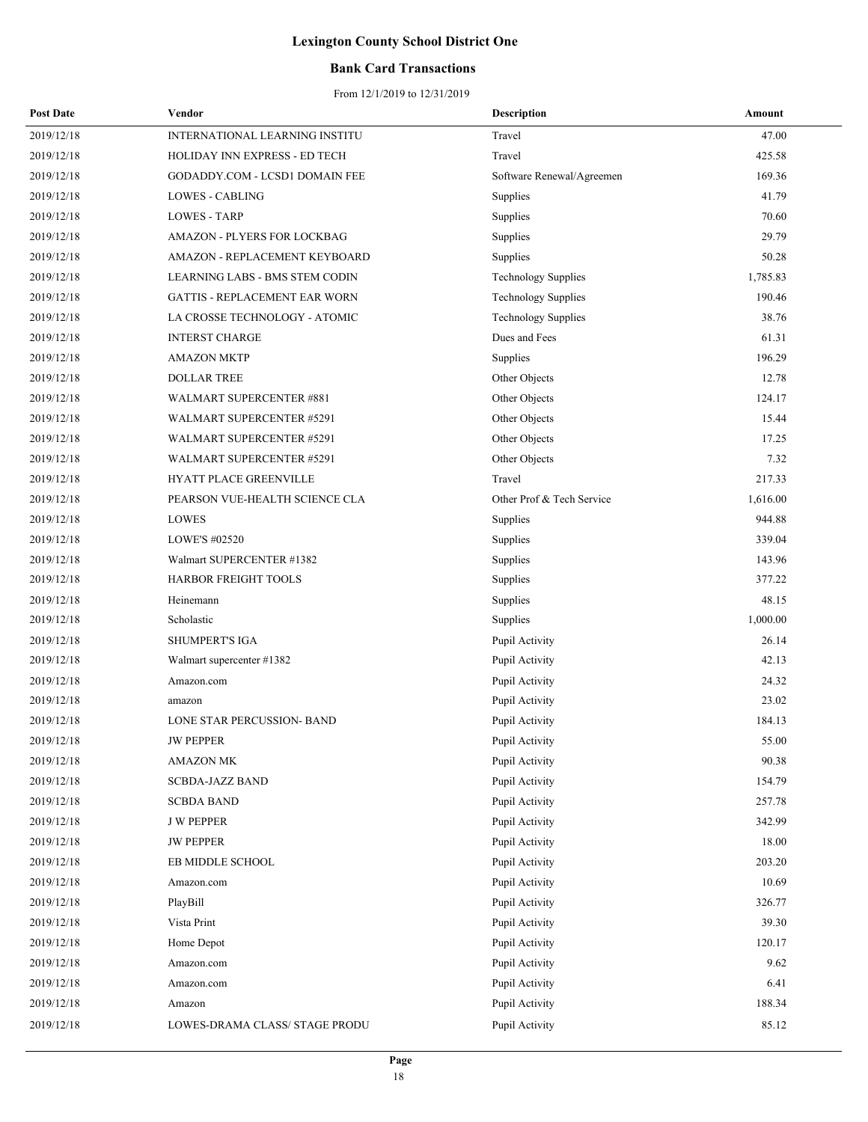### **Bank Card Transactions**

| <b>Post Date</b> | Vendor                           | <b>Description</b>         | Amount   |
|------------------|----------------------------------|----------------------------|----------|
| 2019/12/18       | INTERNATIONAL LEARNING INSTITU   | Travel                     | 47.00    |
| 2019/12/18       | HOLIDAY INN EXPRESS - ED TECH    | Travel                     | 425.58   |
| 2019/12/18       | GODADDY.COM - LCSD1 DOMAIN FEE   | Software Renewal/Agreemen  | 169.36   |
| 2019/12/18       | LOWES - CABLING                  | Supplies                   | 41.79    |
| 2019/12/18       | <b>LOWES - TARP</b>              | Supplies                   | 70.60    |
| 2019/12/18       | AMAZON - PLYERS FOR LOCKBAG      | Supplies                   | 29.79    |
| 2019/12/18       | AMAZON - REPLACEMENT KEYBOARD    | Supplies                   | 50.28    |
| 2019/12/18       | LEARNING LABS - BMS STEM CODIN   | <b>Technology Supplies</b> | 1,785.83 |
| 2019/12/18       | GATTIS - REPLACEMENT EAR WORN    | <b>Technology Supplies</b> | 190.46   |
| 2019/12/18       | LA CROSSE TECHNOLOGY - ATOMIC    | <b>Technology Supplies</b> | 38.76    |
| 2019/12/18       | <b>INTERST CHARGE</b>            | Dues and Fees              | 61.31    |
| 2019/12/18       | <b>AMAZON MKTP</b>               | Supplies                   | 196.29   |
| 2019/12/18       | <b>DOLLAR TREE</b>               | Other Objects              | 12.78    |
| 2019/12/18       | WALMART SUPERCENTER #881         | Other Objects              | 124.17   |
| 2019/12/18       | <b>WALMART SUPERCENTER #5291</b> | Other Objects              | 15.44    |
| 2019/12/18       | WALMART SUPERCENTER #5291        | Other Objects              | 17.25    |
| 2019/12/18       | <b>WALMART SUPERCENTER #5291</b> | Other Objects              | 7.32     |
| 2019/12/18       | HYATT PLACE GREENVILLE           | Travel                     | 217.33   |
| 2019/12/18       | PEARSON VUE-HEALTH SCIENCE CLA   | Other Prof & Tech Service  | 1,616.00 |
| 2019/12/18       | LOWES                            | Supplies                   | 944.88   |
| 2019/12/18       | LOWE'S #02520                    | Supplies                   | 339.04   |
| 2019/12/18       | Walmart SUPERCENTER #1382        | Supplies                   | 143.96   |
| 2019/12/18       | HARBOR FREIGHT TOOLS             | Supplies                   | 377.22   |
| 2019/12/18       | Heinemann                        | Supplies                   | 48.15    |
| 2019/12/18       | Scholastic                       | Supplies                   | 1,000.00 |
| 2019/12/18       | <b>SHUMPERT'S IGA</b>            | Pupil Activity             | 26.14    |
| 2019/12/18       | Walmart supercenter #1382        | Pupil Activity             | 42.13    |
| 2019/12/18       | Amazon.com                       | Pupil Activity             | 24.32    |
| 2019/12/18       | amazon                           | Pupil Activity             | 23.02    |
| 2019/12/18       | LONE STAR PERCUSSION- BAND       | Pupil Activity             | 184.13   |
| 2019/12/18       | <b>JW PEPPER</b>                 | Pupil Activity             | 55.00    |
| 2019/12/18       | <b>AMAZON MK</b>                 | Pupil Activity             | 90.38    |
| 2019/12/18       | <b>SCBDA-JAZZ BAND</b>           | Pupil Activity             | 154.79   |
| 2019/12/18       | <b>SCBDA BAND</b>                | Pupil Activity             | 257.78   |
| 2019/12/18       | <b>J W PEPPER</b>                | Pupil Activity             | 342.99   |
| 2019/12/18       | <b>JW PEPPER</b>                 | Pupil Activity             | 18.00    |
| 2019/12/18       | EB MIDDLE SCHOOL                 | Pupil Activity             | 203.20   |
| 2019/12/18       | Amazon.com                       | Pupil Activity             | 10.69    |
| 2019/12/18       | PlayBill                         | Pupil Activity             | 326.77   |
| 2019/12/18       | Vista Print                      | Pupil Activity             | 39.30    |
| 2019/12/18       | Home Depot                       | Pupil Activity             | 120.17   |
| 2019/12/18       | Amazon.com                       | Pupil Activity             | 9.62     |
| 2019/12/18       | Amazon.com                       | Pupil Activity             | 6.41     |
| 2019/12/18       | Amazon                           | Pupil Activity             | 188.34   |
| 2019/12/18       | LOWES-DRAMA CLASS/ STAGE PRODU   | Pupil Activity             | 85.12    |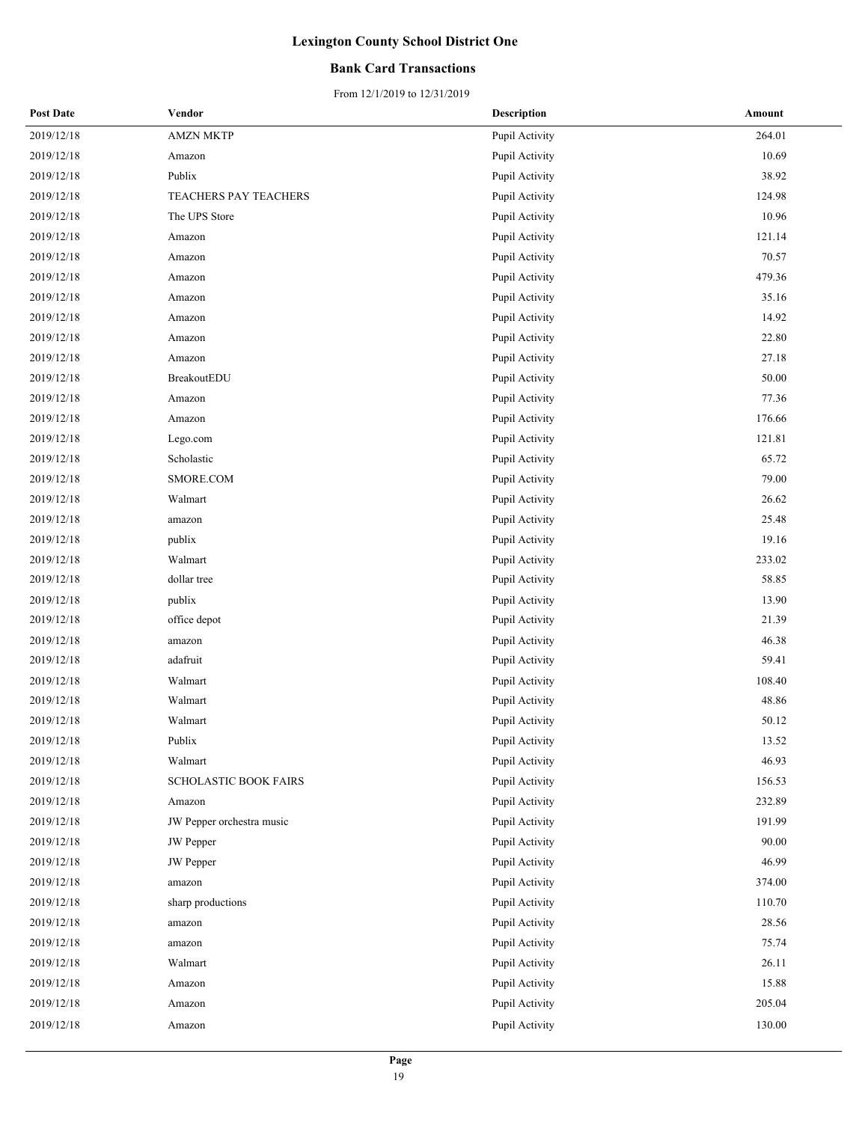### **Bank Card Transactions**

| <b>Post Date</b> | Vendor                       | <b>Description</b> | Amount |
|------------------|------------------------------|--------------------|--------|
| 2019/12/18       | <b>AMZN MKTP</b>             | Pupil Activity     | 264.01 |
| 2019/12/18       | Amazon                       | Pupil Activity     | 10.69  |
| 2019/12/18       | Publix                       | Pupil Activity     | 38.92  |
| 2019/12/18       | TEACHERS PAY TEACHERS        | Pupil Activity     | 124.98 |
| 2019/12/18       | The UPS Store                | Pupil Activity     | 10.96  |
| 2019/12/18       | Amazon                       | Pupil Activity     | 121.14 |
| 2019/12/18       | Amazon                       | Pupil Activity     | 70.57  |
| 2019/12/18       | Amazon                       | Pupil Activity     | 479.36 |
| 2019/12/18       | Amazon                       | Pupil Activity     | 35.16  |
| 2019/12/18       | Amazon                       | Pupil Activity     | 14.92  |
| 2019/12/18       | Amazon                       | Pupil Activity     | 22.80  |
| 2019/12/18       | Amazon                       | Pupil Activity     | 27.18  |
| 2019/12/18       | BreakoutEDU                  | Pupil Activity     | 50.00  |
| 2019/12/18       | Amazon                       | Pupil Activity     | 77.36  |
| 2019/12/18       | Amazon                       | Pupil Activity     | 176.66 |
| 2019/12/18       | Lego.com                     | Pupil Activity     | 121.81 |
| 2019/12/18       | Scholastic                   | Pupil Activity     | 65.72  |
| 2019/12/18       | SMORE.COM                    | Pupil Activity     | 79.00  |
| 2019/12/18       | Walmart                      | Pupil Activity     | 26.62  |
| 2019/12/18       | amazon                       | Pupil Activity     | 25.48  |
| 2019/12/18       | publix                       | Pupil Activity     | 19.16  |
| 2019/12/18       | Walmart                      | Pupil Activity     | 233.02 |
| 2019/12/18       | dollar tree                  | Pupil Activity     | 58.85  |
| 2019/12/18       | publix                       | Pupil Activity     | 13.90  |
| 2019/12/18       | office depot                 | Pupil Activity     | 21.39  |
| 2019/12/18       | amazon                       | Pupil Activity     | 46.38  |
| 2019/12/18       | adafruit                     | Pupil Activity     | 59.41  |
| 2019/12/18       | Walmart                      | Pupil Activity     | 108.40 |
| 2019/12/18       | Walmart                      | Pupil Activity     | 48.86  |
| 2019/12/18       | Walmart                      | Pupil Activity     | 50.12  |
| 2019/12/18       | Publix                       | Pupil Activity     | 13.52  |
| 2019/12/18       | Walmart                      | Pupil Activity     | 46.93  |
| 2019/12/18       | <b>SCHOLASTIC BOOK FAIRS</b> | Pupil Activity     | 156.53 |
| 2019/12/18       | Amazon                       | Pupil Activity     | 232.89 |
| 2019/12/18       | JW Pepper orchestra music    | Pupil Activity     | 191.99 |
| 2019/12/18       | JW Pepper                    | Pupil Activity     | 90.00  |
| 2019/12/18       | <b>JW</b> Pepper             | Pupil Activity     | 46.99  |
| 2019/12/18       | amazon                       | Pupil Activity     | 374.00 |
| 2019/12/18       | sharp productions            | Pupil Activity     | 110.70 |
| 2019/12/18       | amazon                       | Pupil Activity     | 28.56  |
| 2019/12/18       | amazon                       | Pupil Activity     | 75.74  |
| 2019/12/18       | Walmart                      | Pupil Activity     | 26.11  |
| 2019/12/18       | Amazon                       | Pupil Activity     | 15.88  |
| 2019/12/18       | Amazon                       | Pupil Activity     | 205.04 |
| 2019/12/18       | Amazon                       | Pupil Activity     | 130.00 |
|                  |                              |                    |        |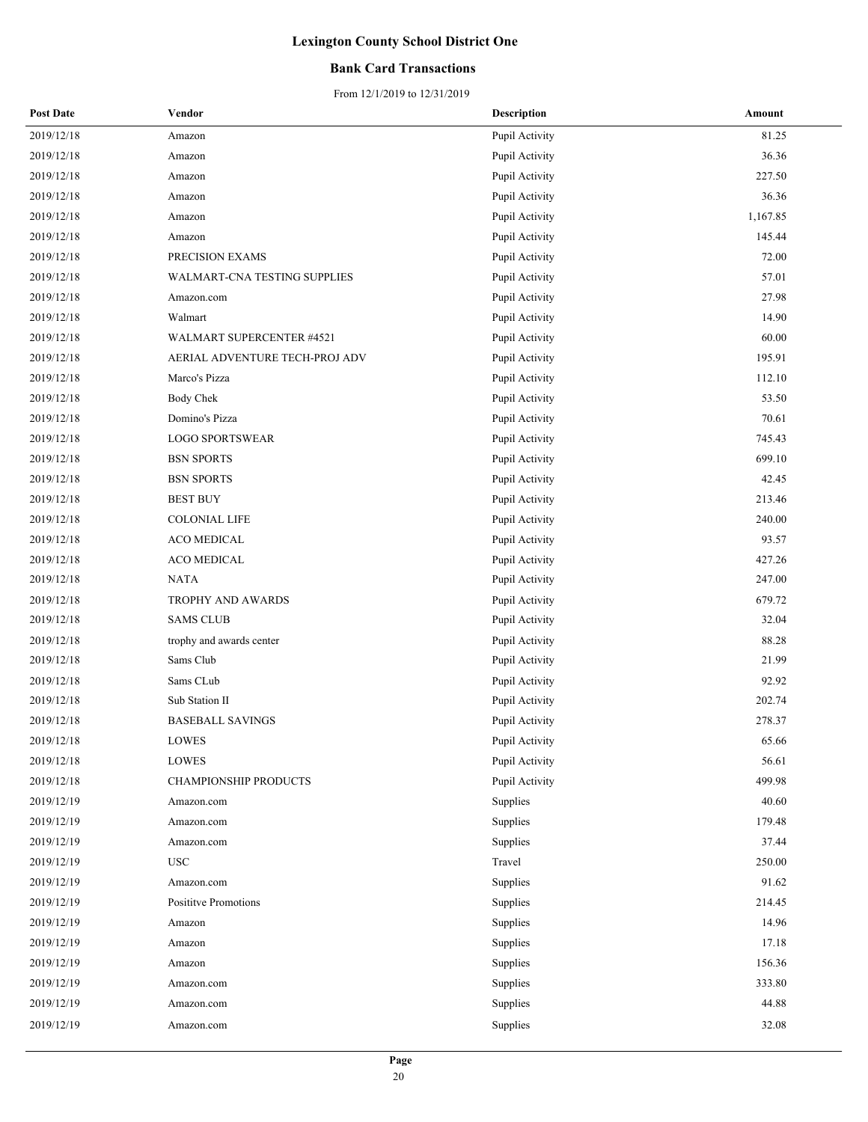### **Bank Card Transactions**

| <b>Post Date</b> | Vendor                           | <b>Description</b> | Amount   |
|------------------|----------------------------------|--------------------|----------|
| 2019/12/18       | Amazon                           | Pupil Activity     | 81.25    |
| 2019/12/18       | Amazon                           | Pupil Activity     | 36.36    |
| 2019/12/18       | Amazon                           | Pupil Activity     | 227.50   |
| 2019/12/18       | Amazon                           | Pupil Activity     | 36.36    |
| 2019/12/18       | Amazon                           | Pupil Activity     | 1,167.85 |
| 2019/12/18       | Amazon                           | Pupil Activity     | 145.44   |
| 2019/12/18       | PRECISION EXAMS                  | Pupil Activity     | 72.00    |
| 2019/12/18       | WALMART-CNA TESTING SUPPLIES     | Pupil Activity     | 57.01    |
| 2019/12/18       | Amazon.com                       | Pupil Activity     | 27.98    |
| 2019/12/18       | Walmart                          | Pupil Activity     | 14.90    |
| 2019/12/18       | <b>WALMART SUPERCENTER #4521</b> | Pupil Activity     | 60.00    |
| 2019/12/18       | AERIAL ADVENTURE TECH-PROJ ADV   | Pupil Activity     | 195.91   |
| 2019/12/18       | Marco's Pizza                    | Pupil Activity     | 112.10   |
| 2019/12/18       | <b>Body Chek</b>                 | Pupil Activity     | 53.50    |
| 2019/12/18       | Domino's Pizza                   | Pupil Activity     | 70.61    |
| 2019/12/18       | <b>LOGO SPORTSWEAR</b>           | Pupil Activity     | 745.43   |
| 2019/12/18       | <b>BSN SPORTS</b>                | Pupil Activity     | 699.10   |
| 2019/12/18       | <b>BSN SPORTS</b>                | Pupil Activity     | 42.45    |
| 2019/12/18       | <b>BEST BUY</b>                  | Pupil Activity     | 213.46   |
| 2019/12/18       | <b>COLONIAL LIFE</b>             | Pupil Activity     | 240.00   |
| 2019/12/18       | ACO MEDICAL                      | Pupil Activity     | 93.57    |
| 2019/12/18       | ACO MEDICAL                      | Pupil Activity     | 427.26   |
| 2019/12/18       | <b>NATA</b>                      | Pupil Activity     | 247.00   |
| 2019/12/18       | TROPHY AND AWARDS                | Pupil Activity     | 679.72   |
| 2019/12/18       | <b>SAMS CLUB</b>                 | Pupil Activity     | 32.04    |
| 2019/12/18       | trophy and awards center         | Pupil Activity     | 88.28    |
| 2019/12/18       | Sams Club                        | Pupil Activity     | 21.99    |
| 2019/12/18       | Sams CLub                        | Pupil Activity     | 92.92    |
| 2019/12/18       | Sub Station II                   | Pupil Activity     | 202.74   |
| 2019/12/18       | <b>BASEBALL SAVINGS</b>          | Pupil Activity     | 278.37   |
| 2019/12/18       | <b>LOWES</b>                     | Pupil Activity     | 65.66    |
| 2019/12/18       | LOWES                            | Pupil Activity     | 56.61    |
| 2019/12/18       | <b>CHAMPIONSHIP PRODUCTS</b>     | Pupil Activity     | 499.98   |
| 2019/12/19       | Amazon.com                       | Supplies           | 40.60    |
| 2019/12/19       | Amazon.com                       | Supplies           | 179.48   |
| 2019/12/19       | Amazon.com                       | Supplies           | 37.44    |
| 2019/12/19       | <b>USC</b>                       | Travel             | 250.00   |
| 2019/12/19       | Amazon.com                       | Supplies           | 91.62    |
| 2019/12/19       | Posititve Promotions             | Supplies           | 214.45   |
| 2019/12/19       | Amazon                           | Supplies           | 14.96    |
| 2019/12/19       | Amazon                           | Supplies           | 17.18    |
| 2019/12/19       | Amazon                           | Supplies           | 156.36   |
| 2019/12/19       | Amazon.com                       | Supplies           | 333.80   |
| 2019/12/19       | Amazon.com                       | Supplies           | 44.88    |
| 2019/12/19       | Amazon.com                       | Supplies           | 32.08    |
|                  |                                  |                    |          |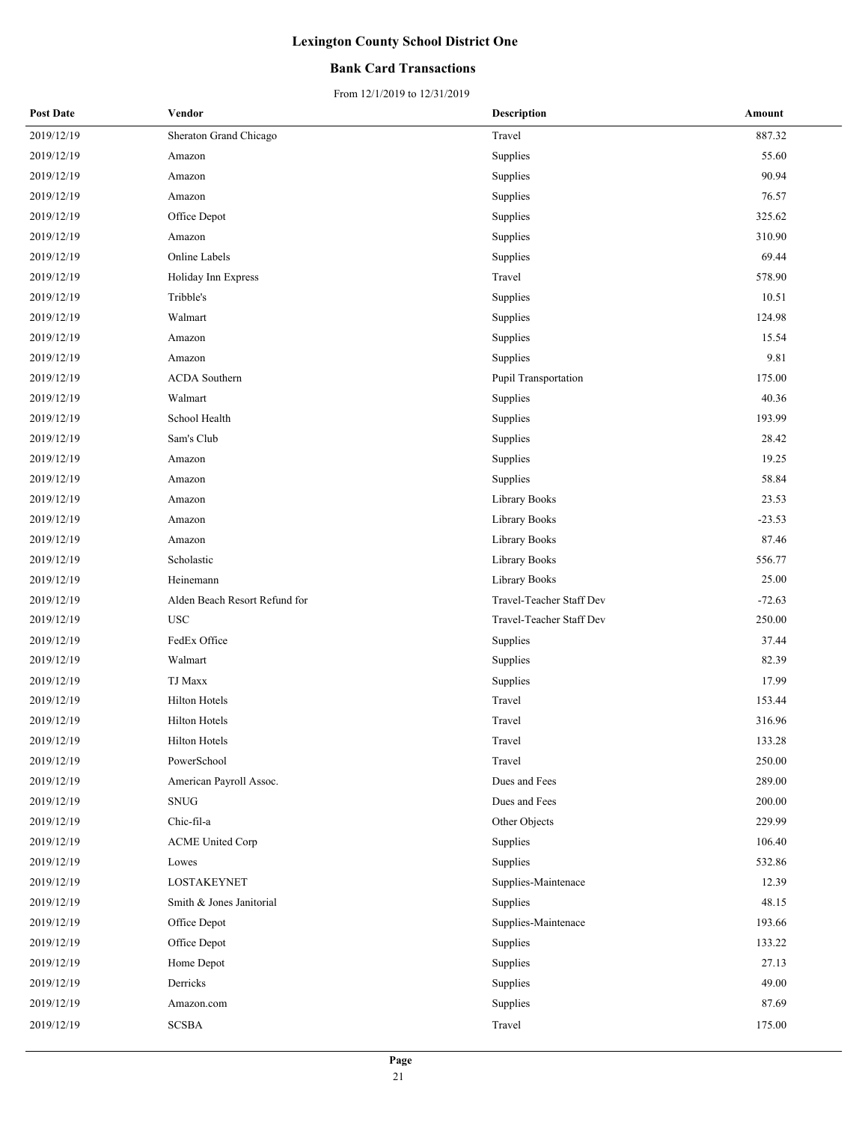### **Bank Card Transactions**

| <b>Post Date</b> | Vendor                        | <b>Description</b>       | Amount   |
|------------------|-------------------------------|--------------------------|----------|
| 2019/12/19       | Sheraton Grand Chicago        | Travel                   | 887.32   |
| 2019/12/19       | Amazon                        | Supplies                 | 55.60    |
| 2019/12/19       | Amazon                        | Supplies                 | 90.94    |
| 2019/12/19       | Amazon                        | Supplies                 | 76.57    |
| 2019/12/19       | Office Depot                  | Supplies                 | 325.62   |
| 2019/12/19       | Amazon                        | Supplies                 | 310.90   |
| 2019/12/19       | Online Labels                 | Supplies                 | 69.44    |
| 2019/12/19       | Holiday Inn Express           | Travel                   | 578.90   |
| 2019/12/19       | Tribble's                     | Supplies                 | 10.51    |
| 2019/12/19       | Walmart                       | Supplies                 | 124.98   |
| 2019/12/19       | Amazon                        | Supplies                 | 15.54    |
| 2019/12/19       | Amazon                        | Supplies                 | 9.81     |
| 2019/12/19       | <b>ACDA</b> Southern          | Pupil Transportation     | 175.00   |
| 2019/12/19       | Walmart                       | Supplies                 | 40.36    |
| 2019/12/19       | School Health                 | Supplies                 | 193.99   |
| 2019/12/19       | Sam's Club                    | Supplies                 | 28.42    |
| 2019/12/19       | Amazon                        | Supplies                 | 19.25    |
| 2019/12/19       | Amazon                        | Supplies                 | 58.84    |
| 2019/12/19       | Amazon                        | Library Books            | 23.53    |
| 2019/12/19       | Amazon                        | Library Books            | $-23.53$ |
| 2019/12/19       | Amazon                        | Library Books            | 87.46    |
| 2019/12/19       | Scholastic                    | Library Books            | 556.77   |
| 2019/12/19       | Heinemann                     | Library Books            | 25.00    |
| 2019/12/19       | Alden Beach Resort Refund for | Travel-Teacher Staff Dev | $-72.63$ |
| 2019/12/19       | <b>USC</b>                    | Travel-Teacher Staff Dev | 250.00   |
| 2019/12/19       | FedEx Office                  | Supplies                 | 37.44    |
| 2019/12/19       | Walmart                       | Supplies                 | 82.39    |
| 2019/12/19       | TJ Maxx                       | Supplies                 | 17.99    |
| 2019/12/19       | <b>Hilton Hotels</b>          | Travel                   | 153.44   |
| 2019/12/19       | <b>Hilton Hotels</b>          | Travel                   | 316.96   |
| 2019/12/19       | <b>Hilton Hotels</b>          | Travel                   | 133.28   |
| 2019/12/19       | PowerSchool                   | Travel                   | 250.00   |
| 2019/12/19       | American Payroll Assoc.       | Dues and Fees            | 289.00   |
| 2019/12/19       | <b>SNUG</b>                   | Dues and Fees            | 200.00   |
| 2019/12/19       | Chic-fil-a                    | Other Objects            | 229.99   |
| 2019/12/19       | <b>ACME United Corp</b>       | Supplies                 | 106.40   |
| 2019/12/19       | Lowes                         | Supplies                 | 532.86   |
| 2019/12/19       | LOSTAKEYNET                   | Supplies-Maintenace      | 12.39    |
| 2019/12/19       | Smith & Jones Janitorial      | Supplies                 | 48.15    |
| 2019/12/19       | Office Depot                  | Supplies-Maintenace      | 193.66   |
| 2019/12/19       | Office Depot                  | Supplies                 | 133.22   |
| 2019/12/19       | Home Depot                    | Supplies                 | 27.13    |
| 2019/12/19       | Derricks                      | Supplies                 | 49.00    |
| 2019/12/19       | Amazon.com                    | Supplies                 | 87.69    |
| 2019/12/19       | <b>SCSBA</b>                  | Travel                   | 175.00   |
|                  |                               |                          |          |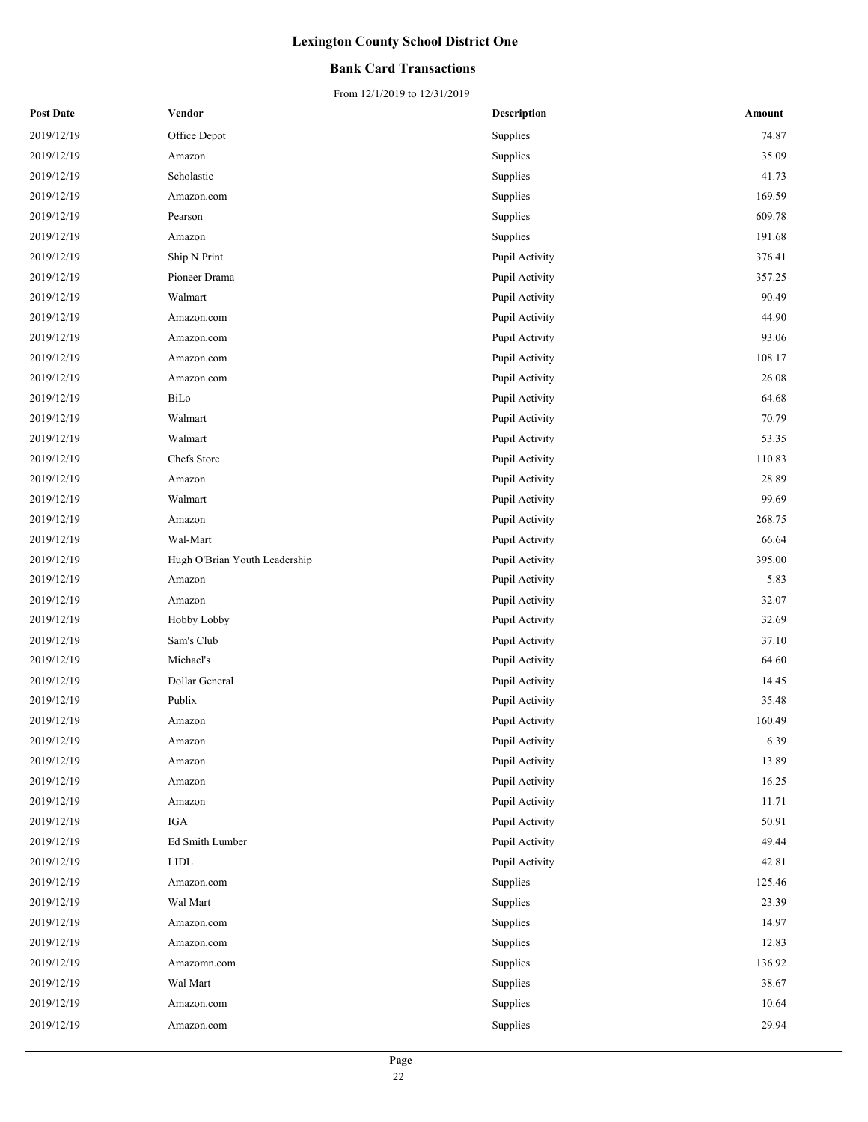### **Bank Card Transactions**

| <b>Post Date</b> | Vendor                        | <b>Description</b> | Amount |
|------------------|-------------------------------|--------------------|--------|
| 2019/12/19       | Office Depot                  | Supplies           | 74.87  |
| 2019/12/19       | Amazon                        | Supplies           | 35.09  |
| 2019/12/19       | Scholastic                    | Supplies           | 41.73  |
| 2019/12/19       | Amazon.com                    | Supplies           | 169.59 |
| 2019/12/19       | Pearson                       | Supplies           | 609.78 |
| 2019/12/19       | Amazon                        | Supplies           | 191.68 |
| 2019/12/19       | Ship N Print                  | Pupil Activity     | 376.41 |
| 2019/12/19       | Pioneer Drama                 | Pupil Activity     | 357.25 |
| 2019/12/19       | Walmart                       | Pupil Activity     | 90.49  |
| 2019/12/19       | Amazon.com                    | Pupil Activity     | 44.90  |
| 2019/12/19       | Amazon.com                    | Pupil Activity     | 93.06  |
| 2019/12/19       | Amazon.com                    | Pupil Activity     | 108.17 |
| 2019/12/19       | Amazon.com                    | Pupil Activity     | 26.08  |
| 2019/12/19       | BiLo                          | Pupil Activity     | 64.68  |
| 2019/12/19       | Walmart                       | Pupil Activity     | 70.79  |
| 2019/12/19       | Walmart                       | Pupil Activity     | 53.35  |
| 2019/12/19       | Chefs Store                   | Pupil Activity     | 110.83 |
| 2019/12/19       | Amazon                        | Pupil Activity     | 28.89  |
| 2019/12/19       | Walmart                       | Pupil Activity     | 99.69  |
| 2019/12/19       | Amazon                        | Pupil Activity     | 268.75 |
| 2019/12/19       | Wal-Mart                      | Pupil Activity     | 66.64  |
| 2019/12/19       | Hugh O'Brian Youth Leadership | Pupil Activity     | 395.00 |
| 2019/12/19       | Amazon                        | Pupil Activity     | 5.83   |
| 2019/12/19       | Amazon                        | Pupil Activity     | 32.07  |
| 2019/12/19       | Hobby Lobby                   | Pupil Activity     | 32.69  |
| 2019/12/19       | Sam's Club                    | Pupil Activity     | 37.10  |
| 2019/12/19       | Michael's                     | Pupil Activity     | 64.60  |
| 2019/12/19       | Dollar General                | Pupil Activity     | 14.45  |
| 2019/12/19       | Publix                        | Pupil Activity     | 35.48  |
| 2019/12/19       | Amazon                        | Pupil Activity     | 160.49 |
| 2019/12/19       | Amazon                        | Pupil Activity     | 6.39   |
| 2019/12/19       | Amazon                        | Pupil Activity     | 13.89  |
| 2019/12/19       | Amazon                        | Pupil Activity     | 16.25  |
| 2019/12/19       | Amazon                        | Pupil Activity     | 11.71  |
| 2019/12/19       | IGA                           | Pupil Activity     | 50.91  |
| 2019/12/19       | Ed Smith Lumber               | Pupil Activity     | 49.44  |
| 2019/12/19       | <b>LIDL</b>                   | Pupil Activity     | 42.81  |
| 2019/12/19       | Amazon.com                    | Supplies           | 125.46 |
| 2019/12/19       | Wal Mart                      | Supplies           | 23.39  |
| 2019/12/19       | Amazon.com                    | Supplies           | 14.97  |
| 2019/12/19       | Amazon.com                    | Supplies           | 12.83  |
| 2019/12/19       | Amazomn.com                   | Supplies           | 136.92 |
| 2019/12/19       | Wal Mart                      | Supplies           | 38.67  |
| 2019/12/19       | Amazon.com                    | Supplies           | 10.64  |
| 2019/12/19       | Amazon.com                    | Supplies           | 29.94  |
|                  |                               |                    |        |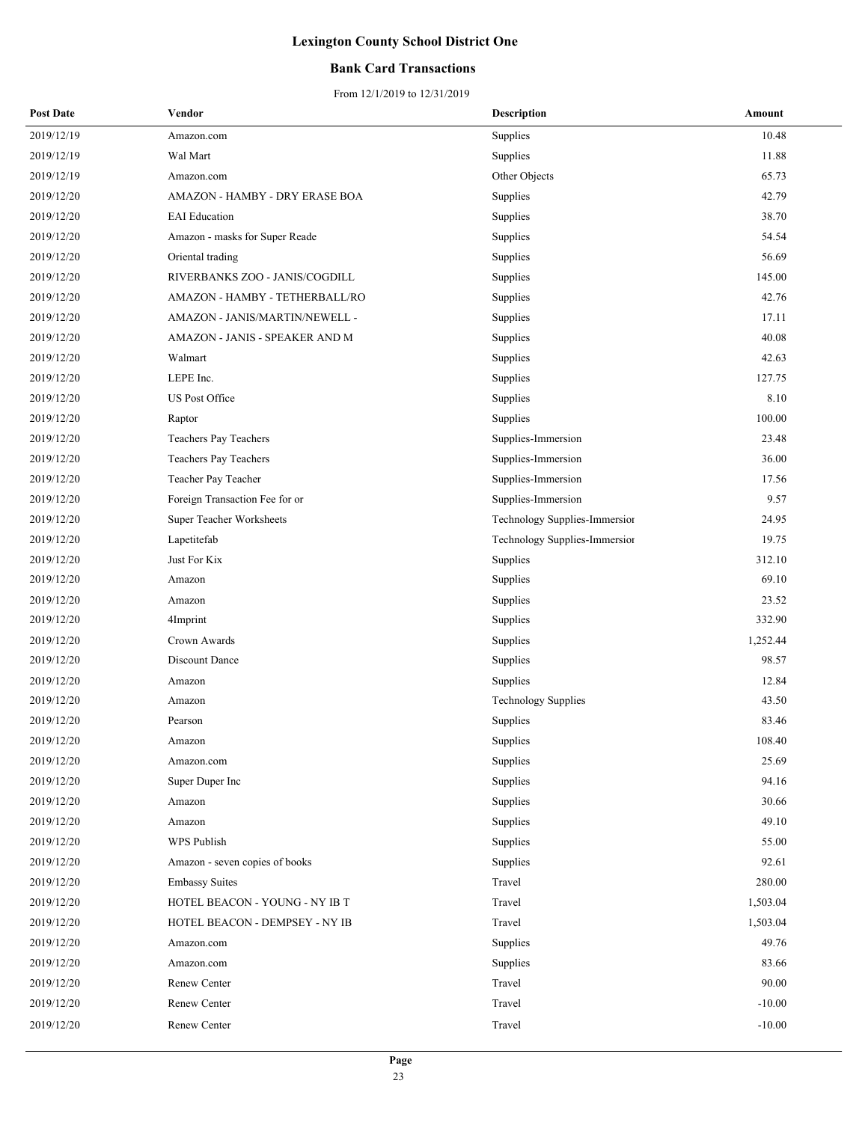### **Bank Card Transactions**

| <b>Post Date</b> | Vendor                         | Description                   | Amount   |
|------------------|--------------------------------|-------------------------------|----------|
| 2019/12/19       | Amazon.com                     | Supplies                      | 10.48    |
| 2019/12/19       | Wal Mart                       | Supplies                      | 11.88    |
| 2019/12/19       | Amazon.com                     | Other Objects                 | 65.73    |
| 2019/12/20       | AMAZON - HAMBY - DRY ERASE BOA | Supplies                      | 42.79    |
| 2019/12/20       | <b>EAI</b> Education           | Supplies                      | 38.70    |
| 2019/12/20       | Amazon - masks for Super Reade | Supplies                      | 54.54    |
| 2019/12/20       | Oriental trading               | Supplies                      | 56.69    |
| 2019/12/20       | RIVERBANKS ZOO - JANIS/COGDILL | Supplies                      | 145.00   |
| 2019/12/20       | AMAZON - HAMBY - TETHERBALL/RO | Supplies                      | 42.76    |
| 2019/12/20       | AMAZON - JANIS/MARTIN/NEWELL - | Supplies                      | 17.11    |
| 2019/12/20       | AMAZON - JANIS - SPEAKER AND M | Supplies                      | 40.08    |
| 2019/12/20       | Walmart                        | Supplies                      | 42.63    |
| 2019/12/20       | LEPE Inc.                      | Supplies                      | 127.75   |
| 2019/12/20       | US Post Office                 | Supplies                      | 8.10     |
| 2019/12/20       | Raptor                         | Supplies                      | 100.00   |
| 2019/12/20       | Teachers Pay Teachers          | Supplies-Immersion            | 23.48    |
| 2019/12/20       | Teachers Pay Teachers          | Supplies-Immersion            | 36.00    |
| 2019/12/20       | Teacher Pay Teacher            | Supplies-Immersion            | 17.56    |
| 2019/12/20       | Foreign Transaction Fee for or | Supplies-Immersion            | 9.57     |
| 2019/12/20       | Super Teacher Worksheets       | Technology Supplies-Immersior | 24.95    |
| 2019/12/20       | Lapetitefab                    | Technology Supplies-Immersion | 19.75    |
| 2019/12/20       | Just For Kix                   | Supplies                      | 312.10   |
| 2019/12/20       | Amazon                         | Supplies                      | 69.10    |
| 2019/12/20       | Amazon                         | Supplies                      | 23.52    |
| 2019/12/20       | 4Imprint                       | Supplies                      | 332.90   |
| 2019/12/20       | Crown Awards                   | Supplies                      | 1,252.44 |
| 2019/12/20       | Discount Dance                 | Supplies                      | 98.57    |
| 2019/12/20       | Amazon                         | Supplies                      | 12.84    |
| 2019/12/20       | Amazon                         | <b>Technology Supplies</b>    | 43.50    |
| 2019/12/20       | Pearson                        | Supplies                      | 83.46    |
| 2019/12/20       | Amazon                         | Supplies                      | 108.40   |
| 2019/12/20       | Amazon.com                     | Supplies                      | 25.69    |
| 2019/12/20       | Super Duper Inc                | Supplies                      | 94.16    |
| 2019/12/20       | Amazon                         | Supplies                      | 30.66    |
| 2019/12/20       | Amazon                         | Supplies                      | 49.10    |
| 2019/12/20       | WPS Publish                    | Supplies                      | 55.00    |
| 2019/12/20       | Amazon - seven copies of books | Supplies                      | 92.61    |
| 2019/12/20       | <b>Embassy Suites</b>          | Travel                        | 280.00   |
| 2019/12/20       | HOTEL BEACON - YOUNG - NY IB T | Travel                        | 1,503.04 |
| 2019/12/20       | HOTEL BEACON - DEMPSEY - NY IB | Travel                        | 1,503.04 |
| 2019/12/20       | Amazon.com                     | Supplies                      | 49.76    |
| 2019/12/20       | Amazon.com                     | Supplies                      | 83.66    |
| 2019/12/20       | Renew Center                   | Travel                        | 90.00    |
| 2019/12/20       | Renew Center                   | Travel                        | $-10.00$ |
| 2019/12/20       | Renew Center                   | Travel                        | $-10.00$ |
|                  |                                |                               |          |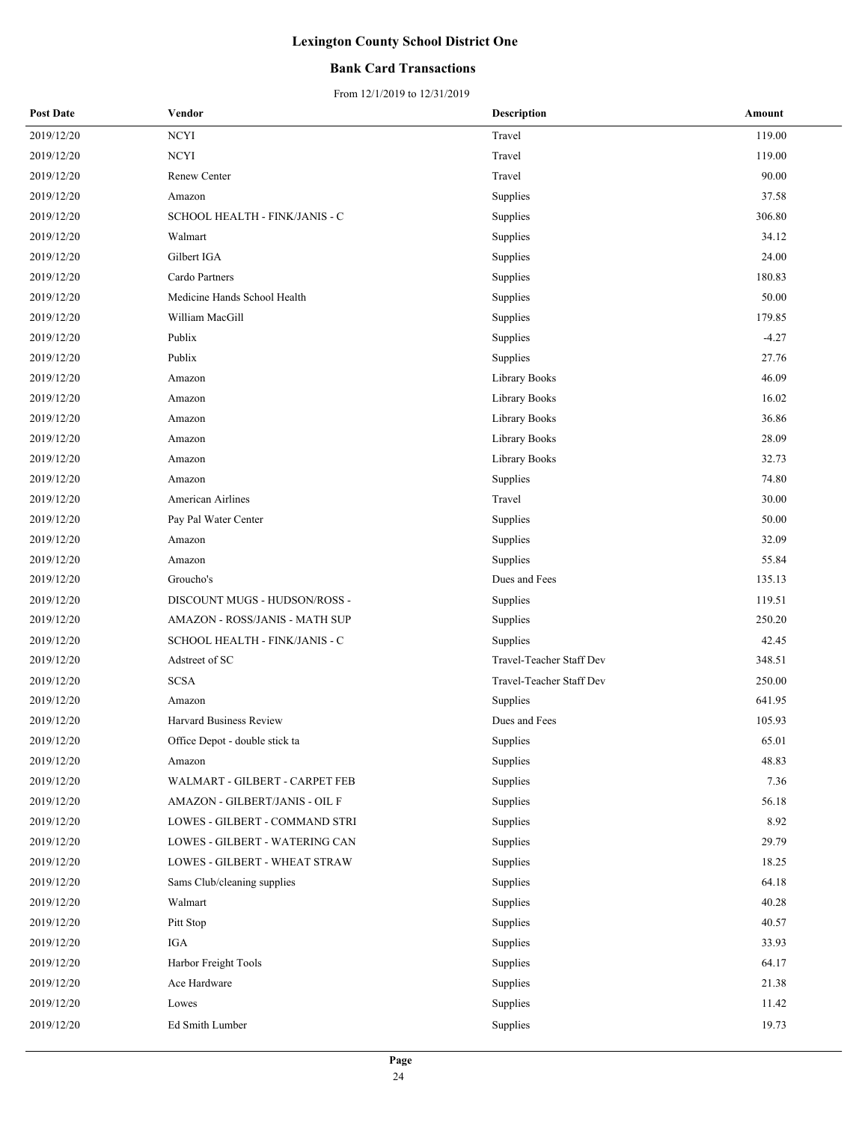### **Bank Card Transactions**

| <b>Post Date</b> | Vendor                         | <b>Description</b>       | Amount  |
|------------------|--------------------------------|--------------------------|---------|
| 2019/12/20       | $\rm NCYI$                     | Travel                   | 119.00  |
| 2019/12/20       | <b>NCYI</b>                    | Travel                   | 119.00  |
| 2019/12/20       | <b>Renew Center</b>            | Travel                   | 90.00   |
| 2019/12/20       | Amazon                         | Supplies                 | 37.58   |
| 2019/12/20       | SCHOOL HEALTH - FINK/JANIS - C | Supplies                 | 306.80  |
| 2019/12/20       | Walmart                        | Supplies                 | 34.12   |
| 2019/12/20       | Gilbert IGA                    | Supplies                 | 24.00   |
| 2019/12/20       | Cardo Partners                 | Supplies                 | 180.83  |
| 2019/12/20       | Medicine Hands School Health   | Supplies                 | 50.00   |
| 2019/12/20       | William MacGill                | Supplies                 | 179.85  |
| 2019/12/20       | Publix                         | Supplies                 | $-4.27$ |
| 2019/12/20       | Publix                         | Supplies                 | 27.76   |
| 2019/12/20       | Amazon                         | Library Books            | 46.09   |
| 2019/12/20       | Amazon                         | Library Books            | 16.02   |
| 2019/12/20       | Amazon                         | Library Books            | 36.86   |
| 2019/12/20       | Amazon                         | Library Books            | 28.09   |
| 2019/12/20       | Amazon                         | Library Books            | 32.73   |
| 2019/12/20       | Amazon                         | Supplies                 | 74.80   |
| 2019/12/20       | <b>American Airlines</b>       | Travel                   | 30.00   |
| 2019/12/20       | Pay Pal Water Center           | Supplies                 | 50.00   |
| 2019/12/20       | Amazon                         | Supplies                 | 32.09   |
| 2019/12/20       | Amazon                         | Supplies                 | 55.84   |
| 2019/12/20       | Groucho's                      | Dues and Fees            | 135.13  |
| 2019/12/20       | DISCOUNT MUGS - HUDSON/ROSS -  | Supplies                 | 119.51  |
| 2019/12/20       | AMAZON - ROSS/JANIS - MATH SUP | Supplies                 | 250.20  |
| 2019/12/20       | SCHOOL HEALTH - FINK/JANIS - C | Supplies                 | 42.45   |
| 2019/12/20       | Adstreet of SC                 | Travel-Teacher Staff Dev | 348.51  |
| 2019/12/20       | <b>SCSA</b>                    | Travel-Teacher Staff Dev | 250.00  |
| 2019/12/20       | Amazon                         | Supplies                 | 641.95  |
| 2019/12/20       | Harvard Business Review        | Dues and Fees            | 105.93  |
| 2019/12/20       | Office Depot - double stick ta | Supplies                 | 65.01   |
| 2019/12/20       | Amazon                         | Supplies                 | 48.83   |
| 2019/12/20       | WALMART - GILBERT - CARPET FEB | Supplies                 | 7.36    |
| 2019/12/20       | AMAZON - GILBERT/JANIS - OIL F | Supplies                 | 56.18   |
| 2019/12/20       | LOWES - GILBERT - COMMAND STRI | Supplies                 | 8.92    |
| 2019/12/20       | LOWES - GILBERT - WATERING CAN | Supplies                 | 29.79   |
| 2019/12/20       | LOWES - GILBERT - WHEAT STRAW  | Supplies                 | 18.25   |
| 2019/12/20       | Sams Club/cleaning supplies    | Supplies                 | 64.18   |
| 2019/12/20       | Walmart                        | Supplies                 | 40.28   |
| 2019/12/20       | Pitt Stop                      | Supplies                 | 40.57   |
| 2019/12/20       | IGA                            | Supplies                 | 33.93   |
| 2019/12/20       | Harbor Freight Tools           | Supplies                 | 64.17   |
| 2019/12/20       | Ace Hardware                   | Supplies                 | 21.38   |
| 2019/12/20       | Lowes                          | Supplies                 | 11.42   |
| 2019/12/20       | Ed Smith Lumber                | Supplies                 | 19.73   |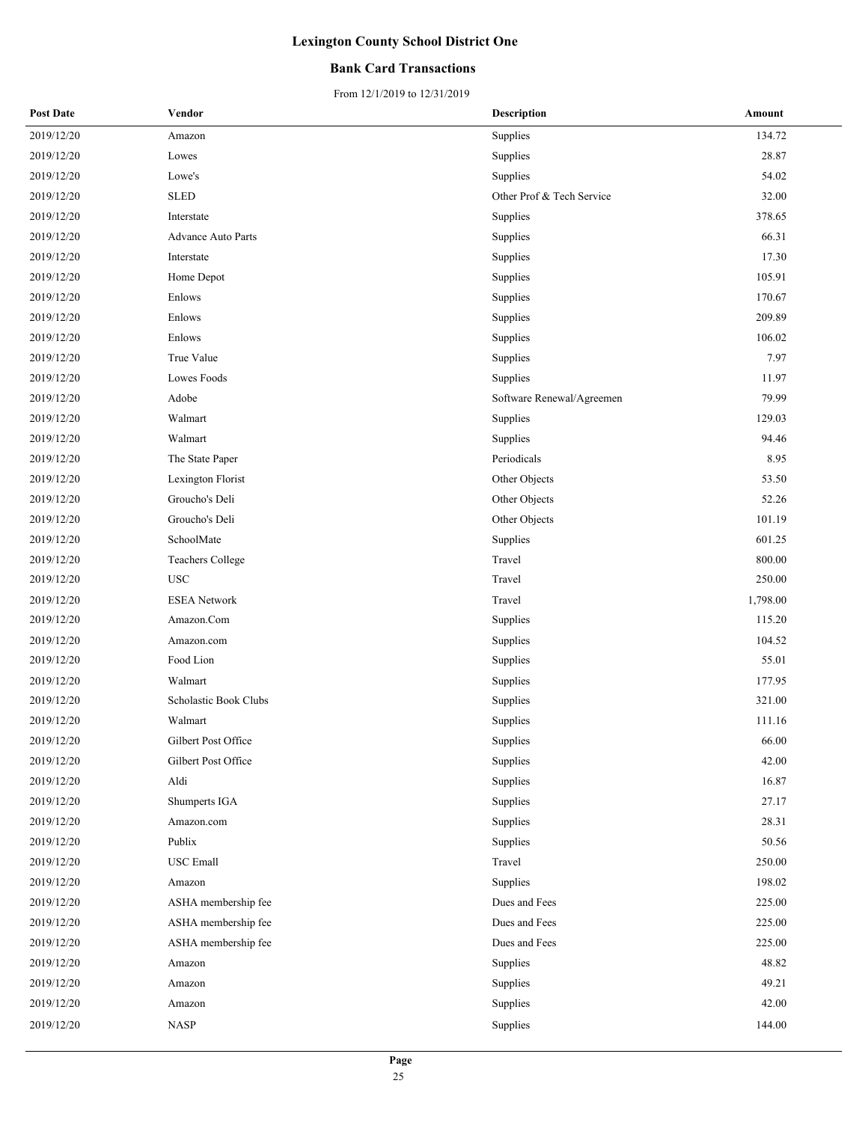### **Bank Card Transactions**

| <b>Post Date</b> | Vendor                    | <b>Description</b>        | Amount   |
|------------------|---------------------------|---------------------------|----------|
| 2019/12/20       | Amazon                    | Supplies                  | 134.72   |
| 2019/12/20       | Lowes                     | Supplies                  | 28.87    |
| 2019/12/20       | Lowe's                    | Supplies                  | 54.02    |
| 2019/12/20       | <b>SLED</b>               | Other Prof & Tech Service | 32.00    |
| 2019/12/20       | Interstate                | Supplies                  | 378.65   |
| 2019/12/20       | <b>Advance Auto Parts</b> | Supplies                  | 66.31    |
| 2019/12/20       | Interstate                | Supplies                  | 17.30    |
| 2019/12/20       | Home Depot                | Supplies                  | 105.91   |
| 2019/12/20       | Enlows                    | Supplies                  | 170.67   |
| 2019/12/20       | Enlows                    | Supplies                  | 209.89   |
| 2019/12/20       | Enlows                    | Supplies                  | 106.02   |
| 2019/12/20       | True Value                | Supplies                  | 7.97     |
| 2019/12/20       | Lowes Foods               | Supplies                  | 11.97    |
| 2019/12/20       | Adobe                     | Software Renewal/Agreemen | 79.99    |
| 2019/12/20       | Walmart                   | Supplies                  | 129.03   |
| 2019/12/20       | Walmart                   | Supplies                  | 94.46    |
| 2019/12/20       | The State Paper           | Periodicals               | 8.95     |
| 2019/12/20       | Lexington Florist         | Other Objects             | 53.50    |
| 2019/12/20       | Groucho's Deli            | Other Objects             | 52.26    |
| 2019/12/20       | Groucho's Deli            | Other Objects             | 101.19   |
| 2019/12/20       | SchoolMate                | Supplies                  | 601.25   |
| 2019/12/20       | <b>Teachers College</b>   | Travel                    | 800.00   |
| 2019/12/20       | <b>USC</b>                | Travel                    | 250.00   |
| 2019/12/20       | <b>ESEA</b> Network       | Travel                    | 1,798.00 |
| 2019/12/20       | Amazon.Com                | Supplies                  | 115.20   |
| 2019/12/20       | Amazon.com                | Supplies                  | 104.52   |
| 2019/12/20       | Food Lion                 | Supplies                  | 55.01    |
| 2019/12/20       | Walmart                   | Supplies                  | 177.95   |
| 2019/12/20       | Scholastic Book Clubs     | Supplies                  | 321.00   |
| 2019/12/20       | Walmart                   | Supplies                  | 111.16   |
| 2019/12/20       | Gilbert Post Office       | Supplies                  | 66.00    |
| 2019/12/20       | Gilbert Post Office       | Supplies                  | 42.00    |
| 2019/12/20       | Aldi                      | Supplies                  | 16.87    |
| 2019/12/20       | Shumperts IGA             | Supplies                  | 27.17    |
| 2019/12/20       | Amazon.com                | Supplies                  | 28.31    |
| 2019/12/20       | Publix                    | Supplies                  | 50.56    |
| 2019/12/20       | <b>USC</b> Emall          | Travel                    | 250.00   |
| 2019/12/20       | Amazon                    | Supplies                  | 198.02   |
| 2019/12/20       | ASHA membership fee       | Dues and Fees             | 225.00   |
| 2019/12/20       | ASHA membership fee       | Dues and Fees             | 225.00   |
| 2019/12/20       | ASHA membership fee       | Dues and Fees             | 225.00   |
| 2019/12/20       | Amazon                    | Supplies                  | 48.82    |
| 2019/12/20       | Amazon                    | Supplies                  | 49.21    |
| 2019/12/20       | Amazon                    | Supplies                  | 42.00    |
| 2019/12/20       | <b>NASP</b>               | Supplies                  | 144.00   |
|                  |                           |                           |          |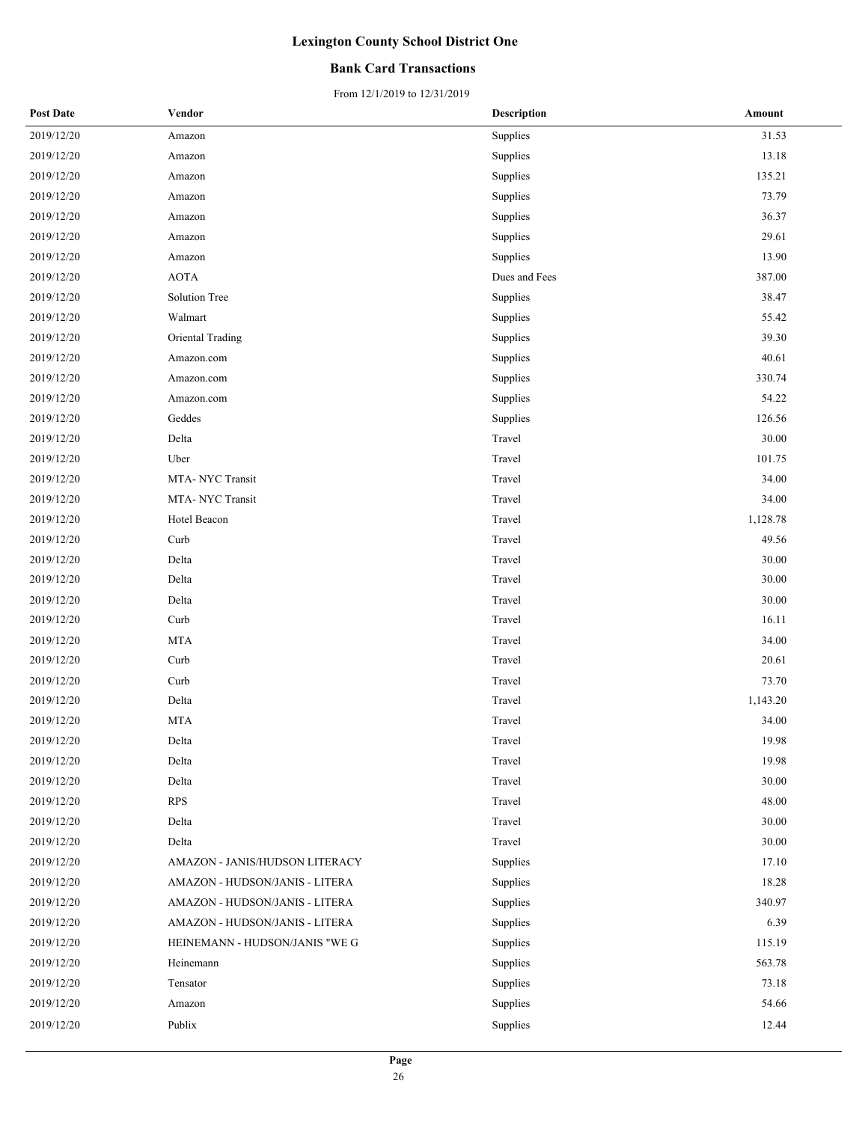### **Bank Card Transactions**

| <b>Post Date</b> | Vendor                         | <b>Description</b> | Amount   |
|------------------|--------------------------------|--------------------|----------|
| 2019/12/20       | Amazon                         | Supplies           | 31.53    |
| 2019/12/20       | Amazon                         | Supplies           | 13.18    |
| 2019/12/20       | Amazon                         | Supplies           | 135.21   |
| 2019/12/20       | Amazon                         | Supplies           | 73.79    |
| 2019/12/20       | Amazon                         | Supplies           | 36.37    |
| 2019/12/20       | Amazon                         | Supplies           | 29.61    |
| 2019/12/20       | Amazon                         | Supplies           | 13.90    |
| 2019/12/20       | <b>AOTA</b>                    | Dues and Fees      | 387.00   |
| 2019/12/20       | Solution Tree                  | Supplies           | 38.47    |
| 2019/12/20       | Walmart                        | Supplies           | 55.42    |
| 2019/12/20       | Oriental Trading               | Supplies           | 39.30    |
| 2019/12/20       | Amazon.com                     | Supplies           | 40.61    |
| 2019/12/20       | Amazon.com                     | Supplies           | 330.74   |
| 2019/12/20       | Amazon.com                     | Supplies           | 54.22    |
| 2019/12/20       | Geddes                         | Supplies           | 126.56   |
| 2019/12/20       | Delta                          | Travel             | 30.00    |
| 2019/12/20       | Uber                           | Travel             | 101.75   |
| 2019/12/20       | MTA-NYC Transit                | Travel             | 34.00    |
| 2019/12/20       | MTA-NYC Transit                | Travel             | 34.00    |
| 2019/12/20       | Hotel Beacon                   | Travel             | 1,128.78 |
| 2019/12/20       | Curb                           | Travel             | 49.56    |
| 2019/12/20       | Delta                          | Travel             | 30.00    |
| 2019/12/20       | Delta                          | Travel             | 30.00    |
| 2019/12/20       | Delta                          | Travel             | 30.00    |
| 2019/12/20       | Curb                           | Travel             | 16.11    |
| 2019/12/20       | <b>MTA</b>                     | Travel             | 34.00    |
| 2019/12/20       | Curb                           | Travel             | 20.61    |
| 2019/12/20       | Curb                           | Travel             | 73.70    |
| 2019/12/20       | Delta                          | Travel             | 1,143.20 |
| 2019/12/20       | <b>MTA</b>                     | Travel             | 34.00    |
| 2019/12/20       | Delta                          | Travel             | 19.98    |
| 2019/12/20       | Delta                          | Travel             | 19.98    |
| 2019/12/20       | Delta                          | Travel             | 30.00    |
| 2019/12/20       | <b>RPS</b>                     | Travel             | 48.00    |
| 2019/12/20       | Delta                          | Travel             | 30.00    |
| 2019/12/20       | Delta                          | Travel             | 30.00    |
| 2019/12/20       | AMAZON - JANIS/HUDSON LITERACY | Supplies           | 17.10    |
| 2019/12/20       | AMAZON - HUDSON/JANIS - LITERA | Supplies           | 18.28    |
| 2019/12/20       | AMAZON - HUDSON/JANIS - LITERA | Supplies           | 340.97   |
| 2019/12/20       | AMAZON - HUDSON/JANIS - LITERA | Supplies           | 6.39     |
| 2019/12/20       | HEINEMANN - HUDSON/JANIS "WE G | Supplies           | 115.19   |
| 2019/12/20       | Heinemann                      | Supplies           | 563.78   |
| 2019/12/20       | Tensator                       | Supplies           | 73.18    |
| 2019/12/20       | Amazon                         | Supplies           | 54.66    |
| 2019/12/20       | Publix                         | Supplies           | 12.44    |
|                  |                                |                    |          |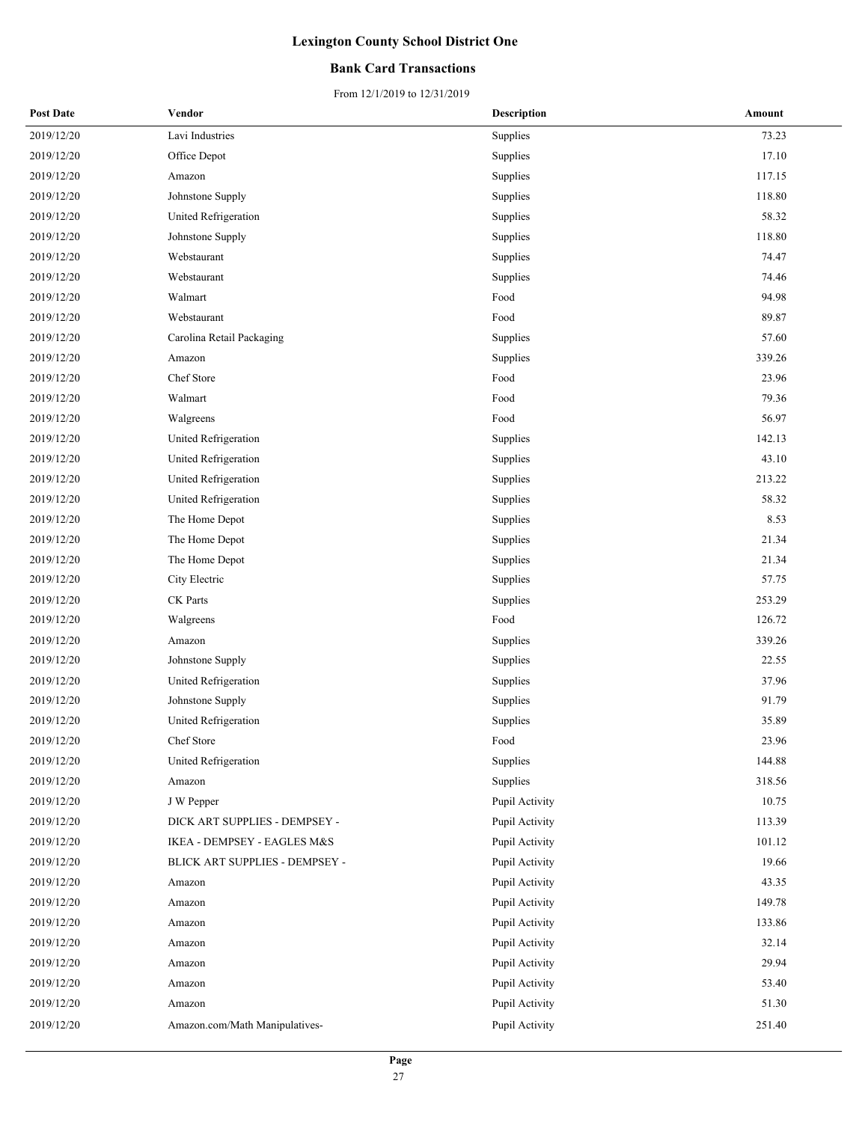### **Bank Card Transactions**

| 2019/12/20<br>Lavi Industries<br>Supplies<br>2019/12/20<br>Office Depot<br>Supplies<br>2019/12/20<br>Supplies<br>Amazon<br>2019/12/20<br>Johnstone Supply<br>Supplies | 73.23<br>17.10<br>117.15<br>118.80<br>58.32<br>118.80<br>74.47 |
|-----------------------------------------------------------------------------------------------------------------------------------------------------------------------|----------------------------------------------------------------|
|                                                                                                                                                                       |                                                                |
|                                                                                                                                                                       |                                                                |
|                                                                                                                                                                       |                                                                |
|                                                                                                                                                                       |                                                                |
| 2019/12/20<br>United Refrigeration<br>Supplies                                                                                                                        |                                                                |
| 2019/12/20<br>Johnstone Supply<br>Supplies                                                                                                                            |                                                                |
| 2019/12/20<br>Webstaurant<br>Supplies                                                                                                                                 |                                                                |
| 2019/12/20<br>Webstaurant<br>Supplies                                                                                                                                 | 74.46                                                          |
| 2019/12/20<br>Walmart<br>Food                                                                                                                                         | 94.98                                                          |
| 2019/12/20<br>Webstaurant<br>Food                                                                                                                                     | 89.87                                                          |
| 2019/12/20<br>Carolina Retail Packaging<br>Supplies                                                                                                                   | 57.60                                                          |
| 2019/12/20<br>Supplies<br>Amazon                                                                                                                                      | 339.26                                                         |
| Chef Store<br>2019/12/20<br>Food                                                                                                                                      | 23.96                                                          |
| Walmart<br>Food<br>2019/12/20                                                                                                                                         | 79.36                                                          |
| 2019/12/20<br>Food<br>Walgreens                                                                                                                                       | 56.97                                                          |
| 2019/12/20<br>United Refrigeration<br>Supplies                                                                                                                        | 142.13                                                         |
| 2019/12/20<br>United Refrigeration<br>Supplies                                                                                                                        | 43.10                                                          |
| 2019/12/20<br>United Refrigeration<br>Supplies                                                                                                                        | 213.22                                                         |
| 2019/12/20<br>United Refrigeration<br>Supplies                                                                                                                        | 58.32                                                          |
| 2019/12/20<br>The Home Depot<br>Supplies                                                                                                                              | 8.53                                                           |
| 2019/12/20<br>The Home Depot<br>Supplies                                                                                                                              | 21.34                                                          |
| 2019/12/20<br>The Home Depot<br>Supplies                                                                                                                              | 21.34                                                          |
| 2019/12/20<br>City Electric<br>Supplies                                                                                                                               | 57.75                                                          |
| CK Parts<br>2019/12/20<br>Supplies                                                                                                                                    | 253.29                                                         |
| 2019/12/20<br>Food<br>Walgreens                                                                                                                                       | 126.72                                                         |
| 2019/12/20<br>Amazon<br>Supplies                                                                                                                                      | 339.26                                                         |
| 2019/12/20<br>Johnstone Supply<br>Supplies                                                                                                                            | 22.55                                                          |
| 2019/12/20<br>United Refrigeration<br>Supplies                                                                                                                        | 37.96                                                          |
| 2019/12/20<br>Johnstone Supply<br>Supplies                                                                                                                            | 91.79                                                          |
| United Refrigeration<br>Supplies<br>2019/12/20                                                                                                                        | 35.89                                                          |
| 2019/12/20<br>Chef Store<br>Food                                                                                                                                      | 23.96                                                          |
| 2019/12/20<br>United Refrigeration<br>Supplies                                                                                                                        | 144.88                                                         |
| 2019/12/20<br>Supplies<br>Amazon                                                                                                                                      | 318.56                                                         |
| 2019/12/20<br>Pupil Activity<br>J W Pepper                                                                                                                            | 10.75                                                          |
| 2019/12/20<br>DICK ART SUPPLIES - DEMPSEY -<br>Pupil Activity                                                                                                         | 113.39                                                         |
| 2019/12/20<br>IKEA - DEMPSEY - EAGLES M&S<br>Pupil Activity                                                                                                           | 101.12                                                         |
| 2019/12/20<br>BLICK ART SUPPLIES - DEMPSEY -<br>Pupil Activity                                                                                                        | 19.66                                                          |
| Pupil Activity<br>2019/12/20<br>Amazon                                                                                                                                | 43.35                                                          |
| 2019/12/20<br>Pupil Activity<br>Amazon                                                                                                                                | 149.78                                                         |
| 2019/12/20<br>Pupil Activity<br>Amazon                                                                                                                                | 133.86                                                         |
| 2019/12/20<br>Pupil Activity<br>Amazon                                                                                                                                | 32.14                                                          |
| Pupil Activity<br>2019/12/20<br>Amazon                                                                                                                                | 29.94                                                          |
| 2019/12/20<br>Pupil Activity<br>Amazon                                                                                                                                | 53.40                                                          |
| 2019/12/20<br>Pupil Activity<br>Amazon                                                                                                                                | 51.30                                                          |
| 2019/12/20<br>Amazon.com/Math Manipulatives-<br>Pupil Activity                                                                                                        | 251.40                                                         |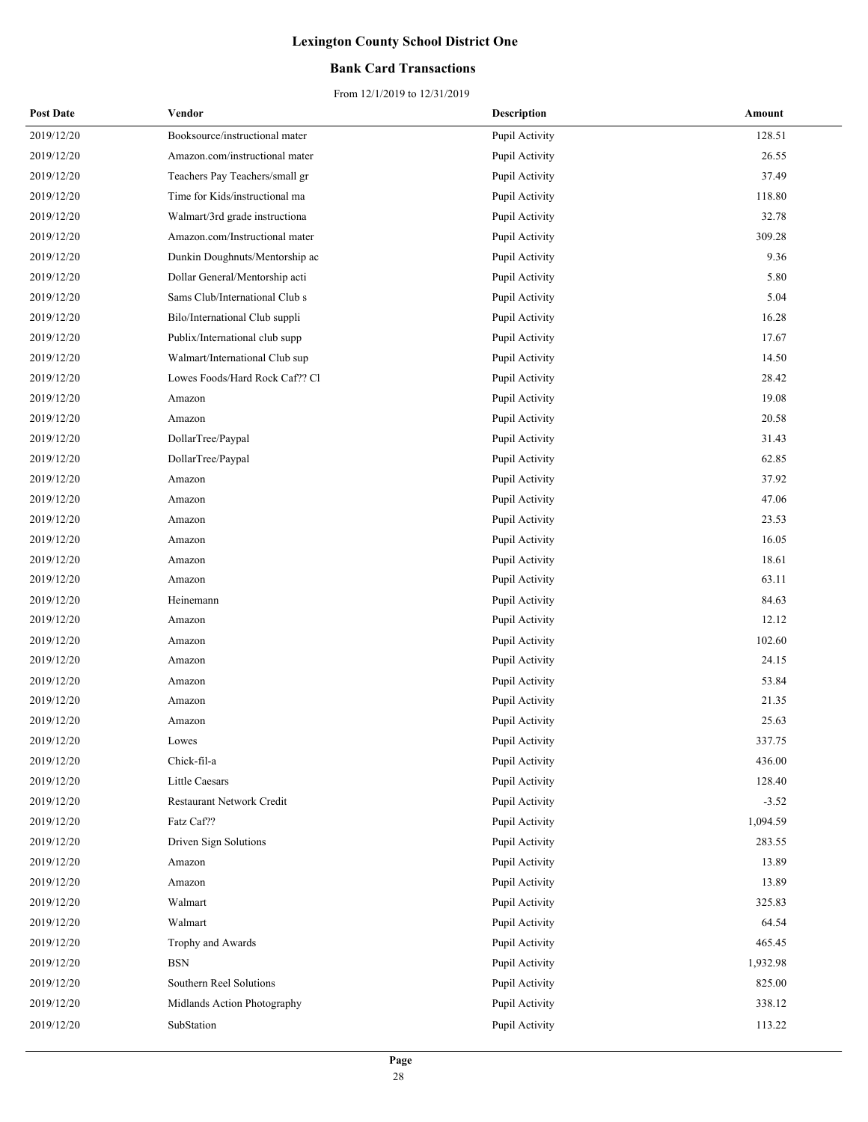### **Bank Card Transactions**

| <b>Post Date</b> | Vendor                         | <b>Description</b> | Amount   |
|------------------|--------------------------------|--------------------|----------|
| 2019/12/20       | Booksource/instructional mater | Pupil Activity     | 128.51   |
| 2019/12/20       | Amazon.com/instructional mater | Pupil Activity     | 26.55    |
| 2019/12/20       | Teachers Pay Teachers/small gr | Pupil Activity     | 37.49    |
| 2019/12/20       | Time for Kids/instructional ma | Pupil Activity     | 118.80   |
| 2019/12/20       | Walmart/3rd grade instructiona | Pupil Activity     | 32.78    |
| 2019/12/20       | Amazon.com/Instructional mater | Pupil Activity     | 309.28   |
| 2019/12/20       | Dunkin Doughnuts/Mentorship ac | Pupil Activity     | 9.36     |
| 2019/12/20       | Dollar General/Mentorship acti | Pupil Activity     | 5.80     |
| 2019/12/20       | Sams Club/International Club s | Pupil Activity     | 5.04     |
| 2019/12/20       | Bilo/International Club suppli | Pupil Activity     | 16.28    |
| 2019/12/20       | Publix/International club supp | Pupil Activity     | 17.67    |
| 2019/12/20       | Walmart/International Club sup | Pupil Activity     | 14.50    |
| 2019/12/20       | Lowes Foods/Hard Rock Caf?? Cl | Pupil Activity     | 28.42    |
| 2019/12/20       | Amazon                         | Pupil Activity     | 19.08    |
| 2019/12/20       | Amazon                         | Pupil Activity     | 20.58    |
| 2019/12/20       | DollarTree/Paypal              | Pupil Activity     | 31.43    |
| 2019/12/20       | DollarTree/Paypal              | Pupil Activity     | 62.85    |
| 2019/12/20       | Amazon                         | Pupil Activity     | 37.92    |
| 2019/12/20       | Amazon                         | Pupil Activity     | 47.06    |
| 2019/12/20       | Amazon                         | Pupil Activity     | 23.53    |
| 2019/12/20       | Amazon                         | Pupil Activity     | 16.05    |
| 2019/12/20       | Amazon                         | Pupil Activity     | 18.61    |
| 2019/12/20       | Amazon                         | Pupil Activity     | 63.11    |
| 2019/12/20       | Heinemann                      | Pupil Activity     | 84.63    |
| 2019/12/20       | Amazon                         | Pupil Activity     | 12.12    |
| 2019/12/20       | Amazon                         | Pupil Activity     | 102.60   |
| 2019/12/20       | Amazon                         | Pupil Activity     | 24.15    |
| 2019/12/20       | Amazon                         | Pupil Activity     | 53.84    |
| 2019/12/20       | Amazon                         | Pupil Activity     | 21.35    |
| 2019/12/20       | Amazon                         | Pupil Activity     | 25.63    |
| 2019/12/20       | Lowes                          | Pupil Activity     | 337.75   |
| 2019/12/20       | Chick-fil-a                    | Pupil Activity     | 436.00   |
| 2019/12/20       | Little Caesars                 | Pupil Activity     | 128.40   |
| 2019/12/20       | Restaurant Network Credit      | Pupil Activity     | $-3.52$  |
| 2019/12/20       | Fatz Caf??                     | Pupil Activity     | 1,094.59 |
| 2019/12/20       | Driven Sign Solutions          | Pupil Activity     | 283.55   |
| 2019/12/20       | Amazon                         | Pupil Activity     | 13.89    |
| 2019/12/20       | Amazon                         | Pupil Activity     | 13.89    |
| 2019/12/20       | Walmart                        | Pupil Activity     | 325.83   |
| 2019/12/20       | Walmart                        | Pupil Activity     | 64.54    |
| 2019/12/20       | Trophy and Awards              | Pupil Activity     | 465.45   |
| 2019/12/20       | <b>BSN</b>                     | Pupil Activity     | 1,932.98 |
| 2019/12/20       | Southern Reel Solutions        | Pupil Activity     | 825.00   |
| 2019/12/20       | Midlands Action Photography    | Pupil Activity     | 338.12   |
| 2019/12/20       | SubStation                     | Pupil Activity     | 113.22   |
|                  |                                |                    |          |